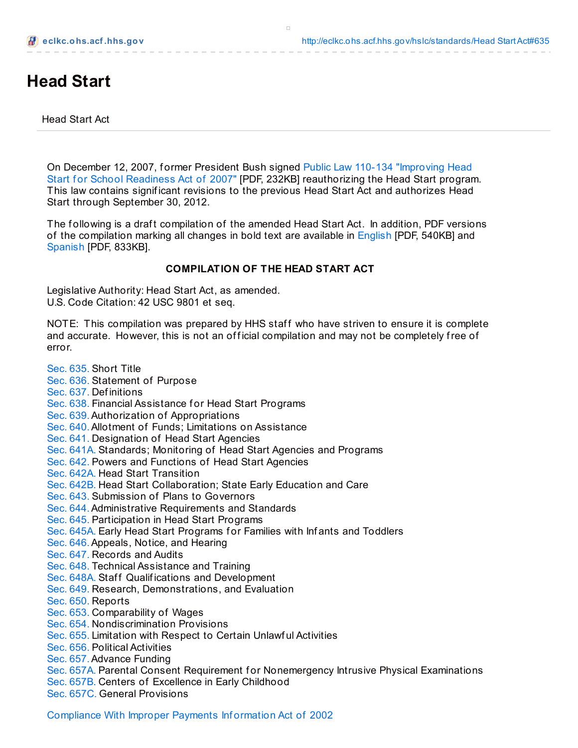# **Head Start**

Head Start Act

On December 12, 2007, former President Bush signed Public Law 110-134 "Improving Head Start for School Readiness Act of 2007" [PDF, 232KB] [reauthorizing](http://eclkc.ohs.acf.hhs.gov/hslc/standards/Head Start Act/HS_ACT_PL_110-134.pdf) the Head Start program. This law contains signif icant revisions to the previous Head Start Act and authorizes Head Start through September 30, 2012.

The following is a draft compilation of the amended Head Start Act. In addition, PDF versions of the compilation marking all changes in bold text are available in [English](http://eclkc.ohs.acf.hhs.gov/hslc/standards/Head Start Act/HS_Act_2007.pdf) [PDF, 540KB] and [Spanish](http://eclkc.ohs.acf.hhs.gov/hslc/Espanol/administracion/pdm/ley-de-head-start.pdf) [PDF, 833KB].

#### **COMPILATION OF THE HEAD START ACT**

Legislative Authority: Head Start Act, as amended. U.S. Code Citation: 42 USC 9801 et seq.

NOTE: This compilation was prepared by HHS staff who have striven to ensure it is complete and accurate. However, this is not an official compilation and may not be completely free of error.

[Sec.](http://eclkc.ohs.acf.hhs.gov/hslc/standards/Head Start Act#635) 635. Short Title [Sec.](http://eclkc.ohs.acf.hhs.gov/hslc/standards/Head Start Act#636) 636. Statement of Purpose [Sec.](http://eclkc.ohs.acf.hhs.gov/hslc/standards/Head Start Act#637) 637. Def initions [Sec.](http://eclkc.ohs.acf.hhs.gov/hslc/standards/Head Start Act#638) 638. Financial Assistance for Head Start Programs [Sec.](http://eclkc.ohs.acf.hhs.gov/hslc/standards/Head Start Act#639) 639.Authorization of Appropriations [Sec.](http://eclkc.ohs.acf.hhs.gov/hslc/standards/Head Start Act#640) 640.Allotment of Funds; Limitations on Assistance [Sec.](http://eclkc.ohs.acf.hhs.gov/hslc/standards/Head Start Act#641) 641. Designation of Head Start Agencies Sec. [641A.](http://eclkc.ohs.acf.hhs.gov/hslc/standards/Head Start Act#641A) Standards; Monitoring of Head Start Agencies and Programs [Sec.](http://eclkc.ohs.acf.hhs.gov/hslc/standards/Head Start Act#642) 642. Powers and Functions of Head Start Agencies Sec. [642A.](http://eclkc.ohs.acf.hhs.gov/hslc/standards/Head Start Act#642A) Head Start Transition Sec. [642B.](http://eclkc.ohs.acf.hhs.gov/hslc/standards/Head Start Act#642B) Head Start Collaboration; State Early Education and Care [Sec.](http://eclkc.ohs.acf.hhs.gov/hslc/standards/Head Start Act#643) 643. Submission of Plans to Governors [Sec.](http://eclkc.ohs.acf.hhs.gov/hslc/standards/Head Start Act#644) 644.Administrative Requirements and Standards [Sec.](http://eclkc.ohs.acf.hhs.gov/hslc/standards/Head Start Act#645) 645. Participation in Head Start Programs Sec. [645A.](http://eclkc.ohs.acf.hhs.gov/hslc/standards/Head Start Act#645A) Early Head Start Programs for Families with Infants and Toddlers [Sec.](http://eclkc.ohs.acf.hhs.gov/hslc/standards/Head Start Act#646) 646.Appeals, Notice, and Hearing [Sec.](http://eclkc.ohs.acf.hhs.gov/hslc/standards/Head Start Act#647) 647. Records and Audits [Sec.](http://eclkc.ohs.acf.hhs.gov/hslc/standards/Head Start Act#648) 648. Technical Assistance and Training Sec. [648A.](http://eclkc.ohs.acf.hhs.gov/hslc/standards/Head Start Act#648A) Staff Qualifications and Development [Sec.](http://eclkc.ohs.acf.hhs.gov/hslc/standards/Head Start Act#649) 649. Research, Demonstrations, and Evaluation [Sec.](http://eclkc.ohs.acf.hhs.gov/hslc/standards/Head Start Act#650) 650. Reports [Sec.](http://eclkc.ohs.acf.hhs.gov/hslc/standards/Head Start Act#653) 653. Comparability of Wages [Sec.](http://eclkc.ohs.acf.hhs.gov/hslc/standards/Head Start Act#654) 654. Nondiscrimination Provisions [Sec.](http://eclkc.ohs.acf.hhs.gov/hslc/standards/Head Start Act#655) 655. Limitation with Respect to Certain Unlawf ul Activities [Sec.](http://eclkc.ohs.acf.hhs.gov/hslc/standards/Head Start Act#656) 656. Political Activities [Sec.](http://eclkc.ohs.acf.hhs.gov/hslc/standards/Head Start Act#657) 657.Advance Funding Sec. [657A.](http://eclkc.ohs.acf.hhs.gov/hslc/standards/Head Start Act#657A) Parental Consent Requirement for Nonemergency Intrusive Physical Examinations Sec. [657B.](http://eclkc.ohs.acf.hhs.gov/hslc/standards/Head Start Act#657B) Centers of Excellence in Early Childhood Sec. [657C.](http://eclkc.ohs.acf.hhs.gov/hslc/standards/Head Start Act#657C) General Provisions

[Compliance](http://eclkc.ohs.acf.hhs.gov/hslc/standards/Head Start Act#compliance) With Improper Payments Inf ormation Act of 2002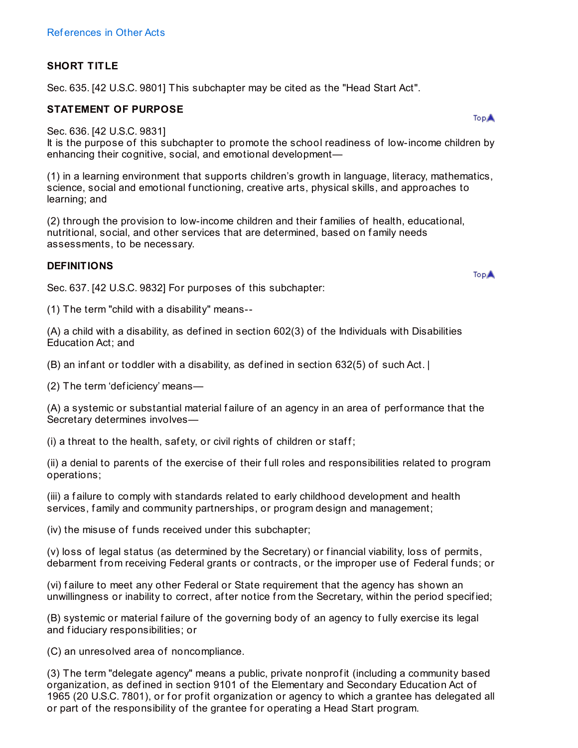# **SHORT TITLE**

Sec. 635. [42 U.S.C. 9801] This subchapter may be cited as the "Head Start Act".

## **STATEMENT OF PURPOSE**

Sec. 636. [42 U.S.C. 9831]

It is the purpose of this subchapter to promote the school readiness of low-income children by enhancing their cognitive, social, and emotional development—

(1) in a learning environment that supports children's growth in language, literacy, mathematics, science, social and emotional functioning, creative arts, physical skills, and approaches to learning; and

(2) through the provision to low-income children and their f amilies of health, educational, nutritional, social, and other services that are determined, based on family needs assessments, to be necessary.

## **DEFINITIONS**

Sec. 637. [42 U.S.C. 9832] For purposes of this subchapter:

(1) The term "child with a disability" means--

(A) a child with a disability, as def ined in section 602(3) of the Individuals with Disabilities Education Act; and

(B) an inf ant or toddler with a disability, as def ined in section 632(5) of such Act. |

(2) The term 'def iciency' means—

(A) a systemic or substantial material f ailure of an agency in an area of perf ormance that the Secretary determines involves—

(i) a threat to the health, safety, or civil rights of children or staff;

(ii) a denial to parents of the exercise of their f ull roles and responsibilities related to program operations;

(iii) a f ailure to comply with standards related to early childhood development and health services, family and community partnerships, or program design and management;

(iv) the misuse of funds received under this subchapter;

(v) loss of legal status (as determined by the Secretary) or financial viability, loss of permits, debarment from receiving Federal grants or contracts, or the improper use of Federal f unds; or

(vi) f ailure to meet any other Federal or State requirement that the agency has shown an unwillingness or inability to correct, af ter notice from the Secretary, within the period specif ied;

(B) systemic or material f ailure of the governing body of an agency to f ully exercise its legal and fiduciary responsibilities; or

(C) an unresolved area of noncompliance.

(3) The term "delegate agency" means a public, private nonprof it (including a community based organization, as def ined in section 9101 of the Elementary and Secondary Education Act of 1965 (20 U.S.C. 7801), or for profit organization or agency to which a grantee has delegated all or part of the responsibility of the grantee f or operating a Head Start program.

**TopA** 

**TopA**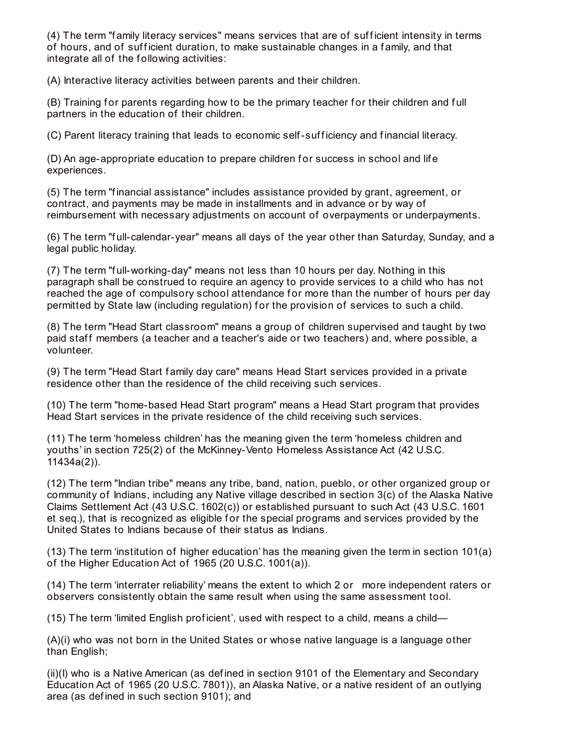(4) The term "family literacy services" means services that are of sufficient intensity in terms of hours, and of sufficient duration, to make sustainable changes in a family, and that integrate all of the following activities:

(A) Interactive literacy activities between parents and their children.

(B) Training for parents regarding how to be the primary teacher for their children and full partners in the education of their children.

(C) Parent literacy training that leads to economic self-suf f iciency and f inancial literacy.

(D) An age-appropriate education to prepare children for success in school and life experiences.

(5) The term "f inancial assistance" includes assistance provided by grant, agreement, or contract, and payments may be made in installments and in advance or by way of reimbursement with necessary adjustments on account of overpayments or underpayments.

(6) The term "f ull-calendar-year" means all days of the year other than Saturday, Sunday, and a legal public holiday.

(7) The term "full-working-day" means not less than 10 hours per day. Nothing in this paragraph shall be construed to require an agency to provide services to a child who has not reached the age of compulsory school attendance for more than the number of hours per day permitted by State law (including regulation) for the provision of services to such a child.

(8) The term "Head Start classroom" means a group of children supervised and taught by two paid staff members (a teacher and a teacher's aide or two teachers) and, where possible, a volunteer.

(9) The term "Head Start f amily day care" means Head Start services provided in a private residence other than the residence of the child receiving such services.

(10) The term "home-based Head Start program" means a Head Start program that provides Head Start services in the private residence of the child receiving such services.

(11) The term 'homeless children' has the meaning given the term 'homeless children and youths' in section 725(2) of the McKinney-Vento Homeless Assistance Act (42 U.S.C. 11434a(2)).

(12) The term "Indian tribe" means any tribe, band, nation, pueblo, or other organized group or community of Indians, including any Native village described in section 3(c) of the Alaska Native Claims Settlement Act (43 U.S.C. 1602(c)) or established pursuant to such Act (43 U.S.C. 1601 et seq.), that is recognized as eligible for the special programs and services provided by the United States to Indians because of their status as Indians.

(13) The term 'institution of higher education' has the meaning given the term in section 101(a) of the Higher Education Act of 1965 (20 U.S.C. 1001(a)).

(14) The term 'interrater reliability' means the extent to which 2 or more independent raters or observers consistently obtain the same result when using the same assessment tool.

(15) The term 'limited English prof icient', used with respect to a child, means a child—

(A)(i) who was not born in the United States or whose native language is a language other than English;

(ii)(I) who is a Native American (as def ined in section 9101 of the Elementary and Secondary Education Act of 1965 (20 U.S.C. 7801)), an Alaska Native, or a native resident of an outlying area (as def ined in such section 9101); and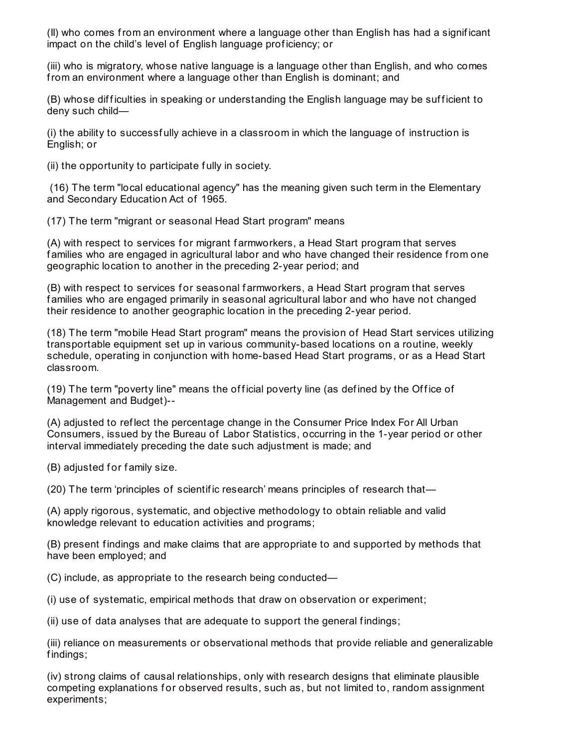(II) who comes from an environment where a language other than English has had a signif icant impact on the child's level of English language prof iciency; or

(iii) who is migratory, whose native language is a language other than English, and who comes from an environment where a language other than English is dominant; and

(B) whose difficulties in speaking or understanding the English language may be sufficient to deny such child—

(i) the ability to successf ully achieve in a classroom in which the language of instruction is English; or

(ii) the opportunity to participate f ully in society.

(16) The term "local educational agency" has the meaning given such term in the Elementary and Secondary Education Act of 1965.

(17) The term "migrant or seasonal Head Start program" means

(A) with respect to services for migrant farmworkers, a Head Start program that serves f amilies who are engaged in agricultural labor and who have changed their residence from one geographic location to another in the preceding 2-year period; and

(B) with respect to services for seasonal farmworkers, a Head Start program that serves f amilies who are engaged primarily in seasonal agricultural labor and who have not changed their residence to another geographic location in the preceding 2-year period.

(18) The term "mobile Head Start program" means the provision of Head Start services utilizing transportable equipment set up in various community-based locations on a routine, weekly schedule, operating in conjunction with home-based Head Start programs, or as a Head Start classroom.

(19) The term "poverty line" means the official poverty line (as defined by the Office of Management and Budget)--

(A) adjusted to ref lect the percentage change in the Consumer Price Index For All Urban Consumers, issued by the Bureau of Labor Statistics, occurring in the 1-year period or other interval immediately preceding the date such adjustment is made; and

(B) adjusted for family size.

(20) The term 'principles of scientif ic research' means principles of research that—

(A) apply rigorous, systematic, and objective methodology to obtain reliable and valid knowledge relevant to education activities and programs;

(B) present f indings and make claims that are appropriate to and supported by methods that have been employed; and

(C) include, as appropriate to the research being conducted—

(i) use of systematic, empirical methods that draw on observation or experiment;

(ii) use of data analyses that are adequate to support the general f indings;

(iii) reliance on measurements or observational methods that provide reliable and generalizable f indings;

(iv) strong claims of causal relationships, only with research designs that eliminate plausible competing explanations for observed results, such as, but not limited to, random assignment experiments;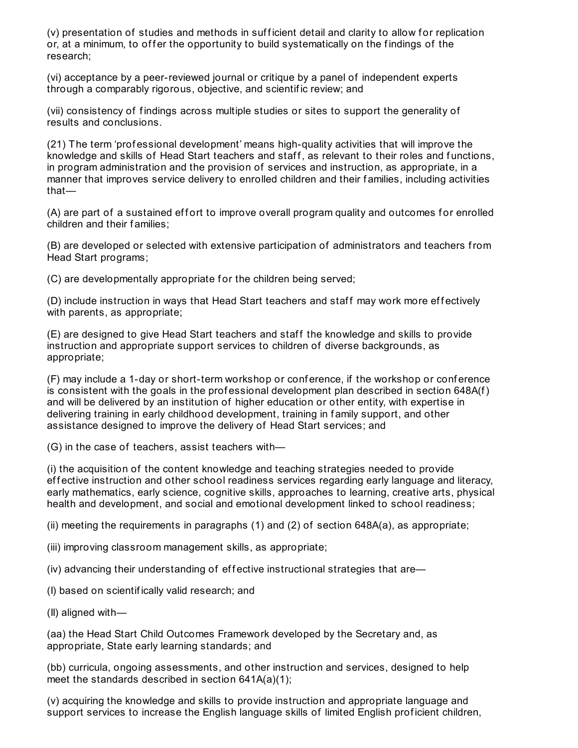(v) presentation of studies and methods in sufficient detail and clarity to allow for replication or, at a minimum, to offer the opportunity to build systematically on the findings of the research;

(vi) acceptance by a peer-reviewed journal or critique by a panel of independent experts through a comparably rigorous, objective, and scientif ic review; and

(vii) consistency of f indings across multiple studies or sites to support the generality of results and conclusions.

(21) The term 'prof essional development' means high-quality activities that will improve the knowledge and skills of Head Start teachers and staff, as relevant to their roles and functions, in program administration and the provision of services and instruction, as appropriate, in a manner that improves service delivery to enrolled children and their f amilies, including activities that—

(A) are part of a sustained effort to improve overall program quality and outcomes for enrolled children and their f amilies;

(B) are developed or selected with extensive participation of administrators and teachers from Head Start programs;

(C) are developmentally appropriate for the children being served;

(D) include instruction in ways that Head Start teachers and staff may work more effectively with parents, as appropriate;

(E) are designed to give Head Start teachers and staff the knowledge and skills to provide instruction and appropriate support services to children of diverse backgrounds, as appropriate;

(F) may include a 1-day or short-term workshop or conference, if the workshop or conference is consistent with the goals in the professional development plan described in section  $648A(f)$ and will be delivered by an institution of higher education or other entity, with expertise in delivering training in early childhood development, training in f amily support, and other assistance designed to improve the delivery of Head Start services; and

(G) in the case of teachers, assist teachers with—

(i) the acquisition of the content knowledge and teaching strategies needed to provide effective instruction and other school readiness services regarding early language and literacy, early mathematics, early science, cognitive skills, approaches to learning, creative arts, physical health and development, and social and emotional development linked to school readiness;

(ii) meeting the requirements in paragraphs (1) and (2) of section 648A(a), as appropriate;

(iii) improving classroom management skills, as appropriate;

 $(iv)$  advancing their understanding of effective instructional strategies that are—

(I) based on scientif ically valid research; and

(II) aligned with—

(aa) the Head Start Child Outcomes Framework developed by the Secretary and, as appropriate, State early learning standards; and

(bb) curricula, ongoing assessments, and other instruction and services, designed to help meet the standards described in section 641A(a)(1);

(v) acquiring the knowledge and skills to provide instruction and appropriate language and support services to increase the English language skills of limited English proficient children,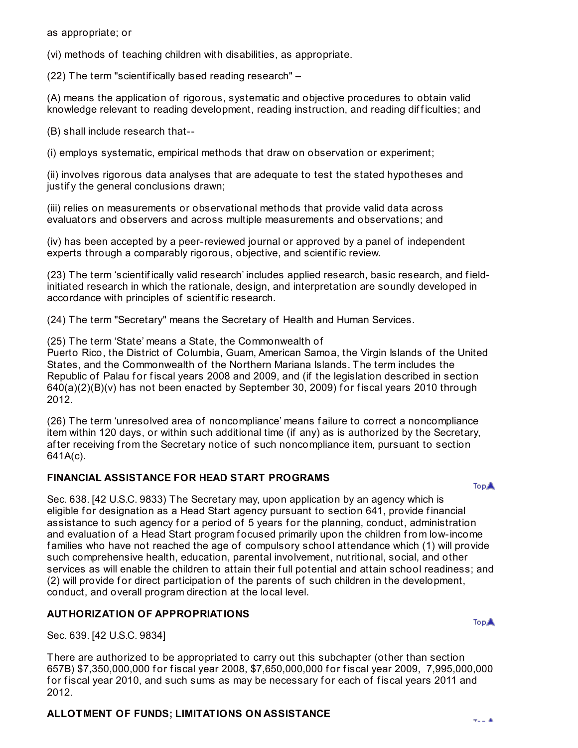as appropriate; or

(vi) methods of teaching children with disabilities, as appropriate.

(22) The term "scientif ically based reading research" –

(A) means the application of rigorous, systematic and objective procedures to obtain valid knowledge relevant to reading development, reading instruction, and reading difficulties; and

(B) shall include research that--

(i) employs systematic, empirical methods that draw on observation or experiment;

(ii) involves rigorous data analyses that are adequate to test the stated hypotheses and justify the general conclusions drawn;

(iii) relies on measurements or observational methods that provide valid data across evaluators and observers and across multiple measurements and observations; and

(iv) has been accepted by a peer-reviewed journal or approved by a panel of independent experts through a comparably rigorous, objective, and scientif ic review.

(23) The term 'scientif ically valid research' includes applied research, basic research, and f ieldinitiated research in which the rationale, design, and interpretation are soundly developed in accordance with principles of scientif ic research.

(24) The term "Secretary" means the Secretary of Health and Human Services.

(25) The term 'State' means a State, the Commonwealth of

Puerto Rico, the District of Columbia, Guam, American Samoa, the Virgin Islands of the United States, and the Commonwealth of the Northern Mariana Islands. The term includes the Republic of Palau for fiscal years 2008 and 2009, and (if the legislation described in section  $640(a)(2)(B)(v)$  has not been enacted by September 30, 2009) for fiscal years 2010 through 2012.

(26) The term 'unresolved area of noncompliance' means f ailure to correct a noncompliance item within 120 days, or within such additional time (if any) as is authorized by the Secretary, af ter receiving from the Secretary notice of such noncompliance item, pursuant to section 641A(c).

## **FINANCIAL ASSISTANCE FOR HEAD START PROGRAMS**

**TopA** 

Sec. 638. [42 U.S.C. 9833) The Secretary may, upon application by an agency which is eligible for designation as a Head Start agency pursuant to section 641, provide financial assistance to such agency for a period of 5 years for the planning, conduct, administration and evaluation of a Head Start program focused primarily upon the children from low-income f amilies who have not reached the age of compulsory school attendance which (1) will provide such comprehensive health, education, parental involvement, nutritional, social, and other services as will enable the children to attain their full potential and attain school readiness; and (2) will provide for direct participation of the parents of such children in the development, conduct, and overall program direction at the local level.

## **AUTHORIZATION OF APPROPRIATIONS**

Sec. 639. [42 U.S.C. 9834]

There are authorized to be appropriated to carry out this subchapter (other than section 657B) \$7,350,000,000 f or f iscal year 2008, \$7,650,000,000 f or f iscal year 2009, 7,995,000,000 for fiscal year 2010, and such sums as may be necessary for each of fiscal years 2011 and 2012.

# **ALLOTMENT OF FUNDS; LIMITATIONS ON ASSISTANCE**

**TopA**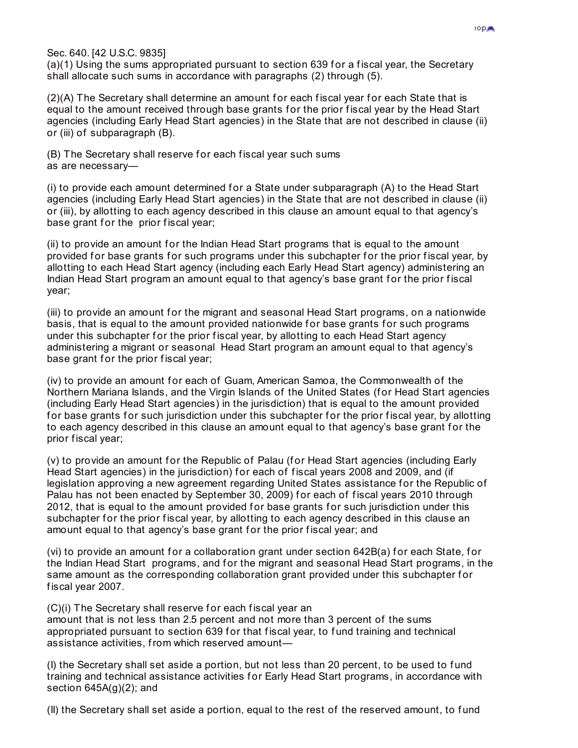Sec. 640. [42 U.S.C. 9835]

(a)(1) Using the sums appropriated pursuant to section 639 for a fiscal year, the Secretary shall allocate such sums in accordance with paragraphs (2) through (5).

(2)(A) The Secretary shall determine an amount for each fiscal year for each State that is equal to the amount received through base grants for the prior fiscal year by the Head Start agencies (including Early Head Start agencies) in the State that are not described in clause (ii) or (iii) of subparagraph (B).

(B) The Secretary shall reserve for each fiscal year such sums as are necessary—

(i) to provide each amount determined for a State under subparagraph  $(A)$  to the Head Start agencies (including Early Head Start agencies) in the State that are not described in clause (ii) or (iii), by allotting to each agency described in this clause an amount equal to that agency's base grant for the prior fiscal year;

(ii) to provide an amount for the Indian Head Start programs that is equal to the amount provided for base grants for such programs under this subchapter for the prior fiscal year, by allotting to each Head Start agency (including each Early Head Start agency) administering an Indian Head Start program an amount equal to that agency's base grant for the prior fiscal year;

(iii) to provide an amount for the migrant and seasonal Head Start programs, on a nationwide basis, that is equal to the amount provided nationwide for base grants for such programs under this subchapter for the prior fiscal year, by allotting to each Head Start agency administering a migrant or seasonal Head Start program an amount equal to that agency's base grant for the prior fiscal year;

(iv) to provide an amount for each of Guam, American Samoa, the Commonwealth of the Northern Mariana Islands, and the Virgin Islands of the United States (for Head Start agencies (including Early Head Start agencies) in the jurisdiction) that is equal to the amount provided for base grants for such jurisdiction under this subchapter for the prior fiscal year, by allotting to each agency described in this clause an amount equal to that agency's base grant for the prior fiscal year;

(v) to provide an amount for the Republic of Palau (for Head Start agencies (including Early Head Start agencies) in the jurisdiction) for each of fiscal years 2008 and 2009, and (if legislation approving a new agreement regarding United States assistance for the Republic of Palau has not been enacted by September 30, 2009) for each of fiscal years 2010 through 2012, that is equal to the amount provided for base grants for such jurisdiction under this subchapter for the prior fiscal year, by allotting to each agency described in this clause an amount equal to that agency's base grant for the prior fiscal year; and

(vi) to provide an amount for a collaboration grant under section  $642B(a)$  for each State, for the Indian Head Start programs, and f or the migrant and seasonal Head Start programs, in the same amount as the corresponding collaboration grant provided under this subchapter for fiscal year 2007.

(C)(i) The Secretary shall reserve f or each f iscal year an amount that is not less than 2.5 percent and not more than 3 percent of the sums appropriated pursuant to section 639 for that fiscal year, to fund training and technical assistance activities, from which reserved amount—

(I) the Secretary shall set aside a portion, but not less than 20 percent, to be used to fund training and technical assistance activities for Early Head Start programs, in accordance with section 645A(g)(2); and

(II) the Secretary shall set aside a portion, equal to the rest of the reserved amount, to f und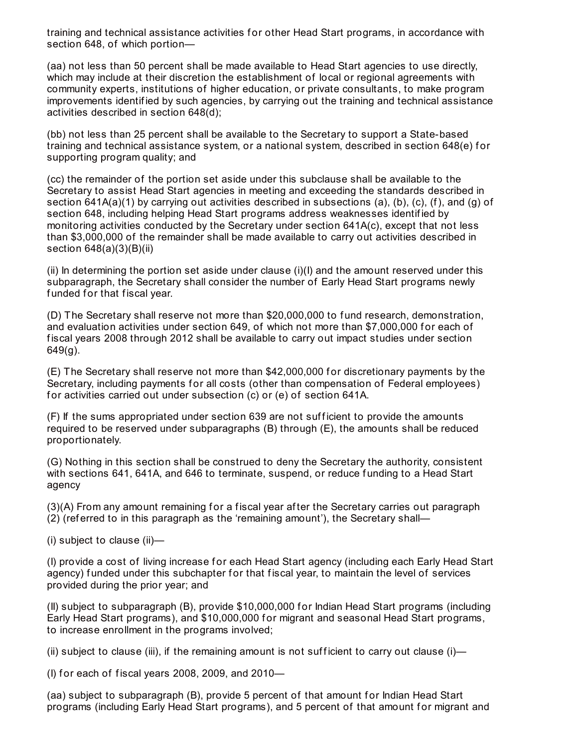training and technical assistance activities for other Head Start programs, in accordance with section 648, of which portion—

(aa) not less than 50 percent shall be made available to Head Start agencies to use directly, which may include at their discretion the establishment of local or regional agreements with community experts, institutions of higher education, or private consultants, to make program improvements identif ied by such agencies, by carrying out the training and technical assistance activities described in section 648(d);

(bb) not less than 25 percent shall be available to the Secretary to support a State-based training and technical assistance system, or a national system, described in section 648(e) for supporting program quality; and

(cc) the remainder of the portion set aside under this subclause shall be available to the Secretary to assist Head Start agencies in meeting and exceeding the standards described in section 641A(a)(1) by carrying out activities described in subsections (a), (b), (c), (f), and (g) of section 648, including helping Head Start programs address weaknesses identif ied by monitoring activities conducted by the Secretary under section 641A(c), except that not less than \$3,000,000 of the remainder shall be made available to carry out activities described in section 648(a)(3)(B)(ii)

(ii) In determining the portion set aside under clause  $(i)(i)$  and the amount reserved under this subparagraph, the Secretary shall consider the number of Early Head Start programs newly funded for that fiscal year.

(D) The Secretary shall reserve not more than \$20,000,000 to f und research, demonstration, and evaluation activities under section 649, of which not more than \$7,000,000 for each of fiscal vears 2008 through 2012 shall be available to carry out impact studies under section  $649(q)$ .

(E) The Secretary shall reserve not more than \$42,000,000 f or discretionary payments by the Secretary, including payments for all costs (other than compensation of Federal employees) for activities carried out under subsection (c) or (e) of section 641A.

(F) If the sums appropriated under section 639 are not suf f icient to provide the amounts required to be reserved under subparagraphs (B) through (E), the amounts shall be reduced proportionately.

(G) Nothing in this section shall be construed to deny the Secretary the authority, consistent with sections 641, 641A, and 646 to terminate, suspend, or reduce funding to a Head Start agency

(3)(A) From any amount remaining f or a f iscal year af ter the Secretary carries out paragraph (2) (ref erred to in this paragraph as the 'remaining amount'), the Secretary shall—

(i) subject to clause (ii)—

(I) provide a cost of living increase f or each Head Start agency (including each Early Head Start agency) funded under this subchapter for that fiscal year, to maintain the level of services provided during the prior year; and

(II) subject to subparagraph (B), provide \$10,000,000 for Indian Head Start programs (including Early Head Start programs), and \$10,000,000 for migrant and seasonal Head Start programs, to increase enrollment in the programs involved;

(ii) subject to clause (iii), if the remaining amount is not sufficient to carry out clause  $(i)$ —

(I) for each of fiscal years 2008, 2009, and  $2010-$ 

(aa) subject to subparagraph (B), provide 5 percent of that amount for Indian Head Start programs (including Early Head Start programs), and 5 percent of that amount for migrant and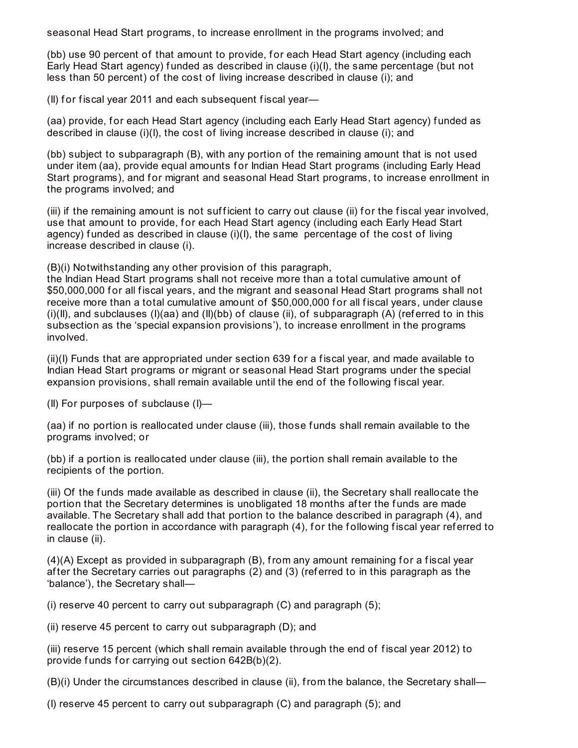seasonal Head Start programs, to increase enrollment in the programs involved; and

(bb) use 90 percent of that amount to provide, for each Head Start agency (including each Early Head Start agency) f unded as described in clause (i)(I), the same percentage (but not less than 50 percent) of the cost of living increase described in clause (i); and

(II) for fiscal year 2011 and each subsequent fiscal year-

(aa) provide, for each Head Start agency (including each Early Head Start agency) funded as described in clause (i)(I), the cost of living increase described in clause (i); and

(bb) subject to subparagraph (B), with any portion of the remaining amount that is not used under item (aa), provide equal amounts for Indian Head Start programs (including Early Head Start programs), and for migrant and seasonal Head Start programs, to increase enrollment in the programs involved; and

(iii) if the remaining amount is not sufficient to carry out clause (ii) for the fiscal year involved, use that amount to provide, f or each Head Start agency (including each Early Head Start agency) funded as described in clause  $(i)(I)$ , the same percentage of the cost of living increase described in clause (i).

(B)(i) Notwithstanding any other provision of this paragraph,

the Indian Head Start programs shall not receive more than a total cumulative amount of \$50,000,000 for all fiscal years, and the migrant and seasonal Head Start programs shall not receive more than a total cumulative amount of \$50,000,000 for all fiscal years, under clause (i)(II), and subclauses (I)(aa) and (II)(bb) of clause (ii), of subparagraph (A) (referred to in this subsection as the 'special expansion provisions'), to increase enrollment in the programs involved.

(ii)(I) Funds that are appropriated under section 639 f or a f iscal year, and made available to Indian Head Start programs or migrant or seasonal Head Start programs under the special expansion provisions, shall remain available until the end of the following fiscal year.

(II) For purposes of subclause (I)—

(aa) if no portion is reallocated under clause (iii), those f unds shall remain available to the programs involved; or

(bb) if a portion is reallocated under clause (iii), the portion shall remain available to the recipients of the portion.

(iii) Of the f unds made available as described in clause (ii), the Secretary shall reallocate the portion that the Secretary determines is unobligated 18 months af ter the f unds are made available. The Secretary shall add that portion to the balance described in paragraph (4), and reallocate the portion in accordance with paragraph (4), for the following fiscal year referred to in clause (ii).

 $(4)(A)$  Except as provided in subparagraph  $(B)$ , from any amount remaining for a fiscal year af ter the Secretary carries out paragraphs (2) and (3) (ref erred to in this paragraph as the 'balance'), the Secretary shall—

(i) reserve 40 percent to carry out subparagraph  $(C)$  and paragraph  $(5)$ ;

(ii) reserve 45 percent to carry out subparagraph (D); and

(iii) reserve 15 percent (which shall remain available through the end of f iscal year 2012) to provide funds for carrying out section  $642B(b)(2)$ .

(B)(i) Under the circumstances described in clause (ii), from the balance, the Secretary shall—

(I) reserve 45 percent to carry out subparagraph (C) and paragraph (5); and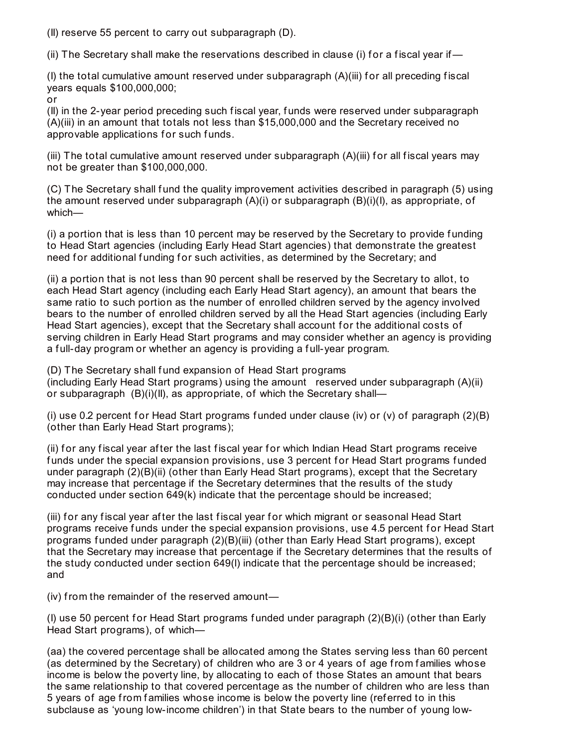(II) reserve 55 percent to carry out subparagraph (D).

(ii) The Secretary shall make the reservations described in clause (i) for a fiscal year if  $-$ 

(I) the total cumulative amount reserved under subparagraph (A)(iii) for all preceding fiscal years equals \$100,000,000;

or

(II) in the 2-year period preceding such f iscal year, f unds were reserved under subparagraph (A)(iii) in an amount that totals not less than \$15,000,000 and the Secretary received no approvable applications for such funds.

(iii) The total cumulative amount reserved under subparagraph (A)(iii) for all fiscal years may not be greater than \$100,000,000.

(C) The Secretary shall fund the quality improvement activities described in paragraph (5) using the amount reserved under subparagraph (A)(i) or subparagraph (B)(i)(I), as appropriate, of which—

(i) a portion that is less than 10 percent may be reserved by the Secretary to provide f unding to Head Start agencies (including Early Head Start agencies) that demonstrate the greatest need for additional funding for such activities, as determined by the Secretary; and

(ii) a portion that is not less than 90 percent shall be reserved by the Secretary to allot, to each Head Start agency (including each Early Head Start agency), an amount that bears the same ratio to such portion as the number of enrolled children served by the agency involved bears to the number of enrolled children served by all the Head Start agencies (including Early Head Start agencies), except that the Secretary shall account for the additional costs of serving children in Early Head Start programs and may consider whether an agency is providing a full-day program or whether an agency is providing a full-year program.

(D) The Secretary shall fund expansion of Head Start programs (including Early Head Start programs) using the amount reserved under subparagraph (A)(ii) or subparagraph (B)(i)(II), as appropriate, of which the Secretary shall—

(i) use 0.2 percent for Head Start programs funded under clause (iv) or (v) of paragraph  $(2)(B)$ (other than Early Head Start programs);

(ii) for any fiscal year after the last fiscal year for which Indian Head Start programs receive funds under the special expansion provisions, use 3 percent for Head Start programs funded under paragraph (2)(B)(ii) (other than Early Head Start programs), except that the Secretary may increase that percentage if the Secretary determines that the results of the study conducted under section 649(k) indicate that the percentage should be increased;

(iii) for any fiscal year after the last fiscal year for which migrant or seasonal Head Start programs receive funds under the special expansion provisions, use 4.5 percent for Head Start programs funded under paragraph (2)(B)(iii) (other than Early Head Start programs), except that the Secretary may increase that percentage if the Secretary determines that the results of the study conducted under section 649(l) indicate that the percentage should be increased; and

(iv) from the remainder of the reserved amount—

(I) use 50 percent for Head Start programs funded under paragraph  $(2)(B)(i)$  (other than Early Head Start programs), of which—

(aa) the covered percentage shall be allocated among the States serving less than 60 percent (as determined by the Secretary) of children who are 3 or 4 years of age from families whose income is below the poverty line, by allocating to each of those States an amount that bears the same relationship to that covered percentage as the number of children who are less than 5 years of age from f amilies whose income is below the poverty line (ref erred to in this subclause as 'young low-income children') in that State bears to the number of young low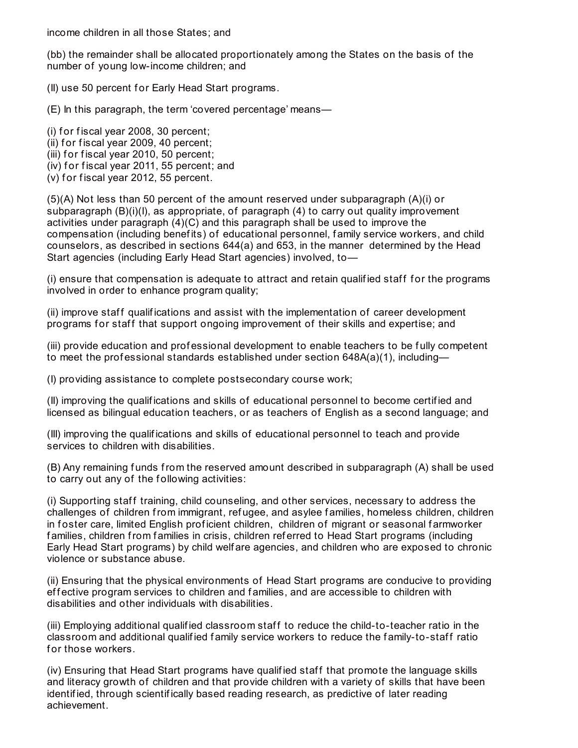income children in all those States; and

(bb) the remainder shall be allocated proportionately among the States on the basis of the number of young low-income children; and

(II) use 50 percent for Early Head Start programs.

(E) In this paragraph, the term 'covered percentage' means—

 $(i)$  for fiscal year 2008, 30 percent;

(ii) for fiscal year 2009, 40 percent;

(iii) for fiscal year 2010, 50 percent;

(iv) for fiscal year 2011, 55 percent; and

 $(v)$  for fiscal year 2012, 55 percent.

(5)(A) Not less than 50 percent of the amount reserved under subparagraph (A)(i) or subparagraph  $(B)(i)(l)$ , as appropriate, of paragraph  $(4)$  to carry out quality improvement activities under paragraph (4)(C) and this paragraph shall be used to improve the compensation (including benef its) of educational personnel, f amily service workers, and child counselors, as described in sections 644(a) and 653, in the manner determined by the Head Start agencies (including Early Head Start agencies) involved, to—

(i) ensure that compensation is adequate to attract and retain qualified staff for the programs involved in order to enhance program quality;

(ii) improve staff qualifications and assist with the implementation of career development programs for staff that support ongoing improvement of their skills and expertise; and

(iii) provide education and prof essional development to enable teachers to be f ully competent to meet the professional standards established under section  $648A(a)(1)$ , including—

(I) providing assistance to complete postsecondary course work;

(II) improving the qualif ications and skills of educational personnel to become certif ied and licensed as bilingual education teachers, or as teachers of English as a second language; and

(III) improving the qualif ications and skills of educational personnel to teach and provide services to children with disabilities.

(B) Any remaining f unds from the reserved amount described in subparagraph (A) shall be used to carry out any of the following activities:

(i) Supporting staf f training, child counseling, and other services, necessary to address the challenges of children from immigrant, ref ugee, and asylee f amilies, homeless children, children in foster care, limited English proficient children, children of migrant or seasonal farmworker families, children from families in crisis, children referred to Head Start programs (including Early Head Start programs) by child welf are agencies, and children who are exposed to chronic violence or substance abuse.

(ii) Ensuring that the physical environments of Head Start programs are conducive to providing effective program services to children and families, and are accessible to children with disabilities and other individuals with disabilities.

(iii) Employing additional qualified classroom staff to reduce the child-to-teacher ratio in the classroom and additional qualif ied f amily service workers to reduce the f amily-to-staf f ratio for those workers.

(iv) Ensuring that Head Start programs have qualified staff that promote the language skills and literacy growth of children and that provide children with a variety of skills that have been identif ied, through scientif ically based reading research, as predictive of later reading achievement.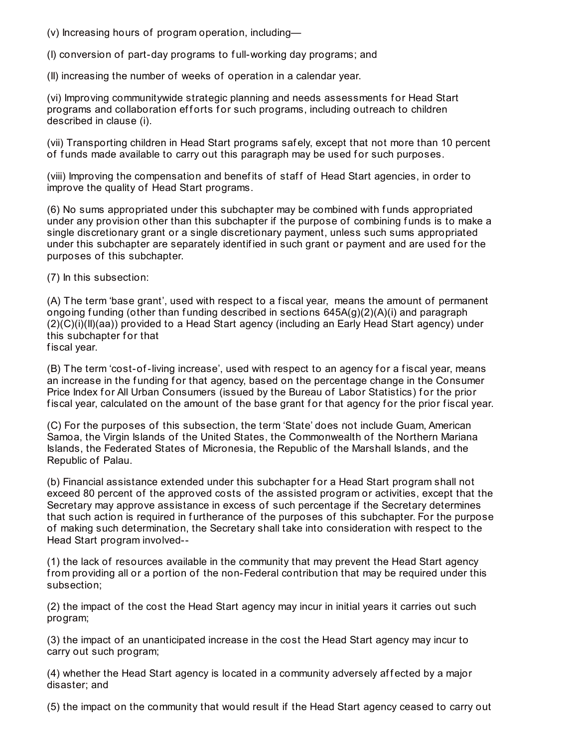(v) Increasing hours of program operation, including—

(I) conversion of part-day programs to f ull-working day programs; and

(II) increasing the number of weeks of operation in a calendar year.

(vi) Improving communitywide strategic planning and needs assessments for Head Start programs and collaboration efforts for such programs, including outreach to children described in clause (i).

(vii) Transporting children in Head Start programs saf ely, except that not more than 10 percent of funds made available to carry out this paragraph may be used for such purposes.

(viii) Improving the compensation and benef its of staf f of Head Start agencies, in order to improve the quality of Head Start programs.

(6) No sums appropriated under this subchapter may be combined with f unds appropriated under any provision other than this subchapter if the purpose of combining funds is to make a single discretionary grant or a single discretionary payment, unless such sums appropriated under this subchapter are separately identified in such grant or payment and are used for the purposes of this subchapter.

(7) In this subsection:

(A) The term 'base grant', used with respect to a f iscal year, means the amount of permanent ongoing funding (other than funding described in sections  $645A(g)(2)(A)(i)$  and paragraph (2)(C)(i)(II)(aa)) provided to a Head Start agency (including an Early Head Start agency) under this subchapter for that

fiscal year.

(B) The term 'cost-of-living increase', used with respect to an agency for a fiscal year, means an increase in the funding for that agency, based on the percentage change in the Consumer Price Index for All Urban Consumers (issued by the Bureau of Labor Statistics) for the prior fiscal year, calculated on the amount of the base grant for that agency for the prior fiscal year.

(C) For the purposes of this subsection, the term 'State' does not include Guam, American Samoa, the Virgin Islands of the United States, the Commonwealth of the Northern Mariana Islands, the Federated States of Micronesia, the Republic of the Marshall Islands, and the Republic of Palau.

(b) Financial assistance extended under this subchapter f or a Head Start program shall not exceed 80 percent of the approved costs of the assisted program or activities, except that the Secretary may approve assistance in excess of such percentage if the Secretary determines that such action is required in furtherance of the purposes of this subchapter. For the purpose of making such determination, the Secretary shall take into consideration with respect to the Head Start program involved--

(1) the lack of resources available in the community that may prevent the Head Start agency from providing all or a portion of the non-Federal contribution that may be required under this subsection;

(2) the impact of the cost the Head Start agency may incur in initial years it carries out such program;

(3) the impact of an unanticipated increase in the cost the Head Start agency may incur to carry out such program;

(4) whether the Head Start agency is located in a community adversely affected by a major disaster; and

(5) the impact on the community that would result if the Head Start agency ceased to carry out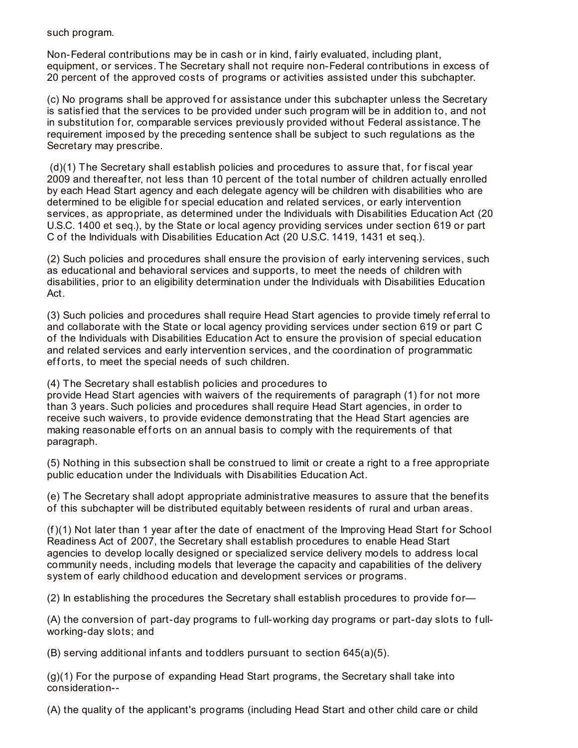such program.

Non-Federal contributions may be in cash or in kind, f airly evaluated, including plant, equipment, or services. The Secretary shall not require non-Federal contributions in excess of 20 percent of the approved costs of programs or activities assisted under this subchapter.

(c) No programs shall be approved f or assistance under this subchapter unless the Secretary is satisfied that the services to be provided under such program will be in addition to, and not in substitution for, comparable services previously provided without Federal assistance. The requirement imposed by the preceding sentence shall be subject to such regulations as the Secretary may prescribe.

 $(d)(1)$  The Secretary shall establish policies and procedures to assure that, for fiscal year 2009 and thereaf ter, not less than 10 percent of the total number of children actually enrolled by each Head Start agency and each delegate agency will be children with disabilities who are determined to be eligible for special education and related services, or early intervention services, as appropriate, as determined under the Individuals with Disabilities Education Act (20 U.S.C. 1400 et seq.), by the State or local agency providing services under section 619 or part C of the Individuals with Disabilities Education Act (20 U.S.C. 1419, 1431 et seq.).

(2) Such policies and procedures shall ensure the provision of early intervening services, such as educational and behavioral services and supports, to meet the needs of children with disabilities, prior to an eligibility determination under the Individuals with Disabilities Education Act.

(3) Such policies and procedures shall require Head Start agencies to provide timely ref erral to and collaborate with the State or local agency providing services under section 619 or part C of the Individuals with Disabilities Education Act to ensure the provision of special education and related services and early intervention services, and the coordination of programmatic efforts, to meet the special needs of such children.

(4) The Secretary shall establish policies and procedures to

provide Head Start agencies with waivers of the requirements of paragraph (1) for not more than 3 years. Such policies and procedures shall require Head Start agencies, in order to receive such waivers, to provide evidence demonstrating that the Head Start agencies are making reasonable efforts on an annual basis to comply with the requirements of that paragraph.

(5) Nothing in this subsection shall be construed to limit or create a right to a free appropriate public education under the Individuals with Disabilities Education Act.

(e) The Secretary shall adopt appropriate administrative measures to assure that the benef its of this subchapter will be distributed equitably between residents of rural and urban areas.

(f)(1) Not later than 1 year af ter the date of enactment of the Improving Head Start f or School Readiness Act of 2007, the Secretary shall establish procedures to enable Head Start agencies to develop locally designed or specialized service delivery models to address local community needs, including models that leverage the capacity and capabilities of the delivery system of early childhood education and development services or programs.

(2) In establishing the procedures the Secretary shall establish procedures to provide for—

(A) the conversion of part-day programs to f ull-working day programs or part-day slots to f ullworking-day slots; and

 $(B)$  serving additional infants and toddlers pursuant to section 645(a)(5).

(g)(1) For the purpose of expanding Head Start programs, the Secretary shall take into consideration--

(A) the quality of the applicant's programs (including Head Start and other child care or child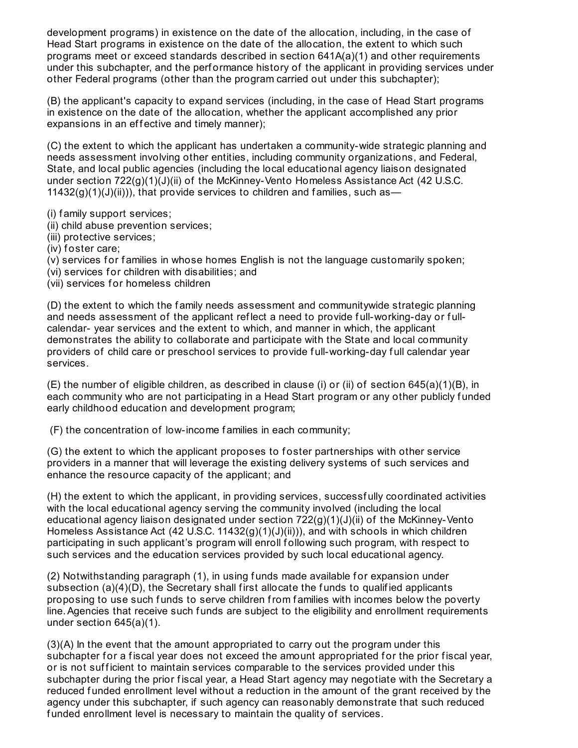development programs) in existence on the date of the allocation, including, in the case of Head Start programs in existence on the date of the allocation, the extent to which such programs meet or exceed standards described in section 641A(a)(1) and other requirements under this subchapter, and the perf ormance history of the applicant in providing services under other Federal programs (other than the program carried out under this subchapter);

(B) the applicant's capacity to expand services (including, in the case of Head Start programs in existence on the date of the allocation, whether the applicant accomplished any prior expansions in an effective and timely manner);

(C) the extent to which the applicant has undertaken a community-wide strategic planning and needs assessment involving other entities, including community organizations, and Federal, State, and local public agencies (including the local educational agency liaison designated under section  $722(q)(1)(J)(ii)$  of the McKinney-Vento Homeless Assistance Act (42 U.S.C.  $11432(g)(1)(J)(ii))$ , that provide services to children and families, such as-

(i) f amily support services;

- (ii) child abuse prevention services;
- (iii) protective services;
- (iv) foster care;
- (v) services for families in whose homes English is not the language customarily spoken;
- (vi) services for children with disabilities; and
- (vii) services for homeless children

(D) the extent to which the f amily needs assessment and communitywide strategic planning and needs assessment of the applicant reflect a need to provide full-working-day or fullcalendar- year services and the extent to which, and manner in which, the applicant demonstrates the ability to collaborate and participate with the State and local community providers of child care or preschool services to provide f ull-working-day f ull calendar year services.

(E) the number of eligible children, as described in clause (i) or (ii) of section 645(a)(1)(B), in each community who are not participating in a Head Start program or any other publicly funded early childhood education and development program;

(F) the concentration of low-income f amilies in each community;

(G) the extent to which the applicant proposes to f oster partnerships with other service providers in a manner that will leverage the existing delivery systems of such services and enhance the resource capacity of the applicant; and

(H) the extent to which the applicant, in providing services, successf ully coordinated activities with the local educational agency serving the community involved (including the local educational agency liaison designated under section 722(g)(1)(J)(ii) of the McKinney-Vento Homeless Assistance Act (42 U.S.C. 11432(g)(1)(J)(ii))), and with schools in which children participating in such applicant's program will enroll f ollowing such program, with respect to such services and the education services provided by such local educational agency.

(2) Notwithstanding paragraph (1), in using funds made available for expansion under subsection  $(a)(4)(D)$ , the Secretary shall first allocate the funds to qualified applicants proposing to use such funds to serve children from families with incomes below the poverty line.Agencies that receive such f unds are subject to the eligibility and enrollment requirements under section 645(a)(1).

(3)(A) In the event that the amount appropriated to carry out the program under this subchapter for a fiscal year does not exceed the amount appropriated for the prior fiscal year, or is not sufficient to maintain services comparable to the services provided under this subchapter during the prior fiscal year, a Head Start agency may negotiate with the Secretary a reduced f unded enrollment level without a reduction in the amount of the grant received by the agency under this subchapter, if such agency can reasonably demonstrate that such reduced funded enrollment level is necessary to maintain the quality of services.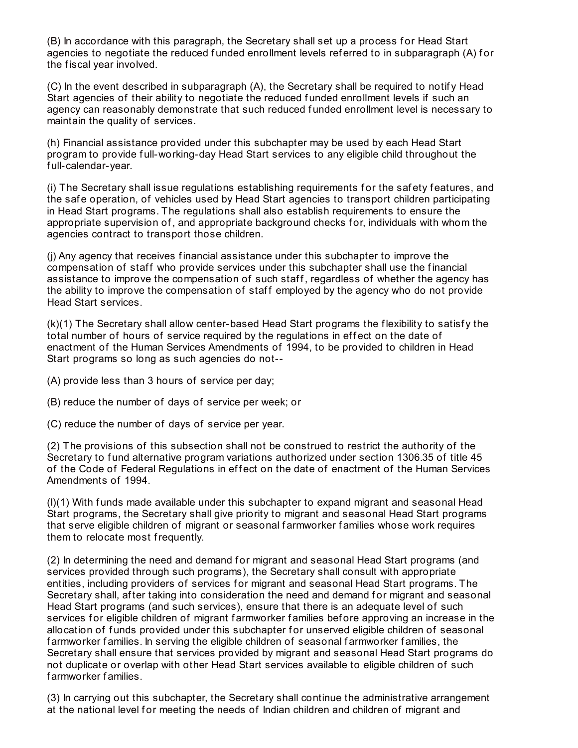(B) In accordance with this paragraph, the Secretary shall set up a process for Head Start agencies to negotiate the reduced funded enrollment levels referred to in subparagraph (A) for the fiscal year involved.

(C) In the event described in subparagraph (A), the Secretary shall be required to notif y Head Start agencies of their ability to negotiate the reduced funded enrollment levels if such an agency can reasonably demonstrate that such reduced f unded enrollment level is necessary to maintain the quality of services.

(h) Financial assistance provided under this subchapter may be used by each Head Start program to provide f ull-working-day Head Start services to any eligible child throughout the f ull-calendar-year.

(i) The Secretary shall issue regulations establishing requirements f or the saf ety f eatures, and the safe operation, of vehicles used by Head Start agencies to transport children participating in Head Start programs. The regulations shall also establish requirements to ensure the appropriate supervision of, and appropriate background checks for, individuals with whom the agencies contract to transport those children.

(j) Any agency that receives f inancial assistance under this subchapter to improve the compensation of staff who provide services under this subchapter shall use the financial assistance to improve the compensation of such staff, regardless of whether the agency has the ability to improve the compensation of staff employed by the agency who do not provide Head Start services.

 $(k)(1)$  The Secretary shall allow center-based Head Start programs the flexibility to satisfy the total number of hours of service required by the regulations in effect on the date of enactment of the Human Services Amendments of 1994, to be provided to children in Head Start programs so long as such agencies do not--

(A) provide less than 3 hours of service per day;

(B) reduce the number of days of service per week; or

(C) reduce the number of days of service per year.

(2) The provisions of this subsection shall not be construed to restrict the authority of the Secretary to fund alternative program variations authorized under section 1306.35 of title 45 of the Code of Federal Regulations in effect on the date of enactment of the Human Services Amendments of 1994.

(l)(1) With f unds made available under this subchapter to expand migrant and seasonal Head Start programs, the Secretary shall give priority to migrant and seasonal Head Start programs that serve eligible children of migrant or seasonal f armworker f amilies whose work requires them to relocate most frequently.

(2) In determining the need and demand f or migrant and seasonal Head Start programs (and services provided through such programs), the Secretary shall consult with appropriate entities, including providers of services for migrant and seasonal Head Start programs. The Secretary shall, after taking into consideration the need and demand for migrant and seasonal Head Start programs (and such services), ensure that there is an adequate level of such services for eligible children of migrant farmworker families before approving an increase in the allocation of funds provided under this subchapter for unserved eligible children of seasonal farmworker families. In serving the eligible children of seasonal farmworker families, the Secretary shall ensure that services provided by migrant and seasonal Head Start programs do not duplicate or overlap with other Head Start services available to eligible children of such f armworker f amilies.

(3) In carrying out this subchapter, the Secretary shall continue the administrative arrangement at the national level for meeting the needs of Indian children and children of migrant and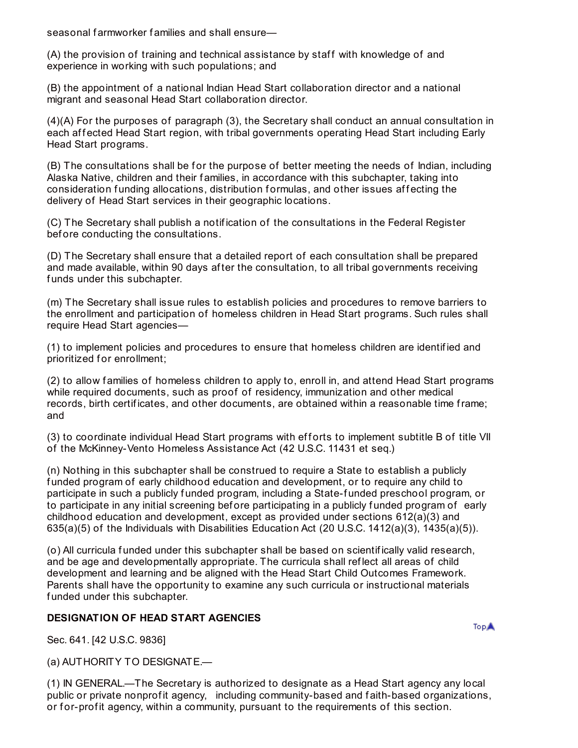seasonal farmworker families and shall ensure—

(A) the provision of training and technical assistance by staff with knowledge of and experience in working with such populations; and

(B) the appointment of a national Indian Head Start collaboration director and a national migrant and seasonal Head Start collaboration director.

(4)(A) For the purposes of paragraph (3), the Secretary shall conduct an annual consultation in each affected Head Start region, with tribal governments operating Head Start including Early Head Start programs.

(B) The consultations shall be for the purpose of better meeting the needs of Indian, including Alaska Native, children and their f amilies, in accordance with this subchapter, taking into consideration funding allocations, distribution formulas, and other issues affecting the delivery of Head Start services in their geographic locations.

(C) The Secretary shall publish a notif ication of the consultations in the Federal Register bef ore conducting the consultations.

(D) The Secretary shall ensure that a detailed report of each consultation shall be prepared and made available, within 90 days af ter the consultation, to all tribal governments receiving funds under this subchapter.

(m) The Secretary shall issue rules to establish policies and procedures to remove barriers to the enrollment and participation of homeless children in Head Start programs. Such rules shall require Head Start agencies—

(1) to implement policies and procedures to ensure that homeless children are identif ied and prioritized for enrollment;

(2) to allow f amilies of homeless children to apply to, enroll in, and attend Head Start programs while required documents, such as proof of residency, immunization and other medical records, birth certificates, and other documents, are obtained within a reasonable time frame; and

(3) to coordinate individual Head Start programs with efforts to implement subtitle B of title VII of the McKinney-Vento Homeless Assistance Act (42 U.S.C. 11431 et seq.)

(n) Nothing in this subchapter shall be construed to require a State to establish a publicly f unded program of early childhood education and development, or to require any child to participate in such a publicly f unded program, including a State-f unded preschool program, or to participate in any initial screening before participating in a publicly funded program of early childhood education and development, except as provided under sections 612(a)(3) and  $635(a)(5)$  of the Individuals with Disabilities Education Act (20 U.S.C. 1412(a)(3), 1435(a)(5)).

(o) All curricula f unded under this subchapter shall be based on scientif ically valid research, and be age and developmentally appropriate. The curricula shall ref lect all areas of child development and learning and be aligned with the Head Start Child Outcomes Framework. Parents shall have the opportunity to examine any such curricula or instructional materials f unded under this subchapter.

## **DESIGNATION OF HEAD START AGENCIES**

**TopA** 

Sec. 641. [42 U.S.C. 9836]

(a) AUTHORITY TO DESIGNATE.—

(1) IN GENERAL.—The Secretary is authorized to designate as a Head Start agency any local public or private nonprofit agency, including community-based and faith-based organizations, or for-profit agency, within a community, pursuant to the requirements of this section.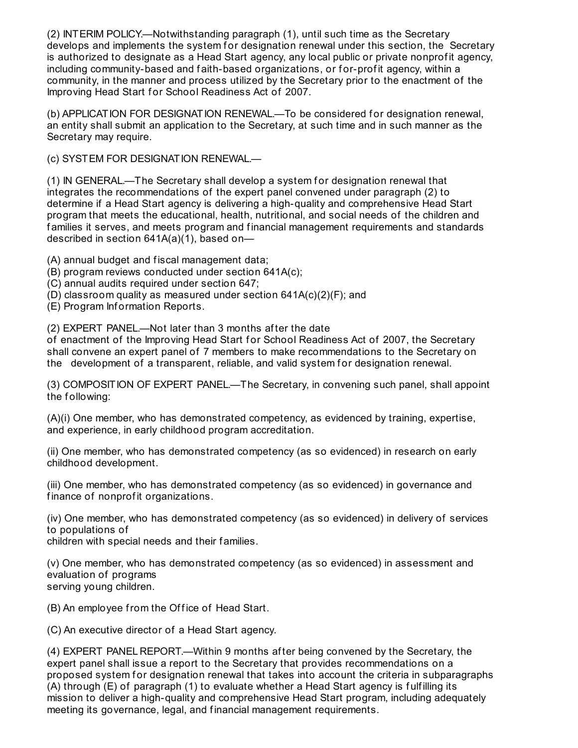(2) INTERIM POLICY.—Notwithstanding paragraph (1), until such time as the Secretary develops and implements the system for designation renewal under this section, the Secretary is authorized to designate as a Head Start agency, any local public or private nonprofit agency, including community-based and faith-based organizations, or for-profit agency, within a community, in the manner and process utilized by the Secretary prior to the enactment of the Improving Head Start for School Readiness Act of 2007.

(b) APPLICATION FOR DESIGNATION RENEWAL.—To be considered f or designation renewal, an entity shall submit an application to the Secretary, at such time and in such manner as the Secretary may require.

(c) SYSTEM FOR DESIGNATION RENEWAL.—

(1) IN GENERAL—The Secretary shall develop a system for designation renewal that integrates the recommendations of the expert panel convened under paragraph (2) to determine if a Head Start agency is delivering a high-quality and comprehensive Head Start program that meets the educational, health, nutritional, and social needs of the children and f amilies it serves, and meets program and f inancial management requirements and standards described in section 641A(a)(1), based on—

(A) annual budget and fiscal management data;

- (B) program reviews conducted under section 641A(c);
- (C) annual audits required under section 647;
- (D) classroom quality as measured under section 641A(c)(2)(F); and
- (E) Program Inf ormation Reports.

(2) EXPERT PANEL.—Not later than 3 months af ter the date

of enactment of the Improving Head Start for School Readiness Act of 2007, the Secretary shall convene an expert panel of 7 members to make recommendations to the Secretary on the development of a transparent, reliable, and valid system for designation renewal.

(3) COMPOSITION OF EXPERT PANEL.—The Secretary, in convening such panel, shall appoint the following:

(A)(i) One member, who has demonstrated competency, as evidenced by training, expertise, and experience, in early childhood program accreditation.

(ii) One member, who has demonstrated competency (as so evidenced) in research on early childhood development.

(iii) One member, who has demonstrated competency (as so evidenced) in governance and finance of nonprofit organizations.

(iv) One member, who has demonstrated competency (as so evidenced) in delivery of services to populations of

children with special needs and their f amilies.

(v) One member, who has demonstrated competency (as so evidenced) in assessment and evaluation of programs serving young children.

(B) An employee from the Office of Head Start.

(C) An executive director of a Head Start agency.

(4) EXPERT PANEL REPORT.—Within 9 months af ter being convened by the Secretary, the expert panel shall issue a report to the Secretary that provides recommendations on a proposed system for designation renewal that takes into account the criteria in subparagraphs (A) through (E) of paragraph (1) to evaluate whether a Head Start agency is f ulf illing its mission to deliver a high-quality and comprehensive Head Start program, including adequately meeting its governance, legal, and f inancial management requirements.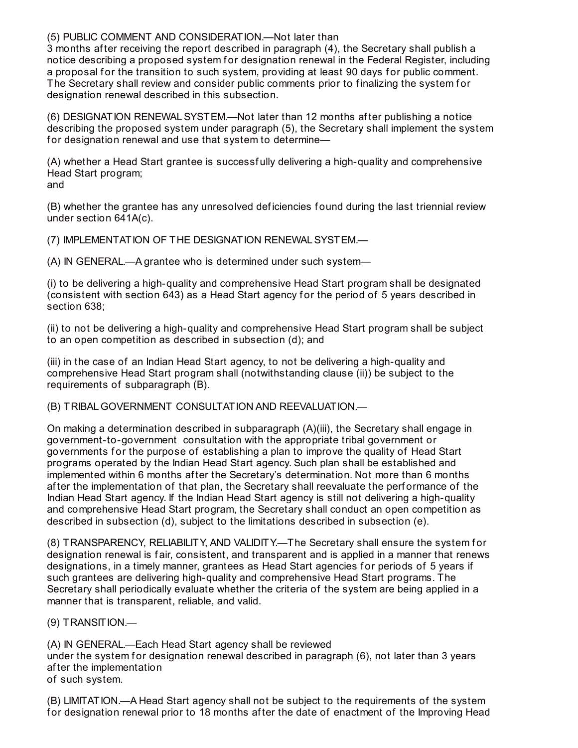## (5) PUBLIC COMMENT AND CONSIDERATION.—Not later than

3 months af ter receiving the report described in paragraph (4), the Secretary shall publish a notice describing a proposed system for designation renewal in the Federal Register, including a proposal for the transition to such system, providing at least 90 days for public comment. The Secretary shall review and consider public comments prior to finalizing the system for designation renewal described in this subsection.

(6) DESIGNATION RENEWALSYSTEM.—Not later than 12 months af ter publishing a notice describing the proposed system under paragraph (5), the Secretary shall implement the system for designation renewal and use that system to determine-

(A) whether a Head Start grantee is successf ully delivering a high-quality and comprehensive Head Start program; and

(B) whether the grantee has any unresolved def iciencies f ound during the last triennial review under section 641A(c).

(7) IMPLEMENTATION OF THE DESIGNATION RENEWALSYSTEM.—

(A) IN GENERAL.—A grantee who is determined under such system—

(i) to be delivering a high-quality and comprehensive Head Start program shall be designated (consistent with section 643) as a Head Start agency for the period of 5 years described in section 638;

(ii) to not be delivering a high-quality and comprehensive Head Start program shall be subject to an open competition as described in subsection (d); and

(iii) in the case of an Indian Head Start agency, to not be delivering a high-quality and comprehensive Head Start program shall (notwithstanding clause (ii)) be subject to the requirements of subparagraph (B).

(B) TRIBAL GOVERNMENT CONSULTATION AND REEVALUATION.—

On making a determination described in subparagraph (A)(iii), the Secretary shall engage in government-to-government consultation with the appropriate tribal government or governments for the purpose of establishing a plan to improve the quality of Head Start programs operated by the Indian Head Start agency. Such plan shall be established and implemented within 6 months af ter the Secretary's determination. Not more than 6 months af ter the implementation of that plan, the Secretary shall reevaluate the perf ormance of the Indian Head Start agency. If the Indian Head Start agency is still not delivering a high-quality and comprehensive Head Start program, the Secretary shall conduct an open competition as described in subsection (d), subject to the limitations described in subsection (e).

(8) TRANSPARENCY, RELIABILITY, AND VALIDITY.—The Secretary shall ensure the system f or designation renewal is f air, consistent, and transparent and is applied in a manner that renews designations, in a timely manner, grantees as Head Start agencies for periods of 5 years if such grantees are delivering high-quality and comprehensive Head Start programs. The Secretary shall periodically evaluate whether the criteria of the system are being applied in a manner that is transparent, reliable, and valid.

(9) TRANSITION.—

(A) IN GENERAL.—Each Head Start agency shall be reviewed under the system for designation renewal described in paragraph  $(6)$ , not later than 3 years af ter the implementation of such system.

(B) LIMITATION.—A Head Start agency shall not be subject to the requirements of the system for designation renewal prior to 18 months after the date of enactment of the Improving Head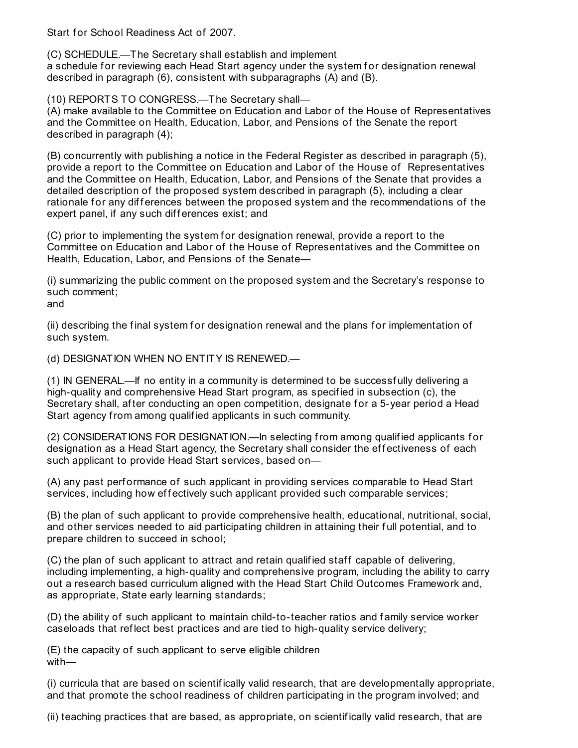Start for School Readiness Act of 2007.

(C) SCHEDULE.—The Secretary shall establish and implement a schedule for reviewing each Head Start agency under the system for designation renewal described in paragraph (6), consistent with subparagraphs (A) and (B).

(10) REPORTS TO CONGRESS.—The Secretary shall—

(A) make available to the Committee on Education and Labor of the House of Representatives and the Committee on Health, Education, Labor, and Pensions of the Senate the report described in paragraph (4);

(B) concurrently with publishing a notice in the Federal Register as described in paragraph (5), provide a report to the Committee on Education and Labor of the House of Representatives and the Committee on Health, Education, Labor, and Pensions of the Senate that provides a detailed description of the proposed system described in paragraph (5), including a clear rationale for any differences between the proposed system and the recommendations of the expert panel, if any such differences exist; and

(C) prior to implementing the system for designation renewal, provide a report to the Committee on Education and Labor of the House of Representatives and the Committee on Health, Education, Labor, and Pensions of the Senate—

(i) summarizing the public comment on the proposed system and the Secretary's response to such comment;

and

(ii) describing the final system for designation renewal and the plans for implementation of such system.

(d) DESIGNATION WHEN NO ENTITY IS RENEWED.—

(1) IN GENERAL.—If no entity in a community is determined to be successf ully delivering a high-quality and comprehensive Head Start program, as specif ied in subsection (c), the Secretary shall, after conducting an open competition, designate for a 5-year period a Head Start agency from among qualif ied applicants in such community.

(2) CONSIDERATIONS FOR DESIGNATION.—In selecting from among qualif ied applicants f or designation as a Head Start agency, the Secretary shall consider the effectiveness of each such applicant to provide Head Start services, based on—

(A) any past performance of such applicant in providing services comparable to Head Start services, including how effectively such applicant provided such comparable services;

(B) the plan of such applicant to provide comprehensive health, educational, nutritional, social, and other services needed to aid participating children in attaining their f ull potential, and to prepare children to succeed in school;

(C) the plan of such applicant to attract and retain qualified staff capable of delivering, including implementing, a high-quality and comprehensive program, including the ability to carry out a research based curriculum aligned with the Head Start Child Outcomes Framework and, as appropriate, State early learning standards;

(D) the ability of such applicant to maintain child-to-teacher ratios and f amily service worker caseloads that ref lect best practices and are tied to high-quality service delivery;

(E) the capacity of such applicant to serve eligible children with—

(i) curricula that are based on scientif ically valid research, that are developmentally appropriate, and that promote the school readiness of children participating in the program involved; and

(ii) teaching practices that are based, as appropriate, on scientif ically valid research, that are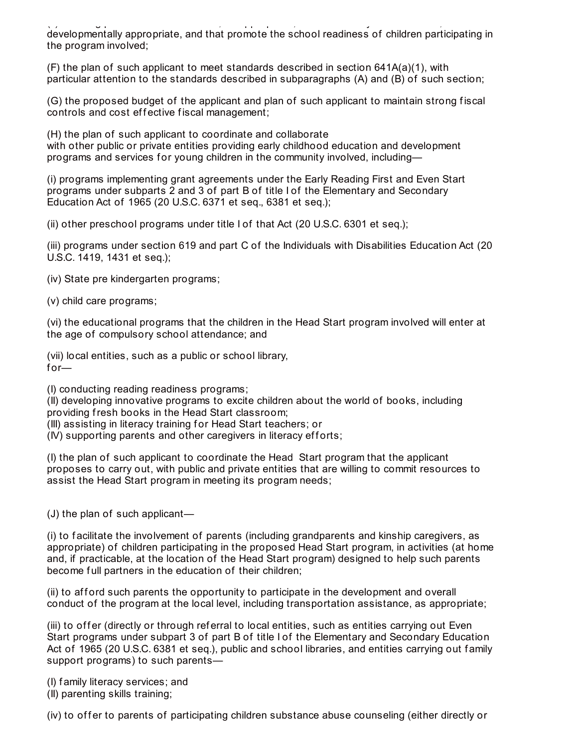(iii) teaching practices that are based, as appropriate, on scientificially valid research, that are search, that are  $\alpha$ developmentally appropriate, and that promote the school readiness of children participating in the program involved;

 $(F)$  the plan of such applicant to meet standards described in section 641A(a)(1), with particular attention to the standards described in subparagraphs (A) and (B) of such section;

(G) the proposed budget of the applicant and plan of such applicant to maintain strong f iscal controls and cost effective fiscal management;

(H) the plan of such applicant to coordinate and collaborate with other public or private entities providing early childhood education and development programs and services for young children in the community involved, including-

(i) programs implementing grant agreements under the Early Reading First and Even Start programs under subparts 2 and 3 of part B of title I of the Elementary and Secondary Education Act of 1965 (20 U.S.C. 6371 et seq., 6381 et seq.);

(ii) other preschool programs under title I of that Act (20 U.S.C. 6301 et seq.);

(iii) programs under section 619 and part C of the Individuals with Disabilities Education Act (20 U.S.C. 1419, 1431 et seq.);

(iv) State pre kindergarten programs;

(v) child care programs;

(vi) the educational programs that the children in the Head Start program involved will enter at the age of compulsory school attendance; and

(vii) local entities, such as a public or school library,  $for-$ 

(I) conducting reading readiness programs;

(II) developing innovative programs to excite children about the world of books, including providing fresh books in the Head Start classroom;

(III) assisting in literacy training f or Head Start teachers; or

 $(IV)$  supporting parents and other caregivers in literacy efforts;

(I) the plan of such applicant to coordinate the Head Start program that the applicant proposes to carry out, with public and private entities that are willing to commit resources to assist the Head Start program in meeting its program needs;

(J) the plan of such applicant—

(i) to f acilitate the involvement of parents (including grandparents and kinship caregivers, as appropriate) of children participating in the proposed Head Start program, in activities (at home and, if practicable, at the location of the Head Start program) designed to help such parents become full partners in the education of their children;

(ii) to afford such parents the opportunity to participate in the development and overall conduct of the program at the local level, including transportation assistance, as appropriate;

(iii) to offer (directly or through referral to local entities, such as entities carrying out Even Start programs under subpart 3 of part B of title I of the Elementary and Secondary Education Act of 1965 (20 U.S.C. 6381 et seq.), public and school libraries, and entities carrying out family support programs) to such parents—

(I) f amily literacy services; and

(II) parenting skills training;

(iv) to offer to parents of participating children substance abuse counseling (either directly or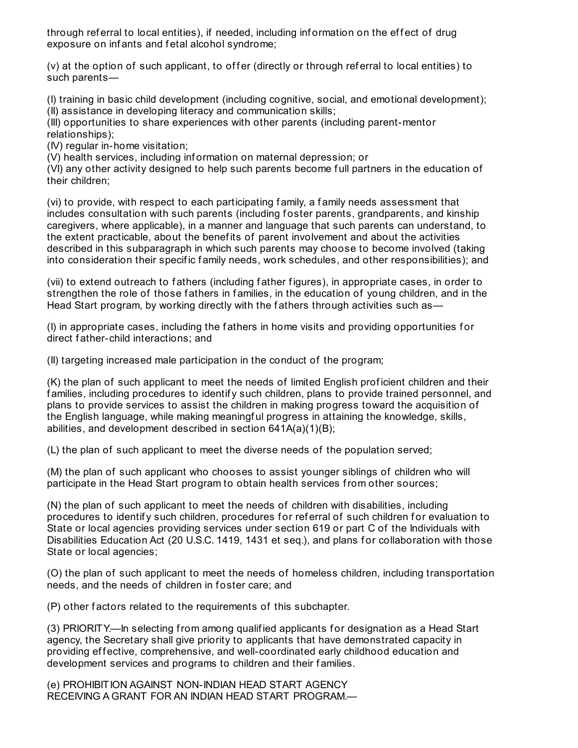through referral to local entities), if needed, including information on the effect of drug exposure on infants and fetal alcohol syndrome;

(v) at the option of such applicant, to offer (directly or through referral to local entities) to such parents—

(I) training in basic child development (including cognitive, social, and emotional development); (II) assistance in developing literacy and communication skills;

(III) opportunities to share experiences with other parents (including parent-mentor relationships);

(IV) regular in-home visitation;

(V) health services, including inf ormation on maternal depression; or

(VI) any other activity designed to help such parents become f ull partners in the education of their children;

(vi) to provide, with respect to each participating family, a family needs assessment that includes consultation with such parents (including foster parents, grandparents, and kinship caregivers, where applicable), in a manner and language that such parents can understand, to the extent practicable, about the benef its of parent involvement and about the activities described in this subparagraph in which such parents may choose to become involved (taking into consideration their specific family needs, work schedules, and other responsibilities); and

(vii) to extend outreach to f athers (including f ather f igures), in appropriate cases, in order to strengthen the role of those fathers in families, in the education of young children, and in the Head Start program, by working directly with the fathers through activities such as—

(I) in appropriate cases, including the f athers in home visits and providing opportunities f or direct f ather-child interactions; and

(II) targeting increased male participation in the conduct of the program;

(K) the plan of such applicant to meet the needs of limited English prof icient children and their f amilies, including procedures to identif y such children, plans to provide trained personnel, and plans to provide services to assist the children in making progress toward the acquisition of the English language, while making meaningf ul progress in attaining the knowledge, skills, abilities, and development described in section 641A(a)(1)(B);

(L) the plan of such applicant to meet the diverse needs of the population served;

(M) the plan of such applicant who chooses to assist younger siblings of children who will participate in the Head Start program to obtain health services from other sources;

(N) the plan of such applicant to meet the needs of children with disabilities, including procedures to identify such children, procedures for referral of such children for evaluation to State or local agencies providing services under section 619 or part C of the Individuals with Disabilities Education Act (20 U.S.C. 1419, 1431 et seq.), and plans for collaboration with those State or local agencies;

(O) the plan of such applicant to meet the needs of homeless children, including transportation needs, and the needs of children in foster care; and

(P) other f actors related to the requirements of this subchapter.

(3) PRIORITY.—In selecting from among qualified applicants for designation as a Head Start agency, the Secretary shall give priority to applicants that have demonstrated capacity in providing effective, comprehensive, and well-coordinated early childhood education and development services and programs to children and their f amilies.

(e) PROHIBITION AGAINST NON-INDIAN HEAD START AGENCY RECEIVING A GRANT FOR AN INDIAN HEAD START PROGRAM.—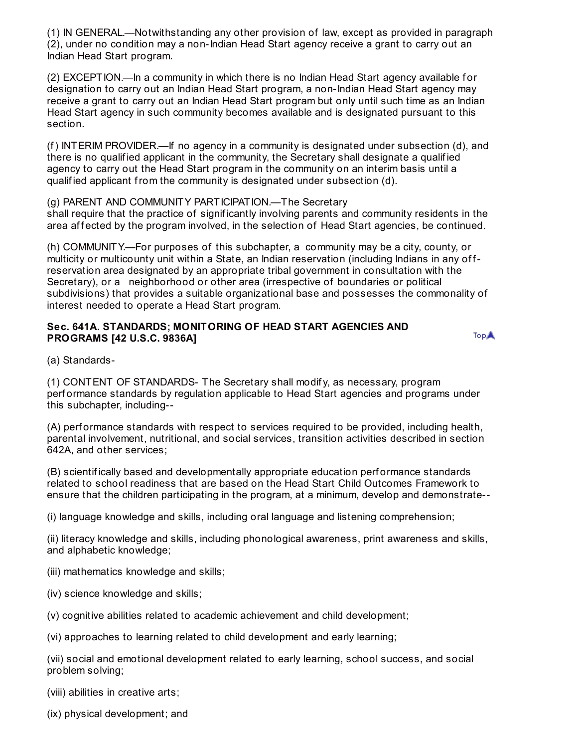(1) IN GENERAL.—Notwithstanding any other provision of law, except as provided in paragraph (2), under no condition may a non-Indian Head Start agency receive a grant to carry out an Indian Head Start program.

(2) EXCEPTION.—In a community in which there is no Indian Head Start agency available f or designation to carry out an Indian Head Start program, a non-Indian Head Start agency may receive a grant to carry out an Indian Head Start program but only until such time as an Indian Head Start agency in such community becomes available and is designated pursuant to this section.

(f) INTERIM PROVIDER.—If no agency in a community is designated under subsection (d), and there is no qualif ied applicant in the community, the Secretary shall designate a qualif ied agency to carry out the Head Start program in the community on an interim basis until a qualif ied applicant from the community is designated under subsection (d).

(g) PARENT AND COMMUNITY PARTICIPATION.—The Secretary shall require that the practice of signif icantly involving parents and community residents in the area affected by the program involved, in the selection of Head Start agencies, be continued.

(h) COMMUNITY.—For purposes of this subchapter, a community may be a city, county, or multicity or multicounty unit within a State, an Indian reservation (including Indians in any of freservation area designated by an appropriate tribal government in consultation with the Secretary), or a neighborhood or other area (irrespective of boundaries or political subdivisions) that provides a suitable organizational base and possesses the commonality of interest needed to operate a Head Start program.

## **Sec. 641A. STANDARDS; MONITORING OF HEAD START AGENCIES AND PROGRAMS [42 U.S.C. 9836A]**

TopA

(a) Standards-

(1) CONTENT OF STANDARDS- The Secretary shall modif y, as necessary, program perf ormance standards by regulation applicable to Head Start agencies and programs under this subchapter, including--

(A) perf ormance standards with respect to services required to be provided, including health, parental involvement, nutritional, and social services, transition activities described in section 642A, and other services;

(B) scientif ically based and developmentally appropriate education perf ormance standards related to school readiness that are based on the Head Start Child Outcomes Framework to ensure that the children participating in the program, at a minimum, develop and demonstrate--

(i) language knowledge and skills, including oral language and listening comprehension;

(ii) literacy knowledge and skills, including phonological awareness, print awareness and skills, and alphabetic knowledge;

- (iii) mathematics knowledge and skills;
- (iv) science knowledge and skills;
- (v) cognitive abilities related to academic achievement and child development;

(vi) approaches to learning related to child development and early learning;

(vii) social and emotional development related to early learning, school success, and social problem solving;

(viii) abilities in creative arts;

(ix) physical development; and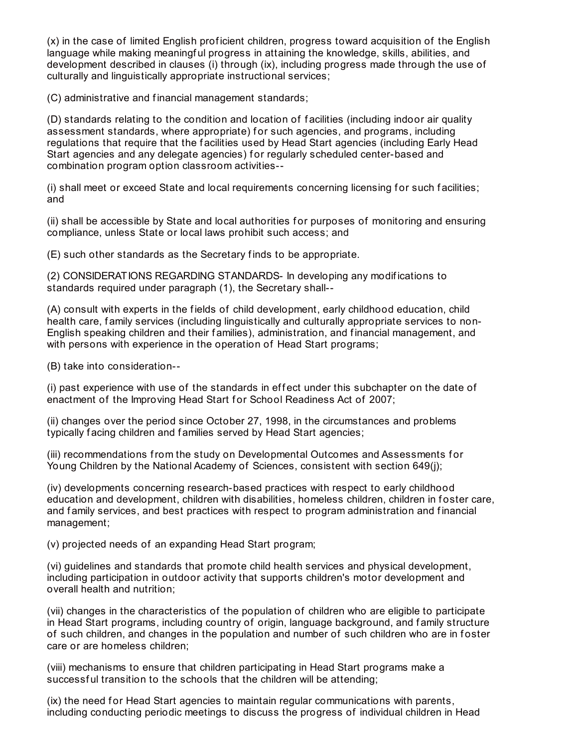(x) in the case of limited English prof icient children, progress toward acquisition of the English language while making meaningf ul progress in attaining the knowledge, skills, abilities, and development described in clauses (i) through (ix), including progress made through the use of culturally and linguistically appropriate instructional services;

(C) administrative and f inancial management standards;

(D) standards relating to the condition and location of f acilities (including indoor air quality assessment standards, where appropriate) for such agencies, and programs, including regulations that require that the f acilities used by Head Start agencies (including Early Head Start agencies and any delegate agencies) f or regularly scheduled center-based and combination program option classroom activities--

(i) shall meet or exceed State and local requirements concerning licensing for such facilities; and

(ii) shall be accessible by State and local authorities f or purposes of monitoring and ensuring compliance, unless State or local laws prohibit such access; and

(E) such other standards as the Secretary f inds to be appropriate.

(2) CONSIDERATIONS REGARDING STANDARDS- In developing any modif ications to standards required under paragraph (1), the Secretary shall--

(A) consult with experts in the f ields of child development, early childhood education, child health care, f amily services (including linguistically and culturally appropriate services to non-English speaking children and their families), administration, and financial management, and with persons with experience in the operation of Head Start programs;

(B) take into consideration--

(i) past experience with use of the standards in effect under this subchapter on the date of enactment of the Improving Head Start for School Readiness Act of 2007;

(ii) changes over the period since October 27, 1998, in the circumstances and problems typically facing children and families served by Head Start agencies;

(iii) recommendations from the study on Developmental Outcomes and Assessments f or Young Children by the National Academy of Sciences, consistent with section 649(j);

(iv) developments concerning research-based practices with respect to early childhood education and development, children with disabilities, homeless children, children in foster care, and family services, and best practices with respect to program administration and financial management;

(v) projected needs of an expanding Head Start program;

(vi) guidelines and standards that promote child health services and physical development, including participation in outdoor activity that supports children's motor development and overall health and nutrition;

(vii) changes in the characteristics of the population of children who are eligible to participate in Head Start programs, including country of origin, language background, and f amily structure of such children, and changes in the population and number of such children who are in foster care or are homeless children;

(viii) mechanisms to ensure that children participating in Head Start programs make a successful transition to the schools that the children will be attending;

(ix) the need for Head Start agencies to maintain regular communications with parents, including conducting periodic meetings to discuss the progress of individual children in Head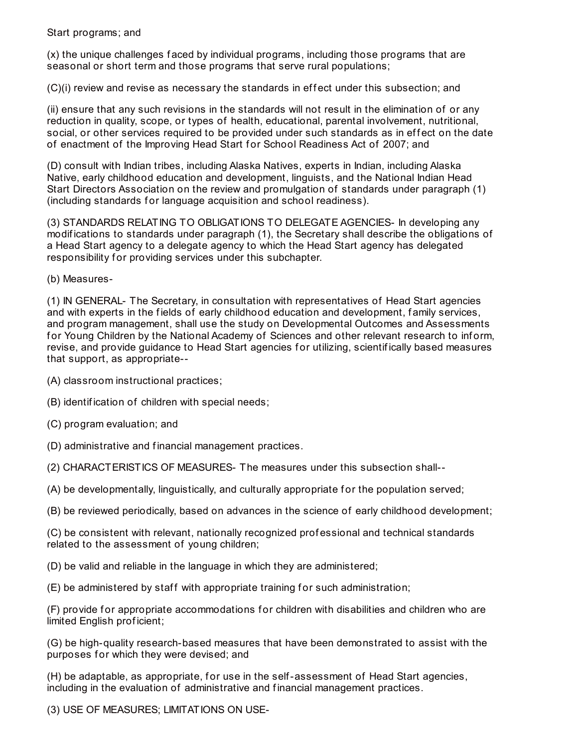## Start programs; and

(x) the unique challenges f aced by individual programs, including those programs that are seasonal or short term and those programs that serve rural populations;

(C)(i) review and revise as necessary the standards in effect under this subsection; and

(ii) ensure that any such revisions in the standards will not result in the elimination of or any reduction in quality, scope, or types of health, educational, parental involvement, nutritional, social, or other services required to be provided under such standards as in effect on the date of enactment of the Improving Head Start for School Readiness Act of 2007; and

(D) consult with Indian tribes, including Alaska Natives, experts in Indian, including Alaska Native, early childhood education and development, linguists, and the National Indian Head Start Directors Association on the review and promulgation of standards under paragraph (1) (including standards for language acquisition and school readiness).

(3) STANDARDS RELATING TO OBLIGATIONS TO DELEGATE AGENCIES- In developing any modif ications to standards under paragraph (1), the Secretary shall describe the obligations of a Head Start agency to a delegate agency to which the Head Start agency has delegated responsibility for providing services under this subchapter.

(b) Measures-

(1) IN GENERAL- The Secretary, in consultation with representatives of Head Start agencies and with experts in the fields of early childhood education and development, family services, and program management, shall use the study on Developmental Outcomes and Assessments for Young Children by the National Academy of Sciences and other relevant research to inform, revise, and provide guidance to Head Start agencies for utilizing, scientifically based measures that support, as appropriate--

- (A) classroom instructional practices;
- (B) identif ication of children with special needs;
- (C) program evaluation; and
- (D) administrative and f inancial management practices.
- (2) CHARACTERISTICS OF MEASURES- The measures under this subsection shall--
- (A) be developmentally, linguistically, and culturally appropriate f or the population served;
- (B) be reviewed periodically, based on advances in the science of early childhood development;

(C) be consistent with relevant, nationally recognized prof essional and technical standards related to the assessment of young children;

- (D) be valid and reliable in the language in which they are administered;
- $(E)$  be administered by staff with appropriate training for such administration;

(F) provide for appropriate accommodations for children with disabilities and children who are limited English prof icient;

(G) be high-quality research-based measures that have been demonstrated to assist with the purposes for which they were devised; and

(H) be adaptable, as appropriate, for use in the self-assessment of Head Start agencies, including in the evaluation of administrative and f inancial management practices.

(3) USE OF MEASURES; LIMITATIONS ON USE-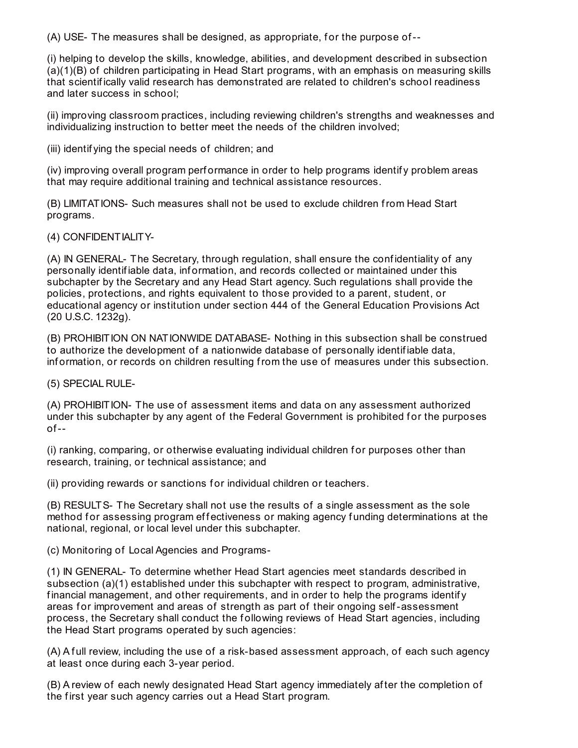(A) USE- The measures shall be designed, as appropriate, f or the purpose of--

(i) helping to develop the skills, knowledge, abilities, and development described in subsection (a)(1)(B) of children participating in Head Start programs, with an emphasis on measuring skills that scientif ically valid research has demonstrated are related to children's school readiness and later success in school;

(ii) improving classroom practices, including reviewing children's strengths and weaknesses and individualizing instruction to better meet the needs of the children involved;

(iii) identif ying the special needs of children; and

(iv) improving overall program perf ormance in order to help programs identif y problem areas that may require additional training and technical assistance resources.

(B) LIMITATIONS- Such measures shall not be used to exclude children from Head Start programs.

(4) CONFIDENTIALITY-

(A) IN GENERAL- The Secretary, through regulation, shall ensure the conf identiality of any personally identif iable data, inf ormation, and records collected or maintained under this subchapter by the Secretary and any Head Start agency. Such regulations shall provide the policies, protections, and rights equivalent to those provided to a parent, student, or educational agency or institution under section 444 of the General Education Provisions Act (20 U.S.C. 1232g).

(B) PROHIBITION ON NATIONWIDE DATABASE- Nothing in this subsection shall be construed to authorize the development of a nationwide database of personally identif iable data, inf ormation, or records on children resulting from the use of measures under this subsection.

(5) SPECIAL RULE-

(A) PROHIBITION- The use of assessment items and data on any assessment authorized under this subchapter by any agent of the Federal Government is prohibited for the purposes  $of --$ 

(i) ranking, comparing, or otherwise evaluating individual children for purposes other than research, training, or technical assistance; and

(ii) providing rewards or sanctions for individual children or teachers.

(B) RESULTS- The Secretary shall not use the results of a single assessment as the sole method for assessing program effectiveness or making agency funding determinations at the national, regional, or local level under this subchapter.

(c) Monitoring of Local Agencies and Programs-

(1) IN GENERAL- To determine whether Head Start agencies meet standards described in subsection (a)(1) established under this subchapter with respect to program, administrative, financial management, and other requirements, and in order to help the programs identify areas for improvement and areas of strength as part of their ongoing self-assessment process, the Secretary shall conduct the f ollowing reviews of Head Start agencies, including the Head Start programs operated by such agencies:

(A) A full review, including the use of a risk-based assessment approach, of each such agency at least once during each 3-year period.

(B) A review of each newly designated Head Start agency immediately af ter the completion of the first year such agency carries out a Head Start program.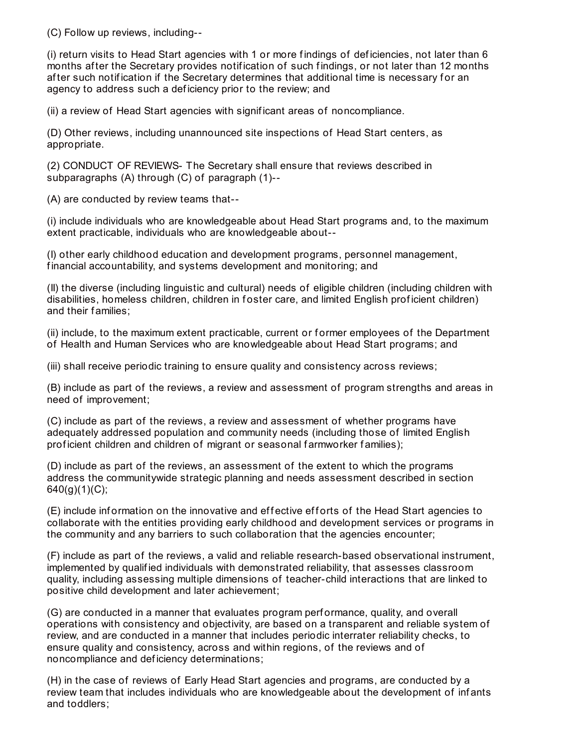(C) Follow up reviews, including--

(i) return visits to Head Start agencies with 1 or more f indings of def iciencies, not later than 6 months after the Secretary provides notification of such findings, or not later than 12 months after such notification if the Secretary determines that additional time is necessary for an agency to address such a def iciency prior to the review; and

(ii) a review of Head Start agencies with signif icant areas of noncompliance.

(D) Other reviews, including unannounced site inspections of Head Start centers, as appropriate.

(2) CONDUCT OF REVIEWS- The Secretary shall ensure that reviews described in subparagraphs (A) through (C) of paragraph (1)--

(A) are conducted by review teams that--

(i) include individuals who are knowledgeable about Head Start programs and, to the maximum extent practicable, individuals who are knowledgeable about--

(I) other early childhood education and development programs, personnel management, f inancial accountability, and systems development and monitoring; and

(II) the diverse (including linguistic and cultural) needs of eligible children (including children with disabilities, homeless children, children in foster care, and limited English proficient children) and their f amilies;

(ii) include, to the maximum extent practicable, current or f ormer employees of the Department of Health and Human Services who are knowledgeable about Head Start programs; and

(iii) shall receive periodic training to ensure quality and consistency across reviews;

(B) include as part of the reviews, a review and assessment of program strengths and areas in need of improvement;

(C) include as part of the reviews, a review and assessment of whether programs have adequately addressed population and community needs (including those of limited English prof icient children and children of migrant or seasonal f armworker f amilies);

(D) include as part of the reviews, an assessment of the extent to which the programs address the communitywide strategic planning and needs assessment described in section  $640(g)(1)(C)$ ;

(E) include information on the innovative and effective efforts of the Head Start agencies to collaborate with the entities providing early childhood and development services or programs in the community and any barriers to such collaboration that the agencies encounter;

(F) include as part of the reviews, a valid and reliable research-based observational instrument, implemented by qualif ied individuals with demonstrated reliability, that assesses classroom quality, including assessing multiple dimensions of teacher-child interactions that are linked to positive child development and later achievement;

(G) are conducted in a manner that evaluates program perf ormance, quality, and overall operations with consistency and objectivity, are based on a transparent and reliable system of review, and are conducted in a manner that includes periodic interrater reliability checks, to ensure quality and consistency, across and within regions, of the reviews and of noncompliance and def iciency determinations;

(H) in the case of reviews of Early Head Start agencies and programs, are conducted by a review team that includes individuals who are knowledgeable about the development of inf ants and toddlers;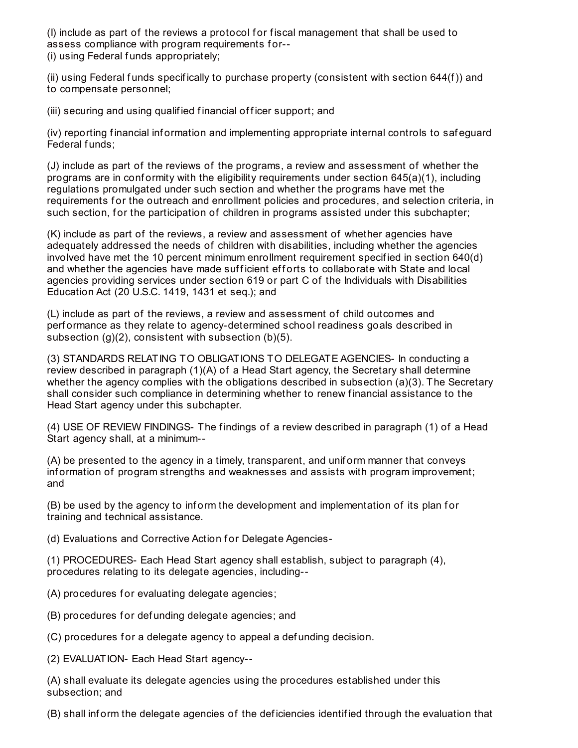(I) include as part of the reviews a protocol f or f iscal management that shall be used to assess compliance with program requirements for--(i) using Federal f unds appropriately;

(ii) using Federal funds specifically to purchase property (consistent with section 644(f)) and to compensate personnel;

(iii) securing and using qualified financial officer support; and

(iv) reporting f inancial inf ormation and implementing appropriate internal controls to saf eguard Federal funds;

(J) include as part of the reviews of the programs, a review and assessment of whether the programs are in conformity with the eligibility requirements under section  $645(a)(1)$ , including regulations promulgated under such section and whether the programs have met the requirements for the outreach and enrollment policies and procedures, and selection criteria, in such section, for the participation of children in programs assisted under this subchapter;

(K) include as part of the reviews, a review and assessment of whether agencies have adequately addressed the needs of children with disabilities, including whether the agencies involved have met the 10 percent minimum enrollment requirement specif ied in section 640(d) and whether the agencies have made sufficient efforts to collaborate with State and local agencies providing services under section 619 or part C of the Individuals with Disabilities Education Act (20 U.S.C. 1419, 1431 et seq.); and

(L) include as part of the reviews, a review and assessment of child outcomes and perf ormance as they relate to agency-determined school readiness goals described in subsection (g)(2), consistent with subsection (b)(5).

(3) STANDARDS RELATING TO OBLIGATIONS TO DELEGATE AGENCIES- In conducting a review described in paragraph (1)(A) of a Head Start agency, the Secretary shall determine whether the agency complies with the obligations described in subsection (a)(3). The Secretary shall consider such compliance in determining whether to renew f inancial assistance to the Head Start agency under this subchapter.

(4) USE OF REVIEW FINDINGS- The f indings of a review described in paragraph (1) of a Head Start agency shall, at a minimum--

(A) be presented to the agency in a timely, transparent, and unif orm manner that conveys information of program strengths and weaknesses and assists with program improvement; and

(B) be used by the agency to inf orm the development and implementation of its plan f or training and technical assistance.

(d) Evaluations and Corrective Action for Delegate Agencies-

(1) PROCEDURES- Each Head Start agency shall establish, subject to paragraph (4), procedures relating to its delegate agencies, including--

(A) procedures for evaluating delegate agencies;

(B) procedures f or def unding delegate agencies; and

(C) procedures for a delegate agency to appeal a defunding decision.

(2) EVALUATION- Each Head Start agency--

(A) shall evaluate its delegate agencies using the procedures established under this subsection; and

(B) shall inf orm the delegate agencies of the def iciencies identif ied through the evaluation that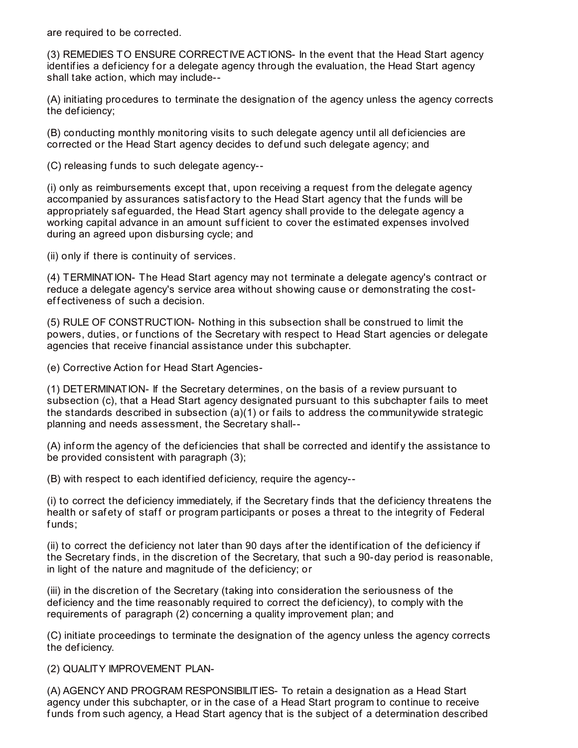are required to be corrected.

(3) REMEDIES TO ENSURE CORRECTIVE ACTIONS- In the event that the Head Start agency identifies a deficiency for a delegate agency through the evaluation, the Head Start agency shall take action, which may include--

(A) initiating procedures to terminate the designation of the agency unless the agency corrects the def iciency;

(B) conducting monthly monitoring visits to such delegate agency until all def iciencies are corrected or the Head Start agency decides to def und such delegate agency; and

(C) releasing f unds to such delegate agency--

(i) only as reimbursements except that, upon receiving a request from the delegate agency accompanied by assurances satisf actory to the Head Start agency that the funds will be appropriately saf eguarded, the Head Start agency shall provide to the delegate agency a working capital advance in an amount sufficient to cover the estimated expenses involved during an agreed upon disbursing cycle; and

(ii) only if there is continuity of services.

(4) TERMINATION- The Head Start agency may not terminate a delegate agency's contract or reduce a delegate agency's service area without showing cause or demonstrating the costeffectiveness of such a decision.

(5) RULE OF CONSTRUCTION- Nothing in this subsection shall be construed to limit the powers, duties, or functions of the Secretary with respect to Head Start agencies or delegate agencies that receive financial assistance under this subchapter.

(e) Corrective Action for Head Start Agencies-

(1) DETERMINATION- If the Secretary determines, on the basis of a review pursuant to subsection (c), that a Head Start agency designated pursuant to this subchapter fails to meet the standards described in subsection (a)(1) or f ails to address the communitywide strategic planning and needs assessment, the Secretary shall--

(A) inf orm the agency of the def iciencies that shall be corrected and identif y the assistance to be provided consistent with paragraph (3);

(B) with respect to each identif ied def iciency, require the agency--

(i) to correct the def iciency immediately, if the Secretary f inds that the def iciency threatens the health or safety of staff or program participants or poses a threat to the integrity of Federal funds:

(ii) to correct the def iciency not later than 90 days af ter the identif ication of the def iciency if the Secretary finds, in the discretion of the Secretary, that such a 90-day period is reasonable, in light of the nature and magnitude of the def iciency; or

(iii) in the discretion of the Secretary (taking into consideration the seriousness of the def iciency and the time reasonably required to correct the def iciency), to comply with the requirements of paragraph (2) concerning a quality improvement plan; and

(C) initiate proceedings to terminate the designation of the agency unless the agency corrects the def iciency.

(2) QUALITY IMPROVEMENT PLAN-

(A) AGENCY AND PROGRAM RESPONSIBILITIES- To retain a designation as a Head Start agency under this subchapter, or in the case of a Head Start program to continue to receive f unds from such agency, a Head Start agency that is the subject of a determination described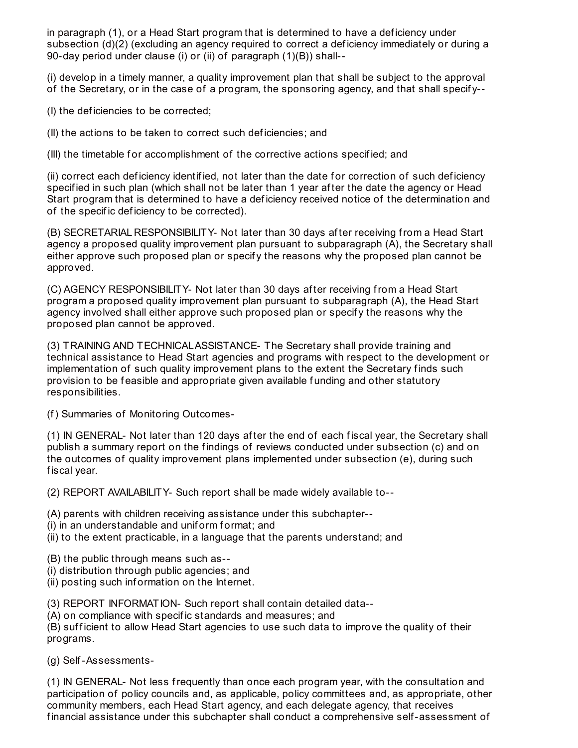in paragraph (1), or a Head Start program that is determined to have a def iciency under subsection (d)(2) (excluding an agency required to correct a deficiency immediately or during a 90-day period under clause (i) or (ii) of paragraph (1)(B)) shall--

(i) develop in a timely manner, a quality improvement plan that shall be subject to the approval of the Secretary, or in the case of a program, the sponsoring agency, and that shall specif y--

(I) the def iciencies to be corrected;

(II) the actions to be taken to correct such def iciencies; and

(III) the timetable for accomplishment of the corrective actions specified; and

(ii) correct each deficiency identified, not later than the date for correction of such deficiency specif ied in such plan (which shall not be later than 1 year af ter the date the agency or Head Start program that is determined to have a def iciency received notice of the determination and of the specif ic def iciency to be corrected).

(B) SECRETARIAL RESPONSIBILITY- Not later than 30 days af ter receiving from a Head Start agency a proposed quality improvement plan pursuant to subparagraph (A), the Secretary shall either approve such proposed plan or specif y the reasons why the proposed plan cannot be approved.

(C) AGENCY RESPONSIBILITY- Not later than 30 days af ter receiving from a Head Start program a proposed quality improvement plan pursuant to subparagraph (A), the Head Start agency involved shall either approve such proposed plan or specif y the reasons why the proposed plan cannot be approved.

(3) TRAINING AND TECHNICALASSISTANCE- The Secretary shall provide training and technical assistance to Head Start agencies and programs with respect to the development or implementation of such quality improvement plans to the extent the Secretary f inds such provision to be f easible and appropriate given available f unding and other statutory responsibilities.

(f) Summaries of Monitoring Outcomes-

(1) IN GENERAL- Not later than 120 days af ter the end of each f iscal year, the Secretary shall publish a summary report on the findings of reviews conducted under subsection (c) and on the outcomes of quality improvement plans implemented under subsection (e), during such fiscal year.

(2) REPORT AVAILABILITY- Such report shall be made widely available to--

- (A) parents with children receiving assistance under this subchapter--
- (i) in an understandable and uniform format; and
- (ii) to the extent practicable, in a language that the parents understand; and
- (B) the public through means such as--
- (i) distribution through public agencies; and
- (ii) posting such inf ormation on the Internet.
- (3) REPORT INFORMATION- Such report shall contain detailed data--
- (A) on compliance with specif ic standards and measures; and

(B) sufficient to allow Head Start agencies to use such data to improve the quality of their programs.

(g) Self-Assessments-

(1) IN GENERAL- Not less frequently than once each program year, with the consultation and participation of policy councils and, as applicable, policy committees and, as appropriate, other community members, each Head Start agency, and each delegate agency, that receives f inancial assistance under this subchapter shall conduct a comprehensive self-assessment of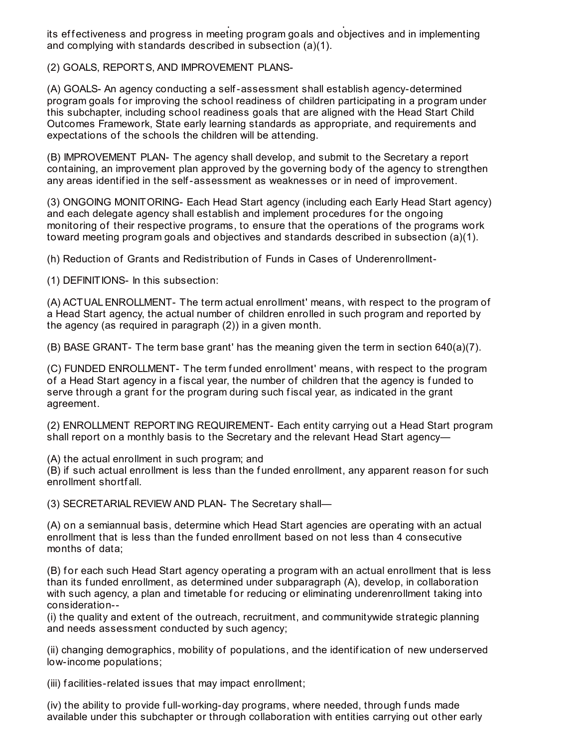f inancial assistance under this subchapter shall conduct a comprehensive self-assessment of its effectiveness and progress in meeting program goals and objectives and in implementing and complying with standards described in subsection (a)(1).

(2) GOALS, REPORTS, AND IMPROVEMENT PLANS-

(A) GOALS- An agency conducting a self-assessment shall establish agency-determined program goals for improving the school readiness of children participating in a program under this subchapter, including school readiness goals that are aligned with the Head Start Child Outcomes Framework, State early learning standards as appropriate, and requirements and expectations of the schools the children will be attending.

(B) IMPROVEMENT PLAN- The agency shall develop, and submit to the Secretary a report containing, an improvement plan approved by the governing body of the agency to strengthen any areas identif ied in the self-assessment as weaknesses or in need of improvement.

(3) ONGOING MONITORING- Each Head Start agency (including each Early Head Start agency) and each delegate agency shall establish and implement procedures for the ongoing monitoring of their respective programs, to ensure that the operations of the programs work toward meeting program goals and objectives and standards described in subsection (a)(1).

(h) Reduction of Grants and Redistribution of Funds in Cases of Underenrollment-

(1) DEFINITIONS- In this subsection:

(A) ACTUALENROLLMENT- The term actual enrollment' means, with respect to the program of a Head Start agency, the actual number of children enrolled in such program and reported by the agency (as required in paragraph (2)) in a given month.

(B) BASE GRANT- The term base grant' has the meaning given the term in section 640(a)(7).

(C) FUNDED ENROLLMENT- The term funded enrollment' means, with respect to the program of a Head Start agency in a fiscal year, the number of children that the agency is funded to serve through a grant for the program during such fiscal year, as indicated in the grant agreement.

(2) ENROLLMENT REPORTING REQUIREMENT- Each entity carrying out a Head Start program shall report on a monthly basis to the Secretary and the relevant Head Start agency—

(A) the actual enrollment in such program; and

(B) if such actual enrollment is less than the funded enrollment, any apparent reason for such enrollment shortf all.

(3) SECRETARIAL REVIEW AND PLAN- The Secretary shall—

(A) on a semiannual basis, determine which Head Start agencies are operating with an actual enrollment that is less than the funded enrollment based on not less than 4 consecutive months of data;

(B) for each such Head Start agency operating a program with an actual enrollment that is less than its funded enrollment, as determined under subparagraph (A), develop, in collaboration with such agency, a plan and timetable for reducing or eliminating underenrollment taking into consideration--

(i) the quality and extent of the outreach, recruitment, and communitywide strategic planning and needs assessment conducted by such agency;

(ii) changing demographics, mobility of populations, and the identif ication of new underserved low-income populations;

(iii) f acilities-related issues that may impact enrollment;

(iv) the ability to provide f ull-working-day programs, where needed, through f unds made available under this subchapter or through collaboration with entities carrying out other early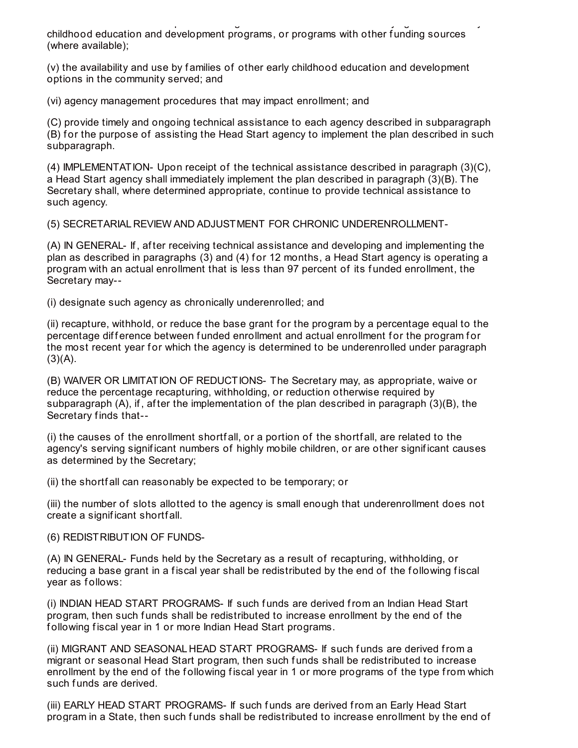available under this subchapter or through collaboration with entities carrying out other early childhood education and development programs, or programs with other funding sources (where available);

(v) the availability and use by f amilies of other early childhood education and development options in the community served; and

(vi) agency management procedures that may impact enrollment; and

(C) provide timely and ongoing technical assistance to each agency described in subparagraph (B) for the purpose of assisting the Head Start agency to implement the plan described in such subparagraph.

(4) IMPLEMENTATION- Upon receipt of the technical assistance described in paragraph (3)(C), a Head Start agency shall immediately implement the plan described in paragraph (3)(B). The Secretary shall, where determined appropriate, continue to provide technical assistance to such agency.

(5) SECRETARIAL REVIEW AND ADJUSTMENT FOR CHRONIC UNDERENROLLMENT-

(A) IN GENERAL- If , af ter receiving technical assistance and developing and implementing the plan as described in paragraphs (3) and (4) for 12 months, a Head Start agency is operating a program with an actual enrollment that is less than 97 percent of its f unded enrollment, the Secretary may--

(i) designate such agency as chronically underenrolled; and

(ii) recapture, withhold, or reduce the base grant f or the program by a percentage equal to the percentage difference between funded enrollment and actual enrollment for the program for the most recent year for which the agency is determined to be underenrolled under paragraph  $(3)(A)$ .

(B) WAIVER OR LIMITATION OF REDUCTIONS- The Secretary may, as appropriate, waive or reduce the percentage recapturing, withholding, or reduction otherwise required by subparagraph (A), if , af ter the implementation of the plan described in paragraph (3)(B), the Secretary finds that--

(i) the causes of the enrollment shortf all, or a portion of the shortf all, are related to the agency's serving signif icant numbers of highly mobile children, or are other signif icant causes as determined by the Secretary;

(ii) the shortf all can reasonably be expected to be temporary; or

(iii) the number of slots allotted to the agency is small enough that underenrollment does not create a signif icant shortf all.

## (6) REDISTRIBUTION OF FUNDS-

(A) IN GENERAL- Funds held by the Secretary as a result of recapturing, withholding, or reducing a base grant in a fiscal year shall be redistributed by the end of the following fiscal year as follows:

(i) INDIAN HEAD START PROGRAMS- If such f unds are derived from an Indian Head Start program, then such f unds shall be redistributed to increase enrollment by the end of the following fiscal year in 1 or more Indian Head Start programs.

(ii) MIGRANT AND SEASONAL HEAD START PROGRAMS- If such funds are derived from a migrant or seasonal Head Start program, then such f unds shall be redistributed to increase enrollment by the end of the following fiscal year in 1 or more programs of the type from which such funds are derived.

(iii) EARLY HEAD START PROGRAMS- If such f unds are derived from an Early Head Start program in a State, then such funds shall be redistributed to increase enrollment by the end of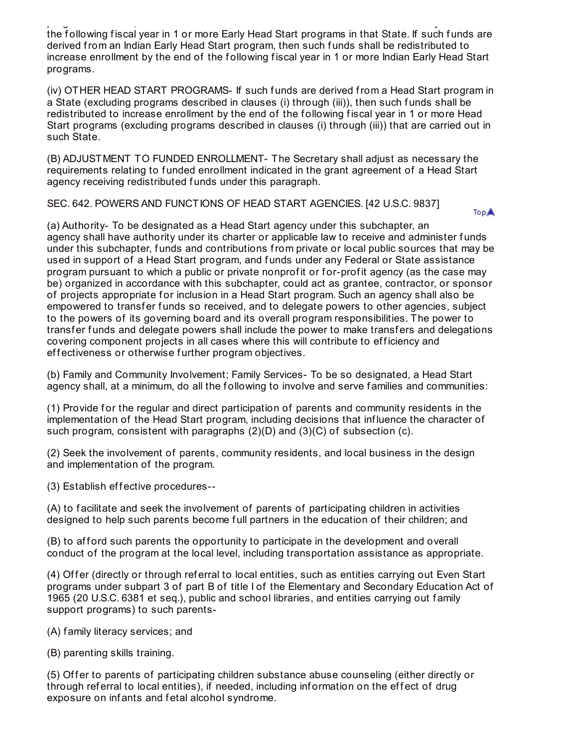program in a State, then such f unds shall be redistributed to increase enrollment by the end of the following fiscal year in 1 or more Early Head Start programs in that State. If such funds are derived from an Indian Early Head Start program, then such f unds shall be redistributed to increase enrollment by the end of the following fiscal year in 1 or more Indian Early Head Start programs.

(iv) OTHER HEAD START PROGRAMS- If such f unds are derived from a Head Start program in a State (excluding programs described in clauses (i) through (iii)), then such f unds shall be redistributed to increase enrollment by the end of the following fiscal year in 1 or more Head Start programs (excluding programs described in clauses (i) through (iii)) that are carried out in such State.

(B) ADJUSTMENT TO FUNDED ENROLLMENT- The Secretary shall adjust as necessary the requirements relating to funded enrollment indicated in the grant agreement of a Head Start agency receiving redistributed funds under this paragraph.

SEC. 642. POWERS AND FUNCTIONS OF HEAD START AGENCIES. [42 U.S.C. 9837]

**TopA** 

(a) Authority- To be designated as a Head Start agency under this subchapter, an agency shall have authority under its charter or applicable law to receive and administer funds under this subchapter, f unds and contributions from private or local public sources that may be used in support of a Head Start program, and f unds under any Federal or State assistance program pursuant to which a public or private nonprofit or for-profit agency (as the case may be) organized in accordance with this subchapter, could act as grantee, contractor, or sponsor of projects appropriate for inclusion in a Head Start program. Such an agency shall also be empowered to transfer funds so received, and to delegate powers to other agencies, subject to the powers of its governing board and its overall program responsibilities. The power to transfer funds and delegate powers shall include the power to make transfers and delegations covering component projects in all cases where this will contribute to efficiency and effectiveness or otherwise further program objectives.

(b) Family and Community Involvement; Family Services- To be so designated, a Head Start agency shall, at a minimum, do all the following to involve and serve families and communities:

(1) Provide for the regular and direct participation of parents and community residents in the implementation of the Head Start program, including decisions that inf luence the character of such program, consistent with paragraphs (2)(D) and (3)(C) of subsection (c).

(2) Seek the involvement of parents, community residents, and local business in the design and implementation of the program.

(3) Establish ef f ective procedures--

(A) to f acilitate and seek the involvement of parents of participating children in activities designed to help such parents become full partners in the education of their children; and

(B) to afford such parents the opportunity to participate in the development and overall conduct of the program at the local level, including transportation assistance as appropriate.

(4) Offer (directly or through referral to local entities, such as entities carrying out Even Start programs under subpart 3 of part B of title I of the Elementary and Secondary Education Act of 1965 (20 U.S.C. 6381 et seq.), public and school libraries, and entities carrying out family support programs) to such parents-

(A) f amily literacy services; and

(B) parenting skills training.

(5) Offer to parents of participating children substance abuse counseling (either directly or through referral to local entities), if needed, including information on the effect of drug exposure on inf ants and f etal alcohol syndrome.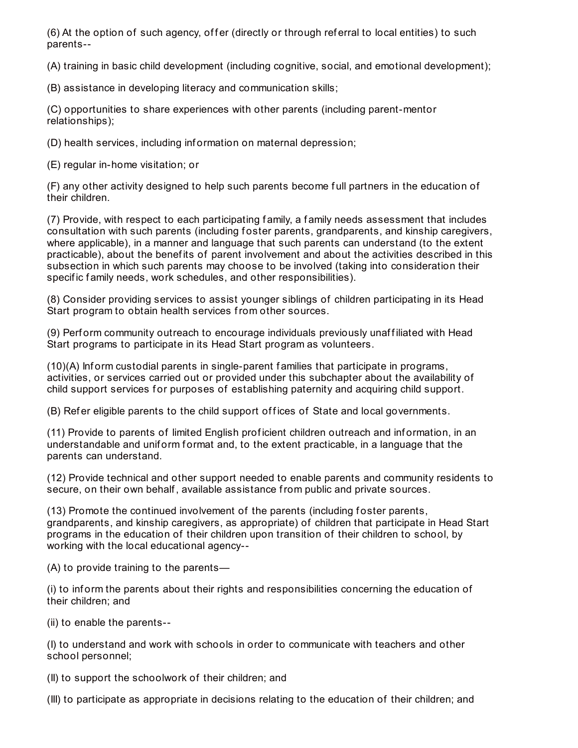(6) At the option of such agency, offer (directly or through referral to local entities) to such parents--

(A) training in basic child development (including cognitive, social, and emotional development);

(B) assistance in developing literacy and communication skills;

(C) opportunities to share experiences with other parents (including parent-mentor relationships);

(D) health services, including inf ormation on maternal depression;

(E) regular in-home visitation; or

(F) any other activity designed to help such parents become f ull partners in the education of their children.

(7) Provide, with respect to each participating f amily, a f amily needs assessment that includes consultation with such parents (including foster parents, grandparents, and kinship caregivers, where applicable), in a manner and language that such parents can understand (to the extent practicable), about the benefits of parent involvement and about the activities described in this subsection in which such parents may choose to be involved (taking into consideration their specific family needs, work schedules, and other responsibilities).

(8) Consider providing services to assist younger siblings of children participating in its Head Start program to obtain health services from other sources.

(9) Perf orm community outreach to encourage individuals previously unaf f iliated with Head Start programs to participate in its Head Start program as volunteers.

 $(10)(A)$  Inform custodial parents in single-parent families that participate in programs, activities, or services carried out or provided under this subchapter about the availability of child support services for purposes of establishing paternity and acquiring child support.

(B) Refer eligible parents to the child support offices of State and local governments.

(11) Provide to parents of limited English prof icient children outreach and inf ormation, in an understandable and unif orm f ormat and, to the extent practicable, in a language that the parents can understand.

(12) Provide technical and other support needed to enable parents and community residents to secure, on their own behalf , available assistance from public and private sources.

(13) Promote the continued involvement of the parents (including f oster parents, grandparents, and kinship caregivers, as appropriate) of children that participate in Head Start programs in the education of their children upon transition of their children to school, by working with the local educational agency--

(A) to provide training to the parents—

(i) to inf orm the parents about their rights and responsibilities concerning the education of their children; and

(ii) to enable the parents--

(I) to understand and work with schools in order to communicate with teachers and other school personnel;

(II) to support the schoolwork of their children; and

(III) to participate as appropriate in decisions relating to the education of their children; and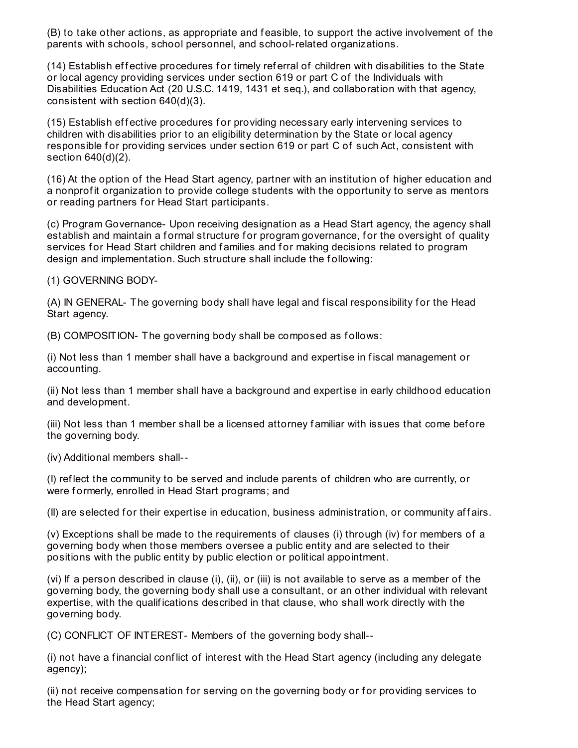(B) to take other actions, as appropriate and f easible, to support the active involvement of the parents with schools, school personnel, and school-related organizations.

(14) Establish effective procedures for timely referral of children with disabilities to the State or local agency providing services under section 619 or part C of the Individuals with Disabilities Education Act (20 U.S.C. 1419, 1431 et seq.), and collaboration with that agency, consistent with section 640(d)(3).

(15) Establish effective procedures for providing necessary early intervening services to children with disabilities prior to an eligibility determination by the State or local agency responsible for providing services under section 619 or part C of such Act, consistent with section 640(d)(2).

(16) At the option of the Head Start agency, partner with an institution of higher education and a nonprofit organization to provide college students with the opportunity to serve as mentors or reading partners for Head Start participants.

(c) Program Governance- Upon receiving designation as a Head Start agency, the agency shall establish and maintain a formal structure for program governance, for the oversight of quality services for Head Start children and families and for making decisions related to program design and implementation. Such structure shall include the f ollowing:

(1) GOVERNING BODY-

(A) IN GENERAL- The governing body shall have legal and fiscal responsibility for the Head Start agency.

(B) COMPOSITION- The governing body shall be composed as f ollows:

(i) Not less than 1 member shall have a background and expertise in f iscal management or accounting.

(ii) Not less than 1 member shall have a background and expertise in early childhood education and development.

(iii) Not less than 1 member shall be a licensed attorney familiar with issues that come before the governing body.

(iv) Additional members shall--

(I) ref lect the community to be served and include parents of children who are currently, or were formerly, enrolled in Head Start programs; and

(II) are selected f or their expertise in education, business administration, or community af f airs.

(v) Exceptions shall be made to the requirements of clauses (i) through (iv) for members of a governing body when those members oversee a public entity and are selected to their positions with the public entity by public election or political appointment.

(vi) If a person described in clause (i), (ii), or (iii) is not available to serve as a member of the governing body, the governing body shall use a consultant, or an other individual with relevant expertise, with the qualif ications described in that clause, who shall work directly with the governing body.

(C) CONFLICT OF INTEREST- Members of the governing body shall--

(i) not have a f inancial conf lict of interest with the Head Start agency (including any delegate agency);

(ii) not receive compensation for serving on the governing body or for providing services to the Head Start agency;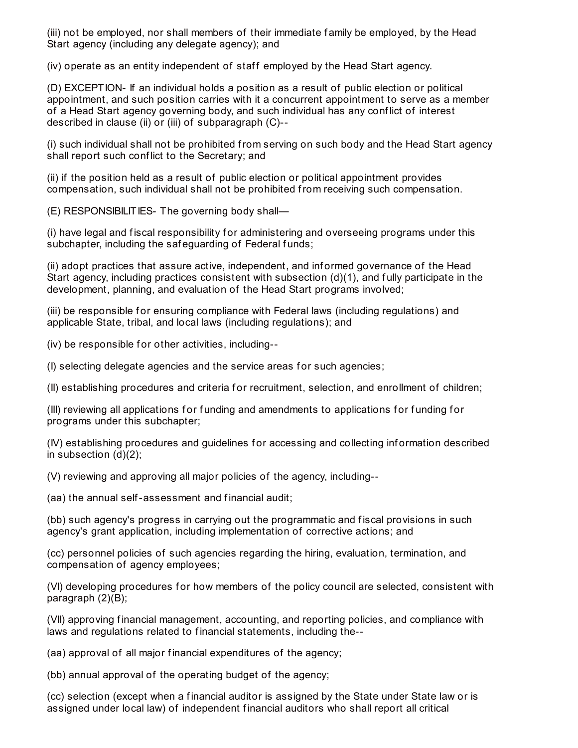(iii) not be employed, nor shall members of their immediate f amily be employed, by the Head Start agency (including any delegate agency); and

(iv) operate as an entity independent of staff employed by the Head Start agency.

(D) EXCEPTION- If an individual holds a position as a result of public election or political appointment, and such position carries with it a concurrent appointment to serve as a member of a Head Start agency governing body, and such individual has any conf lict of interest described in clause (ii) or (iii) of subparagraph (C)--

(i) such individual shall not be prohibited from serving on such body and the Head Start agency shall report such conf lict to the Secretary; and

(ii) if the position held as a result of public election or political appointment provides compensation, such individual shall not be prohibited from receiving such compensation.

(E) RESPONSIBILITIES- The governing body shall—

(i) have legal and f iscal responsibility f or administering and overseeing programs under this subchapter, including the safeguarding of Federal funds;

(ii) adopt practices that assure active, independent, and inf ormed governance of the Head Start agency, including practices consistent with subsection (d)(1), and fully participate in the development, planning, and evaluation of the Head Start programs involved;

(iii) be responsible f or ensuring compliance with Federal laws (including regulations) and applicable State, tribal, and local laws (including regulations); and

(iv) be responsible for other activities, including--

(I) selecting delegate agencies and the service areas for such agencies;

(II) establishing procedures and criteria f or recruitment, selection, and enrollment of children;

(III) reviewing all applications for funding and amendments to applications for funding for programs under this subchapter;

(IV) establishing procedures and guidelines f or accessing and collecting inf ormation described in subsection (d)(2);

(V) reviewing and approving all major policies of the agency, including--

(aa) the annual self-assessment and f inancial audit;

(bb) such agency's progress in carrying out the programmatic and fiscal provisions in such agency's grant application, including implementation of corrective actions; and

(cc) personnel policies of such agencies regarding the hiring, evaluation, termination, and compensation of agency employees;

(VI) developing procedures for how members of the policy council are selected, consistent with paragraph (2)(B);

(VII) approving f inancial management, accounting, and reporting policies, and compliance with laws and regulations related to f inancial statements, including the--

(aa) approval of all major financial expenditures of the agency;

(bb) annual approval of the operating budget of the agency;

(cc) selection (except when a f inancial auditor is assigned by the State under State law or is assigned under local law) of independent f inancial auditors who shall report all critical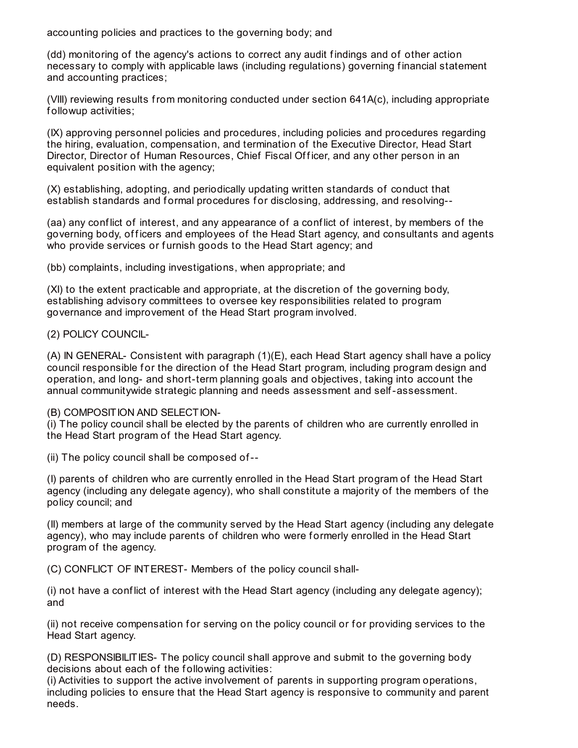accounting policies and practices to the governing body; and

(dd) monitoring of the agency's actions to correct any audit f indings and of other action necessary to comply with applicable laws (including regulations) governing financial statement and accounting practices;

(VIII) reviewing results from monitoring conducted under section 641A(c), including appropriate f ollowup activities;

(IX) approving personnel policies and procedures, including policies and procedures regarding the hiring, evaluation, compensation, and termination of the Executive Director, Head Start Director, Director of Human Resources, Chief Fiscal Officer, and any other person in an equivalent position with the agency;

(X) establishing, adopting, and periodically updating written standards of conduct that establish standards and formal procedures for disclosing, addressing, and resolving--

(aa) any conf lict of interest, and any appearance of a conf lict of interest, by members of the governing body, officers and employees of the Head Start agency, and consultants and agents who provide services or furnish goods to the Head Start agency; and

(bb) complaints, including investigations, when appropriate; and

(XI) to the extent practicable and appropriate, at the discretion of the governing body, establishing advisory committees to oversee key responsibilities related to program governance and improvement of the Head Start program involved.

(2) POLICY COUNCIL-

(A) IN GENERAL- Consistent with paragraph (1)(E), each Head Start agency shall have a policy council responsible for the direction of the Head Start program, including program design and operation, and long- and short-term planning goals and objectives, taking into account the annual communitywide strategic planning and needs assessment and self-assessment.

## (B) COMPOSITION AND SELECTION-

(i) The policy council shall be elected by the parents of children who are currently enrolled in the Head Start program of the Head Start agency.

(ii) The policy council shall be composed of--

(I) parents of children who are currently enrolled in the Head Start program of the Head Start agency (including any delegate agency), who shall constitute a majority of the members of the policy council; and

(II) members at large of the community served by the Head Start agency (including any delegate agency), who may include parents of children who were f ormerly enrolled in the Head Start program of the agency.

(C) CONFLICT OF INTEREST- Members of the policy council shall-

(i) not have a conf lict of interest with the Head Start agency (including any delegate agency); and

(ii) not receive compensation for serving on the policy council or for providing services to the Head Start agency.

(D) RESPONSIBILITIES- The policy council shall approve and submit to the governing body decisions about each of the following activities:

(i) Activities to support the active involvement of parents in supporting program operations, including policies to ensure that the Head Start agency is responsive to community and parent needs.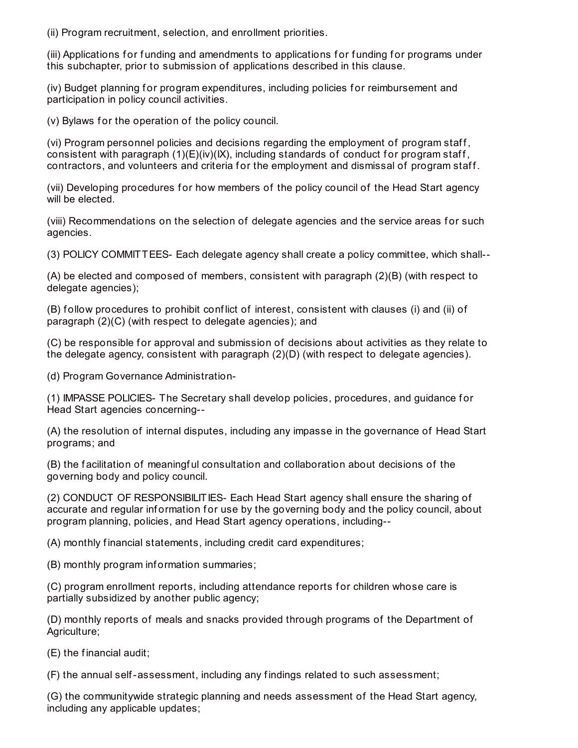(ii) Program recruitment, selection, and enrollment priorities.

(iii) Applications for funding and amendments to applications for funding for programs under this subchapter, prior to submission of applications described in this clause.

(iv) Budget planning for program expenditures, including policies for reimbursement and participation in policy council activities.

(v) Bylaws for the operation of the policy council.

(vi) Program personnel policies and decisions regarding the employment of program staf f , consistent with paragraph  $(1)(E)(iv)(K)$ , including standards of conduct for program staff, contractors, and volunteers and criteria for the employment and dismissal of program staff.

(vii) Developing procedures for how members of the policy council of the Head Start agency will be elected.

(viii) Recommendations on the selection of delegate agencies and the service areas for such agencies.

(3) POLICY COMMITTEES- Each delegate agency shall create a policy committee, which shall--

(A) be elected and composed of members, consistent with paragraph (2)(B) (with respect to delegate agencies);

(B) follow procedures to prohibit conflict of interest, consistent with clauses (i) and (ii) of paragraph (2)(C) (with respect to delegate agencies); and

(C) be responsible for approval and submission of decisions about activities as they relate to the delegate agency, consistent with paragraph (2)(D) (with respect to delegate agencies).

(d) Program Governance Administration-

(1) IMPASSE POLICIES- The Secretary shall develop policies, procedures, and guidance f or Head Start agencies concerning--

(A) the resolution of internal disputes, including any impasse in the governance of Head Start programs; and

(B) the f acilitation of meaningf ul consultation and collaboration about decisions of the governing body and policy council.

(2) CONDUCT OF RESPONSIBILITIES- Each Head Start agency shall ensure the sharing of accurate and regular information for use by the governing body and the policy council, about program planning, policies, and Head Start agency operations, including--

(A) monthly financial statements, including credit card expenditures;

(B) monthly program inf ormation summaries;

(C) program enrollment reports, including attendance reports for children whose care is partially subsidized by another public agency;

(D) monthly reports of meals and snacks provided through programs of the Department of Agriculture;

(E) the f inancial audit;

(F) the annual self-assessment, including any f indings related to such assessment;

(G) the communitywide strategic planning and needs assessment of the Head Start agency, including any applicable updates;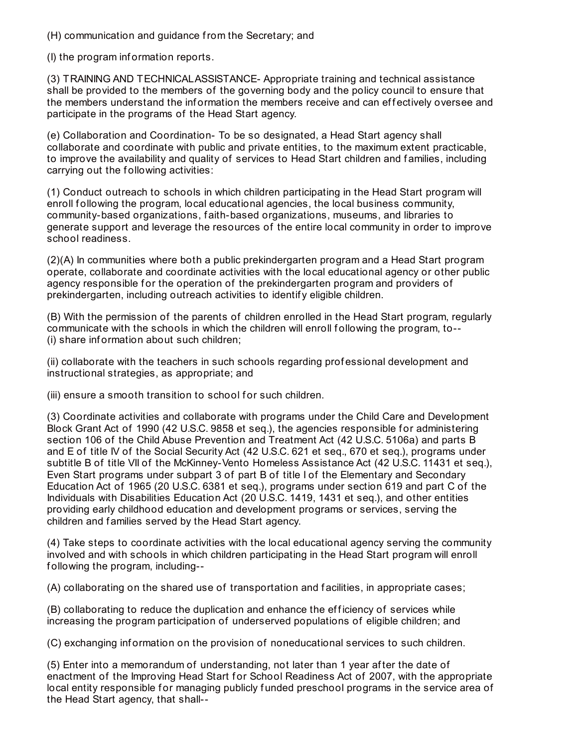(H) communication and guidance from the Secretary; and

(I) the program inf ormation reports.

(3) TRAINING AND TECHNICALASSISTANCE- Appropriate training and technical assistance shall be provided to the members of the governing body and the policy council to ensure that the members understand the information the members receive and can effectively oversee and participate in the programs of the Head Start agency.

(e) Collaboration and Coordination- To be so designated, a Head Start agency shall collaborate and coordinate with public and private entities, to the maximum extent practicable, to improve the availability and quality of services to Head Start children and f amilies, including carrying out the following activities:

(1) Conduct outreach to schools in which children participating in the Head Start program will enroll following the program, local educational agencies, the local business community, community-based organizations, f aith-based organizations, museums, and libraries to generate support and leverage the resources of the entire local community in order to improve school readiness.

(2)(A) In communities where both a public prekindergarten program and a Head Start program operate, collaborate and coordinate activities with the local educational agency or other public agency responsible for the operation of the prekindergarten program and providers of prekindergarten, including outreach activities to identif y eligible children.

(B) With the permission of the parents of children enrolled in the Head Start program, regularly communicate with the schools in which the children will enroll f ollowing the program, to-- (i) share inf ormation about such children;

(ii) collaborate with the teachers in such schools regarding prof essional development and instructional strategies, as appropriate; and

(iii) ensure a smooth transition to school for such children.

(3) Coordinate activities and collaborate with programs under the Child Care and Development Block Grant Act of 1990 (42 U.S.C. 9858 et seq.), the agencies responsible for administering section 106 of the Child Abuse Prevention and Treatment Act (42 U.S.C. 5106a) and parts B and E of title IV of the Social Security Act (42 U.S.C. 621 et seq., 670 et seq.), programs under subtitle B of title VII of the McKinney-Vento Homeless Assistance Act (42 U.S.C. 11431 et seq.), Even Start programs under subpart 3 of part B of title I of the Elementary and Secondary Education Act of 1965 (20 U.S.C. 6381 et seq.), programs under section 619 and part C of the Individuals with Disabilities Education Act (20 U.S.C. 1419, 1431 et seq.), and other entities providing early childhood education and development programs or services, serving the children and f amilies served by the Head Start agency.

(4) Take steps to coordinate activities with the local educational agency serving the community involved and with schools in which children participating in the Head Start program will enroll f ollowing the program, including--

(A) collaborating on the shared use of transportation and f acilities, in appropriate cases;

(B) collaborating to reduce the duplication and enhance the efficiency of services while increasing the program participation of underserved populations of eligible children; and

(C) exchanging inf ormation on the provision of noneducational services to such children.

(5) Enter into a memorandum of understanding, not later than 1 year af ter the date of enactment of the Improving Head Start f or School Readiness Act of 2007, with the appropriate local entity responsible for managing publicly funded preschool programs in the service area of the Head Start agency, that shall--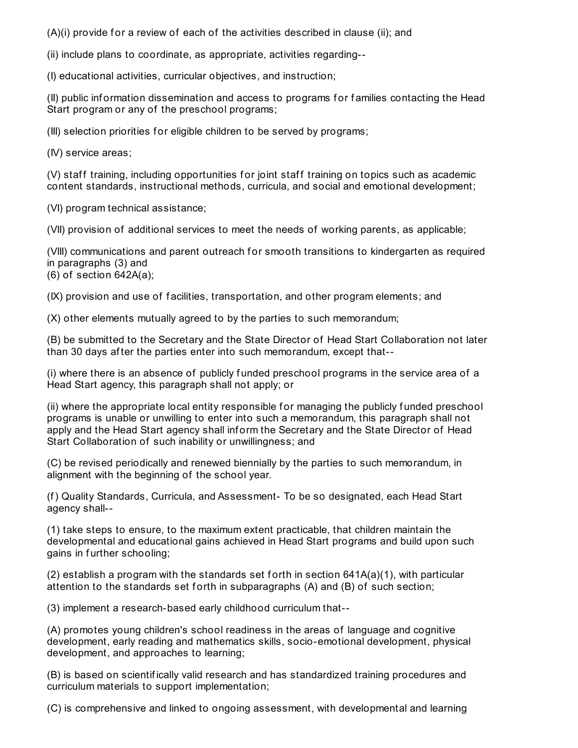$(A)(i)$  provide for a review of each of the activities described in clause (ii): and

(ii) include plans to coordinate, as appropriate, activities regarding--

(I) educational activities, curricular objectives, and instruction;

(II) public inf ormation dissemination and access to programs f or f amilies contacting the Head Start program or any of the preschool programs;

(III) selection priorities for eligible children to be served by programs;

(IV) service areas;

(V) staff training, including opportunities for joint staff training on topics such as academic content standards, instructional methods, curricula, and social and emotional development;

(VI) program technical assistance;

(VII) provision of additional services to meet the needs of working parents, as applicable;

(VIII) communications and parent outreach for smooth transitions to kindergarten as required in paragraphs (3) and (6) of section 642A(a);

(IX) provision and use of f acilities, transportation, and other program elements; and

(X) other elements mutually agreed to by the parties to such memorandum;

(B) be submitted to the Secretary and the State Director of Head Start Collaboration not later than 30 days af ter the parties enter into such memorandum, except that--

(i) where there is an absence of publicly f unded preschool programs in the service area of a Head Start agency, this paragraph shall not apply; or

(ii) where the appropriate local entity responsible f or managing the publicly f unded preschool programs is unable or unwilling to enter into such a memorandum, this paragraph shall not apply and the Head Start agency shall inform the Secretary and the State Director of Head Start Collaboration of such inability or unwillingness; and

(C) be revised periodically and renewed biennially by the parties to such memorandum, in alignment with the beginning of the school year.

(f) Quality Standards, Curricula, and Assessment- To be so designated, each Head Start agency shall--

(1) take steps to ensure, to the maximum extent practicable, that children maintain the developmental and educational gains achieved in Head Start programs and build upon such gains in further schooling;

(2) establish a program with the standards set forth in section  $641A(a)(1)$ , with particular attention to the standards set forth in subparagraphs (A) and (B) of such section;

(3) implement a research-based early childhood curriculum that--

(A) promotes young children's school readiness in the areas of language and cognitive development, early reading and mathematics skills, socio-emotional development, physical development, and approaches to learning;

(B) is based on scientif ically valid research and has standardized training procedures and curriculum materials to support implementation;

(C) is comprehensive and linked to ongoing assessment, with developmental and learning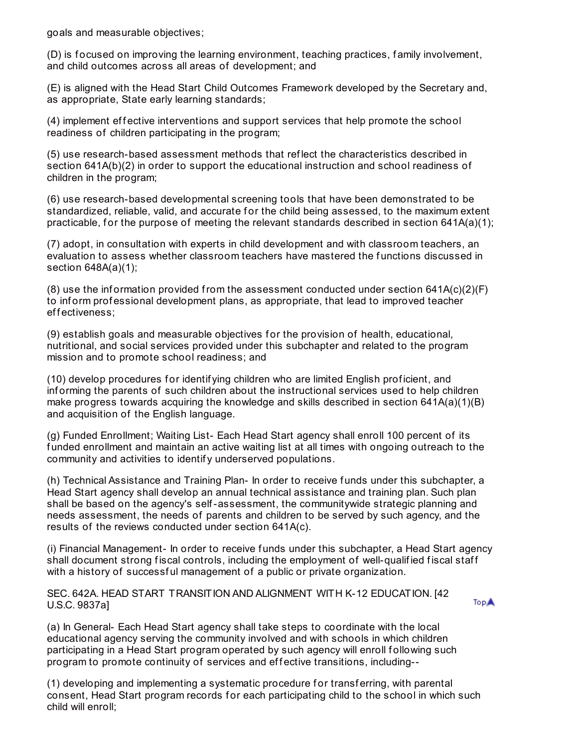goals and measurable objectives;

(D) is f ocused on improving the learning environment, teaching practices, f amily involvement, and child outcomes across all areas of development; and

(E) is aligned with the Head Start Child Outcomes Framework developed by the Secretary and, as appropriate, State early learning standards;

(4) implement effective interventions and support services that help promote the school readiness of children participating in the program;

(5) use research-based assessment methods that ref lect the characteristics described in section 641A(b)(2) in order to support the educational instruction and school readiness of children in the program;

(6) use research-based developmental screening tools that have been demonstrated to be standardized, reliable, valid, and accurate for the child being assessed, to the maximum extent practicable, for the purpose of meeting the relevant standards described in section  $641A(a)(1)$ ;

(7) adopt, in consultation with experts in child development and with classroom teachers, an evaluation to assess whether classroom teachers have mastered the functions discussed in section 648A(a)(1);

 $(8)$  use the information provided from the assessment conducted under section 641A(c)(2)(F) to inform professional development plans, as appropriate, that lead to improved teacher effectiveness;

(9) establish goals and measurable objectives for the provision of health, educational, nutritional, and social services provided under this subchapter and related to the program mission and to promote school readiness; and

(10) develop procedures f or identif ying children who are limited English prof icient, and inf orming the parents of such children about the instructional services used to help children make progress towards acquiring the knowledge and skills described in section  $641A(a)(1)(B)$ and acquisition of the English language.

(g) Funded Enrollment; Waiting List- Each Head Start agency shall enroll 100 percent of its f unded enrollment and maintain an active waiting list at all times with ongoing outreach to the community and activities to identif y underserved populations.

(h) Technical Assistance and Training Plan- In order to receive f unds under this subchapter, a Head Start agency shall develop an annual technical assistance and training plan. Such plan shall be based on the agency's self-assessment, the communitywide strategic planning and needs assessment, the needs of parents and children to be served by such agency, and the results of the reviews conducted under section 641A(c).

(i) Financial Management- In order to receive f unds under this subchapter, a Head Start agency shall document strong fiscal controls, including the employment of well-qualified fiscal staff with a history of successful management of a public or private organization.

SEC. 642A. HEAD START TRANSITION AND ALIGNMENT WITH K-12 EDUCATION. [42 U.S.C. 9837a]

TopA

(a) In General- Each Head Start agency shall take steps to coordinate with the local educational agency serving the community involved and with schools in which children participating in a Head Start program operated by such agency will enroll following such program to promote continuity of services and effective transitions, including--

(1) developing and implementing a systematic procedure f or transf erring, with parental consent, Head Start program records for each participating child to the school in which such child will enroll;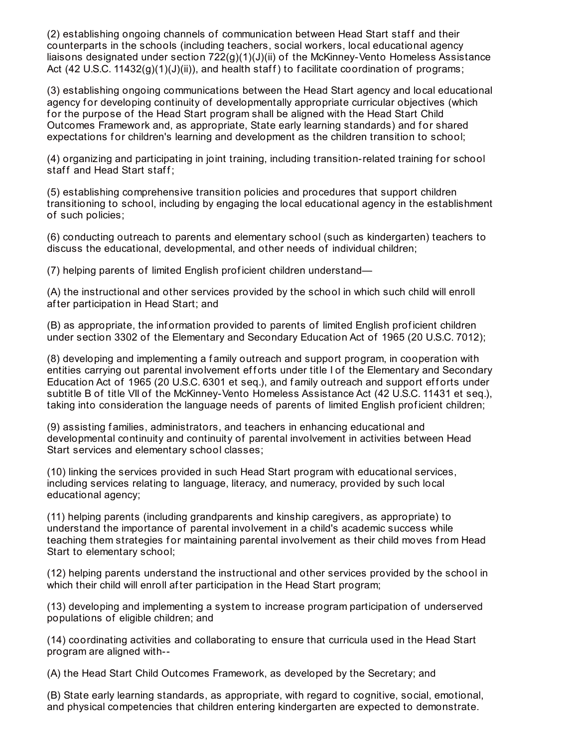(2) establishing ongoing channels of communication between Head Start staff and their counterparts in the schools (including teachers, social workers, local educational agency liaisons designated under section  $722(q)(1)(J)(ii)$  of the McKinney-Vento Homeless Assistance Act (42 U.S.C. 11432(g)(1)(J)(ii)), and health staff) to facilitate coordination of programs;

(3) establishing ongoing communications between the Head Start agency and local educational agency for developing continuity of developmentally appropriate curricular objectives (which f or the purpose of the Head Start program shall be aligned with the Head Start Child Outcomes Framework and, as appropriate, State early learning standards) and for shared expectations for children's learning and development as the children transition to school;

(4) organizing and participating in joint training, including transition-related training for school staff and Head Start staff;

(5) establishing comprehensive transition policies and procedures that support children transitioning to school, including by engaging the local educational agency in the establishment of such policies;

(6) conducting outreach to parents and elementary school (such as kindergarten) teachers to discuss the educational, developmental, and other needs of individual children;

(7) helping parents of limited English prof icient children understand—

(A) the instructional and other services provided by the school in which such child will enroll af ter participation in Head Start; and

(B) as appropriate, the inf ormation provided to parents of limited English prof icient children under section 3302 of the Elementary and Secondary Education Act of 1965 (20 U.S.C. 7012);

(8) developing and implementing a f amily outreach and support program, in cooperation with entities carrying out parental involvement efforts under title I of the Elementary and Secondary Education Act of 1965 (20 U.S.C. 6301 et seq.), and family outreach and support efforts under subtitle B of title VII of the McKinney-Vento Homeless Assistance Act (42 U.S.C. 11431 et seq.), taking into consideration the language needs of parents of limited English prof icient children;

(9) assisting f amilies, administrators, and teachers in enhancing educational and developmental continuity and continuity of parental involvement in activities between Head Start services and elementary school classes;

(10) linking the services provided in such Head Start program with educational services, including services relating to language, literacy, and numeracy, provided by such local educational agency;

(11) helping parents (including grandparents and kinship caregivers, as appropriate) to understand the importance of parental involvement in a child's academic success while teaching them strategies for maintaining parental involvement as their child moves from Head Start to elementary school;

(12) helping parents understand the instructional and other services provided by the school in which their child will enroll after participation in the Head Start program;

(13) developing and implementing a system to increase program participation of underserved populations of eligible children; and

(14) coordinating activities and collaborating to ensure that curricula used in the Head Start program are aligned with--

(A) the Head Start Child Outcomes Framework, as developed by the Secretary; and

(B) State early learning standards, as appropriate, with regard to cognitive, social, emotional, and physical competencies that children entering kindergarten are expected to demonstrate.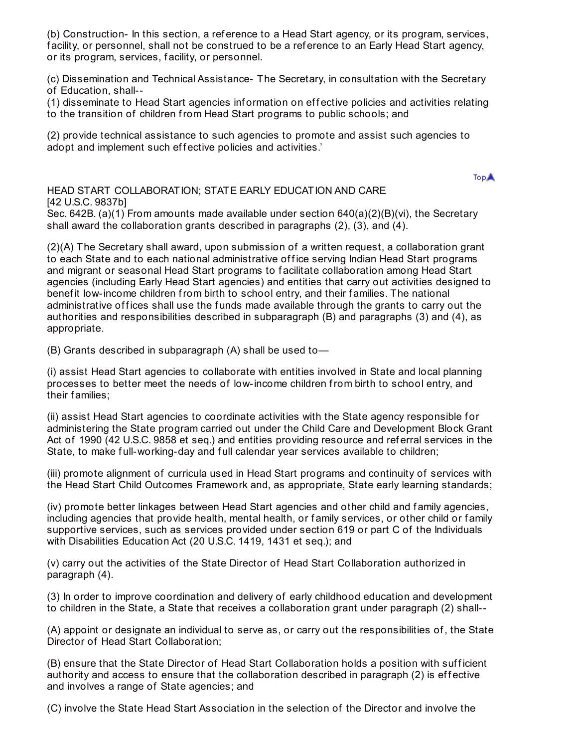(b) Construction- In this section, a ref erence to a Head Start agency, or its program, services, f acility, or personnel, shall not be construed to be a ref erence to an Early Head Start agency, or its program, services, f acility, or personnel.

(c) Dissemination and Technical Assistance- The Secretary, in consultation with the Secretary of Education, shall--

(1) disseminate to Head Start agencies inf ormation on ef f ective policies and activities relating to the transition of children from Head Start programs to public schools; and

(2) provide technical assistance to such agencies to promote and assist such agencies to adopt and implement such effective policies and activities.'

**TopA** 

HEAD START COLLABORATION; STATE EARLY EDUCATION AND CARE [42 U.S.C. 9837b]

Sec. 642B. (a)(1) From amounts made available under section  $640(a)(2)(B)(vi)$ , the Secretary shall award the collaboration grants described in paragraphs (2), (3), and (4).

(2)(A) The Secretary shall award, upon submission of a written request, a collaboration grant to each State and to each national administrative office serving Indian Head Start programs and migrant or seasonal Head Start programs to f acilitate collaboration among Head Start agencies (including Early Head Start agencies) and entities that carry out activities designed to benef it low-income children from birth to school entry, and their f amilies. The national administrative of fices shall use the funds made available through the grants to carry out the authorities and responsibilities described in subparagraph (B) and paragraphs (3) and (4), as appropriate.

(B) Grants described in subparagraph (A) shall be used to—

(i) assist Head Start agencies to collaborate with entities involved in State and local planning processes to better meet the needs of low-income children from birth to school entry, and their f amilies;

(ii) assist Head Start agencies to coordinate activities with the State agency responsible f or administering the State program carried out under the Child Care and Development Block Grant Act of 1990 (42 U.S.C. 9858 et seq.) and entities providing resource and ref erral services in the State, to make full-working-day and full calendar year services available to children;

(iii) promote alignment of curricula used in Head Start programs and continuity of services with the Head Start Child Outcomes Framework and, as appropriate, State early learning standards;

(iv) promote better linkages between Head Start agencies and other child and f amily agencies, including agencies that provide health, mental health, or family services, or other child or family supportive services, such as services provided under section 619 or part C of the Individuals with Disabilities Education Act (20 U.S.C. 1419, 1431 et seq.); and

(v) carry out the activities of the State Director of Head Start Collaboration authorized in paragraph (4).

(3) In order to improve coordination and delivery of early childhood education and development to children in the State, a State that receives a collaboration grant under paragraph (2) shall--

(A) appoint or designate an individual to serve as, or carry out the responsibilities of , the State Director of Head Start Collaboration;

(B) ensure that the State Director of Head Start Collaboration holds a position with sufficient authority and access to ensure that the collaboration described in paragraph (2) is effective and involves a range of State agencies; and

(C) involve the State Head Start Association in the selection of the Director and involve the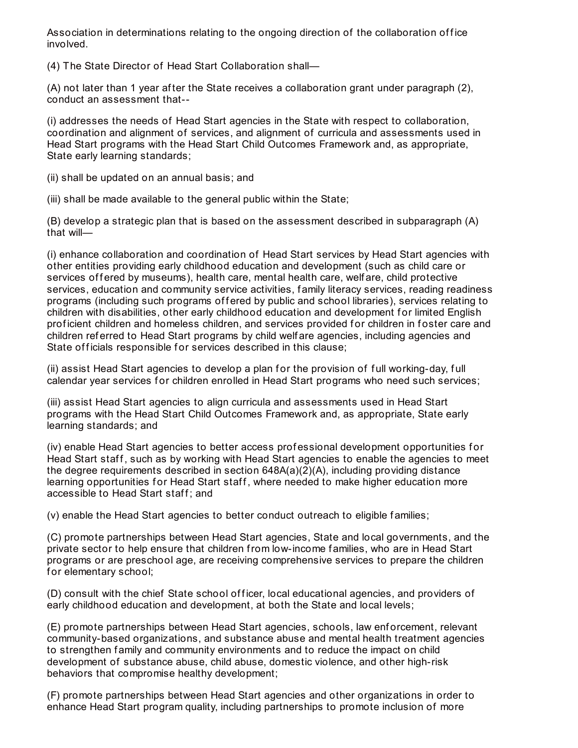Association in determinations relating to the ongoing direction of the collaboration office involved.

(4) The State Director of Head Start Collaboration shall—

(A) not later than 1 year af ter the State receives a collaboration grant under paragraph (2), conduct an assessment that--

(i) addresses the needs of Head Start agencies in the State with respect to collaboration, coordination and alignment of services, and alignment of curricula and assessments used in Head Start programs with the Head Start Child Outcomes Framework and, as appropriate, State early learning standards;

(ii) shall be updated on an annual basis; and

(iii) shall be made available to the general public within the State;

(B) develop a strategic plan that is based on the assessment described in subparagraph (A) that will—

(i) enhance collaboration and coordination of Head Start services by Head Start agencies with other entities providing early childhood education and development (such as child care or services of fered by museums), health care, mental health care, welfare, child protective services, education and community service activities, family literacy services, reading readiness programs (including such programs of fered by public and school libraries), services relating to children with disabilities, other early childhood education and development for limited English proficient children and homeless children, and services provided for children in foster care and children ref erred to Head Start programs by child welf are agencies, including agencies and State of ficials responsible for services described in this clause;

(ii) assist Head Start agencies to develop a plan for the provision of full working-day, full calendar year services for children enrolled in Head Start programs who need such services;

(iii) assist Head Start agencies to align curricula and assessments used in Head Start programs with the Head Start Child Outcomes Framework and, as appropriate, State early learning standards; and

(iv) enable Head Start agencies to better access professional development opportunities for Head Start staff, such as by working with Head Start agencies to enable the agencies to meet the degree requirements described in section 648A(a)(2)(A), including providing distance learning opportunities for Head Start staff, where needed to make higher education more accessible to Head Start staff; and

(v) enable the Head Start agencies to better conduct outreach to eligible f amilies;

(C) promote partnerships between Head Start agencies, State and local governments, and the private sector to help ensure that children from low-income f amilies, who are in Head Start programs or are preschool age, are receiving comprehensive services to prepare the children for elementary school;

(D) consult with the chief State school officer, local educational agencies, and providers of early childhood education and development, at both the State and local levels;

(E) promote partnerships between Head Start agencies, schools, law enf orcement, relevant community-based organizations, and substance abuse and mental health treatment agencies to strengthen f amily and community environments and to reduce the impact on child development of substance abuse, child abuse, domestic violence, and other high-risk behaviors that compromise healthy development;

(F) promote partnerships between Head Start agencies and other organizations in order to enhance Head Start program quality, including partnerships to promote inclusion of more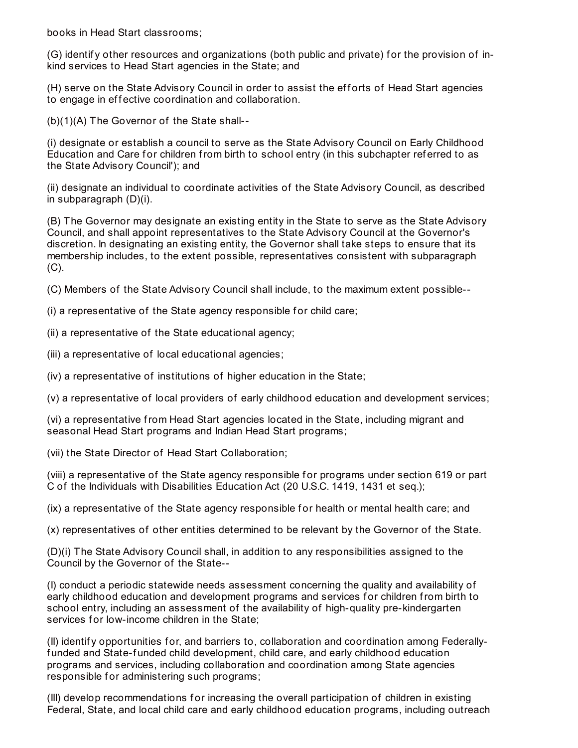books in Head Start classrooms;

(G) identify other resources and organizations (both public and private) for the provision of inkind services to Head Start agencies in the State; and

(H) serve on the State Advisory Council in order to assist the efforts of Head Start agencies to engage in effective coordination and collaboration.

(b)(1)(A) The Governor of the State shall--

(i) designate or establish a council to serve as the State Advisory Council on Early Childhood Education and Care for children from birth to school entry (in this subchapter referred to as the State Advisory Council'); and

(ii) designate an individual to coordinate activities of the State Advisory Council, as described in subparagraph (D)(i).

(B) The Governor may designate an existing entity in the State to serve as the State Advisory Council, and shall appoint representatives to the State Advisory Council at the Governor's discretion. In designating an existing entity, the Governor shall take steps to ensure that its membership includes, to the extent possible, representatives consistent with subparagraph (C).

(C) Members of the State Advisory Council shall include, to the maximum extent possible--

(i) a representative of the State agency responsible for child care;

(ii) a representative of the State educational agency;

(iii) a representative of local educational agencies;

(iv) a representative of institutions of higher education in the State;

(v) a representative of local providers of early childhood education and development services;

(vi) a representative from Head Start agencies located in the State, including migrant and seasonal Head Start programs and Indian Head Start programs;

(vii) the State Director of Head Start Collaboration;

(viii) a representative of the State agency responsible f or programs under section 619 or part C of the Individuals with Disabilities Education Act (20 U.S.C. 1419, 1431 et seq.);

(ix) a representative of the State agency responsible f or health or mental health care; and

(x) representatives of other entities determined to be relevant by the Governor of the State.

(D)(i) The State Advisory Council shall, in addition to any responsibilities assigned to the Council by the Governor of the State--

(I) conduct a periodic statewide needs assessment concerning the quality and availability of early childhood education and development programs and services for children from birth to school entry, including an assessment of the availability of high-quality pre-kindergarten services for low-income children in the State:

(II) identif y opportunities f or, and barriers to, collaboration and coordination among Federallyfunded and State-funded child development, child care, and early childhood education programs and services, including collaboration and coordination among State agencies responsible for administering such programs;

(III) develop recommendations f or increasing the overall participation of children in existing Federal, State, and local child care and early childhood education programs, including outreach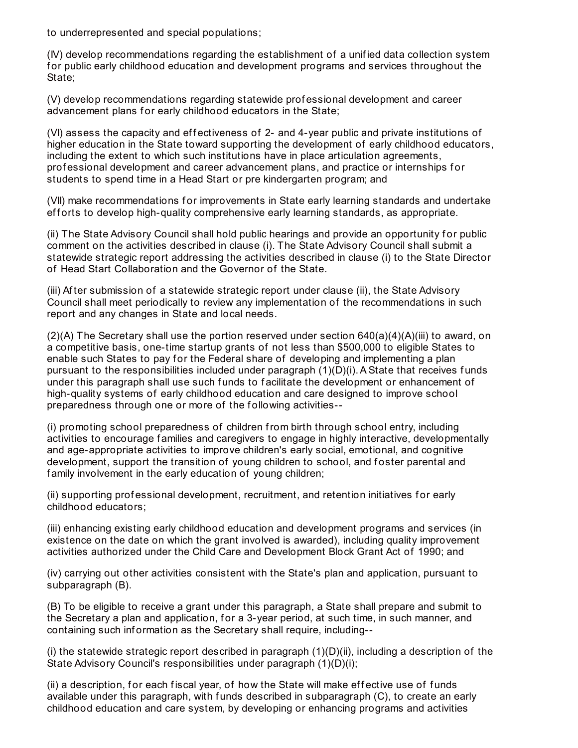to underrepresented and special populations;

(IV) develop recommendations regarding the establishment of a unif ied data collection system f or public early childhood education and development programs and services throughout the State;

(V) develop recommendations regarding statewide prof essional development and career advancement plans for early childhood educators in the State;

(VI) assess the capacity and effectiveness of 2- and 4-year public and private institutions of higher education in the State toward supporting the development of early childhood educators, including the extent to which such institutions have in place articulation agreements, prof essional development and career advancement plans, and practice or internships f or students to spend time in a Head Start or pre kindergarten program; and

(VII) make recommendations f or improvements in State early learning standards and undertake efforts to develop high-quality comprehensive early learning standards, as appropriate.

(ii) The State Advisory Council shall hold public hearings and provide an opportunity f or public comment on the activities described in clause (i). The State Advisory Council shall submit a statewide strategic report addressing the activities described in clause (i) to the State Director of Head Start Collaboration and the Governor of the State.

(iii) Af ter submission of a statewide strategic report under clause (ii), the State Advisory Council shall meet periodically to review any implementation of the recommendations in such report and any changes in State and local needs.

 $(2)(A)$  The Secretary shall use the portion reserved under section 640(a)(4)(A)(iii) to award, on a competitive basis, one-time startup grants of not less than \$500,000 to eligible States to enable such States to pay for the Federal share of developing and implementing a plan pursuant to the responsibilities included under paragraph  $(1)(D)(i)$ . A State that receives funds under this paragraph shall use such funds to facilitate the development or enhancement of high-quality systems of early childhood education and care designed to improve school preparedness through one or more of the following activities--

(i) promoting school preparedness of children from birth through school entry, including activities to encourage f amilies and caregivers to engage in highly interactive, developmentally and age-appropriate activities to improve children's early social, emotional, and cognitive development, support the transition of young children to school, and foster parental and family involvement in the early education of young children;

(ii) supporting professional development, recruitment, and retention initiatives for early childhood educators;

(iii) enhancing existing early childhood education and development programs and services (in existence on the date on which the grant involved is awarded), including quality improvement activities authorized under the Child Care and Development Block Grant Act of 1990; and

(iv) carrying out other activities consistent with the State's plan and application, pursuant to subparagraph (B).

(B) To be eligible to receive a grant under this paragraph, a State shall prepare and submit to the Secretary a plan and application, for a 3-year period, at such time, in such manner, and containing such inf ormation as the Secretary shall require, including--

(i) the statewide strategic report described in paragraph  $(1)(D)(ii)$ , including a description of the State Advisory Council's responsibilities under paragraph (1)(D)(i);

(ii) a description, for each fiscal year, of how the State will make effective use of funds available under this paragraph, with funds described in subparagraph (C), to create an early childhood education and care system, by developing or enhancing programs and activities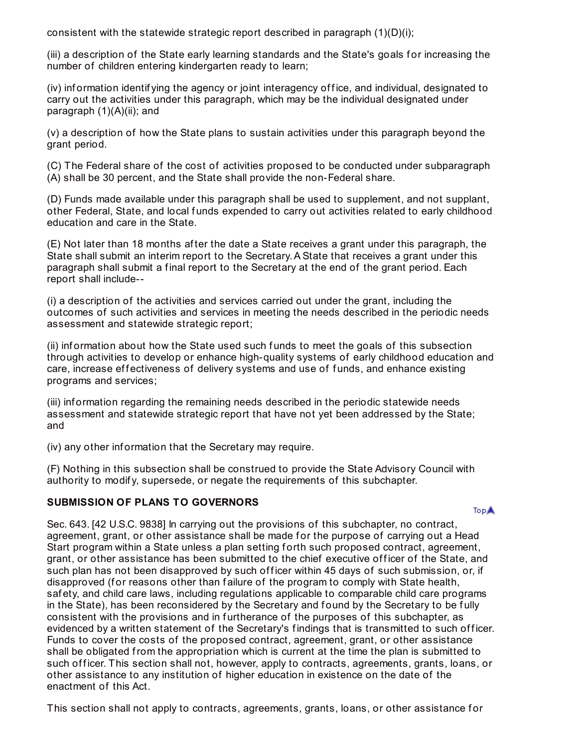consistent with the statewide strategic report described in paragraph  $(1)(D)(i)$ ;

(iii) a description of the State early learning standards and the State's goals for increasing the number of children entering kindergarten ready to learn;

(iv) information identif ying the agency or joint interagency office, and individual, designated to carry out the activities under this paragraph, which may be the individual designated under paragraph (1)(A)(ii); and

(v) a description of how the State plans to sustain activities under this paragraph beyond the grant period.

(C) The Federal share of the cost of activities proposed to be conducted under subparagraph (A) shall be 30 percent, and the State shall provide the non-Federal share.

(D) Funds made available under this paragraph shall be used to supplement, and not supplant, other Federal, State, and local f unds expended to carry out activities related to early childhood education and care in the State.

(E) Not later than 18 months af ter the date a State receives a grant under this paragraph, the State shall submit an interim report to the Secretary.A State that receives a grant under this paragraph shall submit a f inal report to the Secretary at the end of the grant period. Each report shall include--

(i) a description of the activities and services carried out under the grant, including the outcomes of such activities and services in meeting the needs described in the periodic needs assessment and statewide strategic report;

(ii) inf ormation about how the State used such f unds to meet the goals of this subsection through activities to develop or enhance high-quality systems of early childhood education and care, increase effectiveness of delivery systems and use of funds, and enhance existing programs and services;

(iii) inf ormation regarding the remaining needs described in the periodic statewide needs assessment and statewide strategic report that have not yet been addressed by the State; and

(iv) any other inf ormation that the Secretary may require.

(F) Nothing in this subsection shall be construed to provide the State Advisory Council with authority to modif y, supersede, or negate the requirements of this subchapter.

## **SUBMISSION OF PLANS TO GOVERNORS**

**TopA** 

Sec. 643. [42 U.S.C. 9838] In carrying out the provisions of this subchapter, no contract, agreement, grant, or other assistance shall be made for the purpose of carrying out a Head Start program within a State unless a plan setting forth such proposed contract, agreement, grant, or other assistance has been submitted to the chief executive officer of the State, and such plan has not been disapproved by such officer within 45 days of such submission, or, if disapproved (for reasons other than failure of the program to comply with State health, saf ety, and child care laws, including regulations applicable to comparable child care programs in the State), has been reconsidered by the Secretary and found by the Secretary to be fully consistent with the provisions and in f urtherance of the purposes of this subchapter, as evidenced by a written statement of the Secretary's findings that is transmitted to such officer. Funds to cover the costs of the proposed contract, agreement, grant, or other assistance shall be obligated from the appropriation which is current at the time the plan is submitted to such officer. This section shall not, however, apply to contracts, agreements, grants, loans, or other assistance to any institution of higher education in existence on the date of the enactment of this Act.

This section shall not apply to contracts, agreements, grants, loans, or other assistance for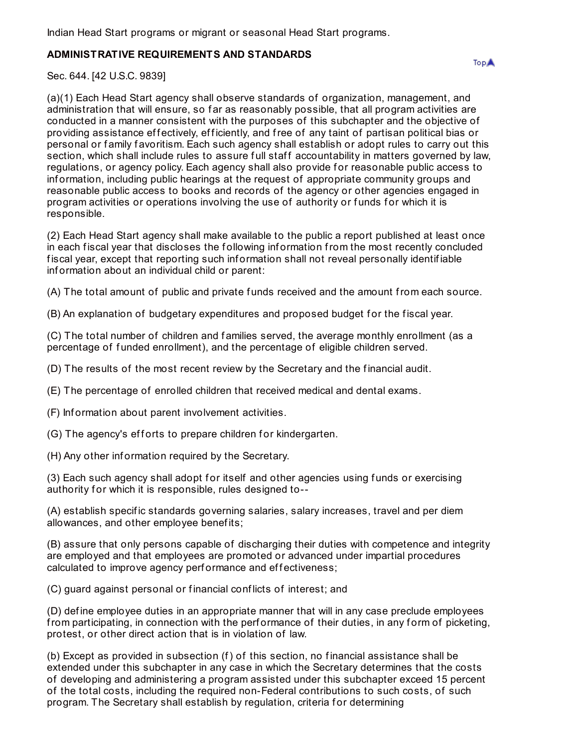Indian Head Start programs or migrant or seasonal Head Start programs.

## **ADMINISTRATIVE REQUIREMENTS AND STANDARDS**

Sec. 644. [42 U.S.C. 9839]

(a)(1) Each Head Start agency shall observe standards of organization, management, and administration that will ensure, so far as reasonably possible, that all program activities are conducted in a manner consistent with the purposes of this subchapter and the objective of providing assistance effectively, efficiently, and free of any taint of partisan political bias or personal or family favoritism. Each such agency shall establish or adopt rules to carry out this section, which shall include rules to assure full staff accountability in matters governed by law, regulations, or agency policy. Each agency shall also provide for reasonable public access to inf ormation, including public hearings at the request of appropriate community groups and reasonable public access to books and records of the agency or other agencies engaged in program activities or operations involving the use of authority or funds for which it is responsible.

(2) Each Head Start agency shall make available to the public a report published at least once in each fiscal year that discloses the following information from the most recently concluded f iscal year, except that reporting such inf ormation shall not reveal personally identif iable inf ormation about an individual child or parent:

(A) The total amount of public and private funds received and the amount from each source.

(B) An explanation of budgetary expenditures and proposed budget f or the f iscal year.

(C) The total number of children and f amilies served, the average monthly enrollment (as a percentage of f unded enrollment), and the percentage of eligible children served.

(D) The results of the most recent review by the Secretary and the f inancial audit.

(E) The percentage of enrolled children that received medical and dental exams.

(F) Inf ormation about parent involvement activities.

(G) The agency's efforts to prepare children for kindergarten.

(H) Any other inf ormation required by the Secretary.

(3) Each such agency shall adopt for itself and other agencies using funds or exercising authority for which it is responsible, rules designed to--

(A) establish specif ic standards governing salaries, salary increases, travel and per diem allowances, and other employee benef its;

(B) assure that only persons capable of discharging their duties with competence and integrity are employed and that employees are promoted or advanced under impartial procedures calculated to improve agency performance and effectiveness;

(C) guard against personal or f inancial conf licts of interest; and

(D) def ine employee duties in an appropriate manner that will in any case preclude employees from participating, in connection with the performance of their duties, in any form of picketing, protest, or other direct action that is in violation of law.

(b) Except as provided in subsection (f) of this section, no f inancial assistance shall be extended under this subchapter in any case in which the Secretary determines that the costs of developing and administering a program assisted under this subchapter exceed 15 percent of the total costs, including the required non-Federal contributions to such costs, of such program. The Secretary shall establish by regulation, criteria f or determining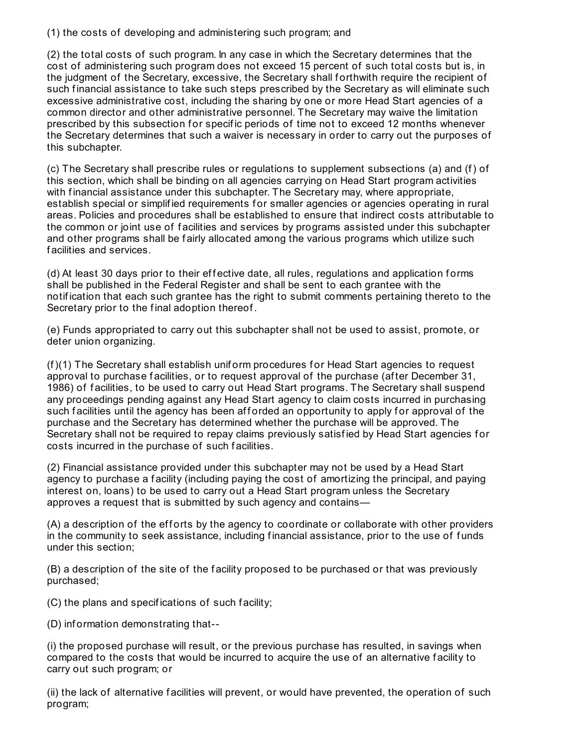(1) the costs of developing and administering such program; and

(2) the total costs of such program. In any case in which the Secretary determines that the cost of administering such program does not exceed 15 percent of such total costs but is, in the judgment of the Secretary, excessive, the Secretary shall forthwith require the recipient of such financial assistance to take such steps prescribed by the Secretary as will eliminate such excessive administrative cost, including the sharing by one or more Head Start agencies of a common director and other administrative personnel. The Secretary may waive the limitation prescribed by this subsection for specific periods of time not to exceed 12 months whenever the Secretary determines that such a waiver is necessary in order to carry out the purposes of this subchapter.

(c) The Secretary shall prescribe rules or regulations to supplement subsections (a) and (f) of this section, which shall be binding on all agencies carrying on Head Start program activities with financial assistance under this subchapter. The Secretary may, where appropriate, establish special or simplified requirements for smaller agencies or agencies operating in rural areas. Policies and procedures shall be established to ensure that indirect costs attributable to the common or joint use of f acilities and services by programs assisted under this subchapter and other programs shall be fairly allocated among the various programs which utilize such f acilities and services.

(d) At least 30 days prior to their effective date, all rules, regulations and application forms shall be published in the Federal Register and shall be sent to each grantee with the notif ication that each such grantee has the right to submit comments pertaining thereto to the Secretary prior to the final adoption thereof.

(e) Funds appropriated to carry out this subchapter shall not be used to assist, promote, or deter union organizing.

(f)(1) The Secretary shall establish unif orm procedures f or Head Start agencies to request approval to purchase f acilities, or to request approval of the purchase (af ter December 31, 1986) of f acilities, to be used to carry out Head Start programs. The Secretary shall suspend any proceedings pending against any Head Start agency to claim costs incurred in purchasing such facilities until the agency has been afforded an opportunity to apply for approval of the purchase and the Secretary has determined whether the purchase will be approved. The Secretary shall not be required to repay claims previously satisfied by Head Start agencies for costs incurred in the purchase of such f acilities.

(2) Financial assistance provided under this subchapter may not be used by a Head Start agency to purchase a facility (including paying the cost of amortizing the principal, and paying interest on, loans) to be used to carry out a Head Start program unless the Secretary approves a request that is submitted by such agency and contains—

(A) a description of the efforts by the agency to coordinate or collaborate with other providers in the community to seek assistance, including financial assistance, prior to the use of funds under this section;

(B) a description of the site of the f acility proposed to be purchased or that was previously purchased;

(C) the plans and specif ications of such f acility;

(D) inf ormation demonstrating that--

(i) the proposed purchase will result, or the previous purchase has resulted, in savings when compared to the costs that would be incurred to acquire the use of an alternative f acility to carry out such program; or

(ii) the lack of alternative f acilities will prevent, or would have prevented, the operation of such program;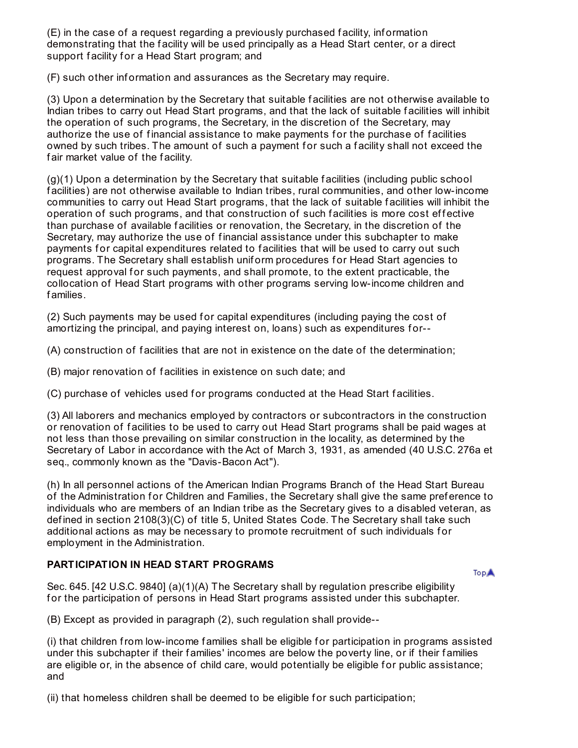(E) in the case of a request regarding a previously purchased f acility, inf ormation demonstrating that the f acility will be used principally as a Head Start center, or a direct support facility for a Head Start program; and

(F) such other inf ormation and assurances as the Secretary may require.

(3) Upon a determination by the Secretary that suitable f acilities are not otherwise available to Indian tribes to carry out Head Start programs, and that the lack of suitable f acilities will inhibit the operation of such programs, the Secretary, in the discretion of the Secretary, may authorize the use of financial assistance to make payments for the purchase of facilities owned by such tribes. The amount of such a payment for such a facility shall not exceed the fair market value of the facility.

(g)(1) Upon a determination by the Secretary that suitable f acilities (including public school f acilities) are not otherwise available to Indian tribes, rural communities, and other low-income communities to carry out Head Start programs, that the lack of suitable f acilities will inhibit the operation of such programs, and that construction of such facilities is more cost effective than purchase of available f acilities or renovation, the Secretary, in the discretion of the Secretary, may authorize the use of f inancial assistance under this subchapter to make payments for capital expenditures related to facilities that will be used to carry out such programs. The Secretary shall establish uniform procedures for Head Start agencies to request approval for such payments, and shall promote, to the extent practicable, the collocation of Head Start programs with other programs serving low-income children and f amilies.

(2) Such payments may be used for capital expenditures (including paying the cost of amortizing the principal, and paying interest on, loans) such as expenditures for--

(A) construction of f acilities that are not in existence on the date of the determination;

(B) major renovation of f acilities in existence on such date; and

(C) purchase of vehicles used f or programs conducted at the Head Start f acilities.

(3) All laborers and mechanics employed by contractors or subcontractors in the construction or renovation of f acilities to be used to carry out Head Start programs shall be paid wages at not less than those prevailing on similar construction in the locality, as determined by the Secretary of Labor in accordance with the Act of March 3, 1931, as amended (40 U.S.C. 276a et seq., commonly known as the "Davis-Bacon Act").

(h) In all personnel actions of the American Indian Programs Branch of the Head Start Bureau of the Administration for Children and Families, the Secretary shall give the same preference to individuals who are members of an Indian tribe as the Secretary gives to a disabled veteran, as def ined in section 2108(3)(C) of title 5, United States Code. The Secretary shall take such additional actions as may be necessary to promote recruitment of such individuals for employment in the Administration.

# **PARTICIPATION IN HEAD START PROGRAMS**

**TopA** 

Sec. 645. [42 U.S.C. 9840] (a)(1)(A) The Secretary shall by regulation prescribe eligibility for the participation of persons in Head Start programs assisted under this subchapter.

(B) Except as provided in paragraph (2), such regulation shall provide--

(i) that children from low-income families shall be eligible for participation in programs assisted under this subchapter if their f amilies' incomes are below the poverty line, or if their f amilies are eligible or, in the absence of child care, would potentially be eligible for public assistance; and

(ii) that homeless children shall be deemed to be eligible for such participation;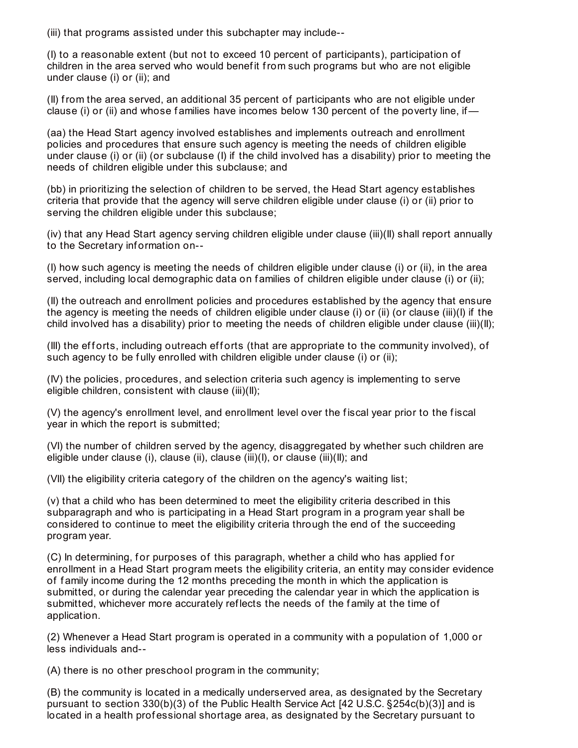(iii) that programs assisted under this subchapter may include--

(I) to a reasonable extent (but not to exceed 10 percent of participants), participation of children in the area served who would benef it from such programs but who are not eligible under clause (i) or (ii); and

(II) from the area served, an additional 35 percent of participants who are not eligible under clause (i) or (ii) and whose families have incomes below 130 percent of the poverty line, if—

(aa) the Head Start agency involved establishes and implements outreach and enrollment policies and procedures that ensure such agency is meeting the needs of children eligible under clause (i) or (ii) (or subclause (I) if the child involved has a disability) prior to meeting the needs of children eligible under this subclause; and

(bb) in prioritizing the selection of children to be served, the Head Start agency establishes criteria that provide that the agency will serve children eligible under clause (i) or (ii) prior to serving the children eligible under this subclause;

(iv) that any Head Start agency serving children eligible under clause (iii)(II) shall report annually to the Secretary inf ormation on--

(I) how such agency is meeting the needs of children eligible under clause (i) or (ii), in the area served, including local demographic data on families of children eligible under clause (i) or (ii);

(II) the outreach and enrollment policies and procedures established by the agency that ensure the agency is meeting the needs of children eligible under clause (i) or (ii) (or clause (iii)(I) if the child involved has a disability) prior to meeting the needs of children eligible under clause (iii)(II);

(III) the efforts, including outreach efforts (that are appropriate to the community involved), of such agency to be fully enrolled with children eligible under clause (i) or (ii);

(IV) the policies, procedures, and selection criteria such agency is implementing to serve eligible children, consistent with clause (iii)(II);

(V) the agency's enrollment level, and enrollment level over the f iscal year prior to the f iscal year in which the report is submitted;

(VI) the number of children served by the agency, disaggregated by whether such children are eligible under clause (i), clause (ii), clause (iii)(I), or clause (iii)(II); and

(VII) the eligibility criteria category of the children on the agency's waiting list;

(v) that a child who has been determined to meet the eligibility criteria described in this subparagraph and who is participating in a Head Start program in a program year shall be considered to continue to meet the eligibility criteria through the end of the succeeding program year.

(C) In determining, for purposes of this paragraph, whether a child who has applied for enrollment in a Head Start program meets the eligibility criteria, an entity may consider evidence of f amily income during the 12 months preceding the month in which the application is submitted, or during the calendar year preceding the calendar year in which the application is submitted, whichever more accurately ref lects the needs of the f amily at the time of application.

(2) Whenever a Head Start program is operated in a community with a population of 1,000 or less individuals and--

(A) there is no other preschool program in the community;

(B) the community is located in a medically underserved area, as designated by the Secretary pursuant to section 330(b)(3) of the Public Health Service Act [42 U.S.C. §254c(b)(3)] and is located in a health professional shortage area, as designated by the Secretary pursuant to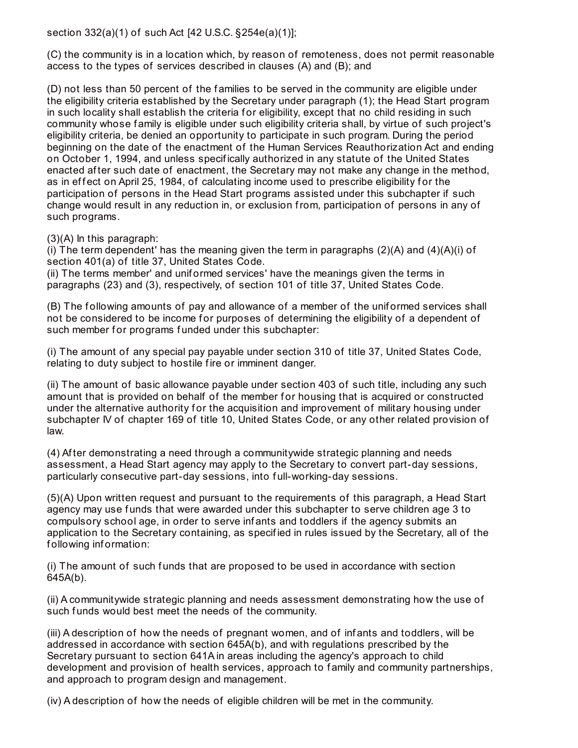section 332(a)(1) of such Act [42 U.S.C. §254e(a)(1)];

(C) the community is in a location which, by reason of remoteness, does not permit reasonable access to the types of services described in clauses (A) and (B); and

(D) not less than 50 percent of the f amilies to be served in the community are eligible under the eligibility criteria established by the Secretary under paragraph (1); the Head Start program in such locality shall establish the criteria for eligibility, except that no child residing in such community whose f amily is eligible under such eligibility criteria shall, by virtue of such project's eligibility criteria, be denied an opportunity to participate in such program. During the period beginning on the date of the enactment of the Human Services Reauthorization Act and ending on October 1, 1994, and unless specif ically authorized in any statute of the United States enacted after such date of enactment, the Secretary may not make any change in the method, as in effect on April 25, 1984, of calculating income used to prescribe eligibility for the participation of persons in the Head Start programs assisted under this subchapter if such change would result in any reduction in, or exclusion from, participation of persons in any of such programs.

(3)(A) In this paragraph:

(i) The term dependent' has the meaning given the term in paragraphs  $(2)(A)$  and  $(4)(A)(i)$  of section 401(a) of title 37, United States Code.

(ii) The terms member' and unif ormed services' have the meanings given the terms in paragraphs (23) and (3), respectively, of section 101 of title 37, United States Code.

(B) The f ollowing amounts of pay and allowance of a member of the unif ormed services shall not be considered to be income for purposes of determining the eligibility of a dependent of such member for programs funded under this subchapter:

(i) The amount of any special pay payable under section 310 of title 37, United States Code, relating to duty subject to hostile fire or imminent danger.

(ii) The amount of basic allowance payable under section 403 of such title, including any such amount that is provided on behalf of the member for housing that is acquired or constructed under the alternative authority for the acquisition and improvement of military housing under subchapter IV of chapter 169 of title 10, United States Code, or any other related provision of law.

(4) Af ter demonstrating a need through a communitywide strategic planning and needs assessment, a Head Start agency may apply to the Secretary to convert part-day sessions, particularly consecutive part-day sessions, into f ull-working-day sessions.

(5)(A) Upon written request and pursuant to the requirements of this paragraph, a Head Start agency may use funds that were awarded under this subchapter to serve children age 3 to compulsory school age, in order to serve inf ants and toddlers if the agency submits an application to the Secretary containing, as specif ied in rules issued by the Secretary, all of the f ollowing inf ormation:

(i) The amount of such funds that are proposed to be used in accordance with section 645A(b).

(ii) A communitywide strategic planning and needs assessment demonstrating how the use of such funds would best meet the needs of the community.

(iii) A description of how the needs of pregnant women, and of inf ants and toddlers, will be addressed in accordance with section 645A(b), and with regulations prescribed by the Secretary pursuant to section 641A in areas including the agency's approach to child development and provision of health services, approach to family and community partnerships, and approach to program design and management.

(iv) A description of how the needs of eligible children will be met in the community.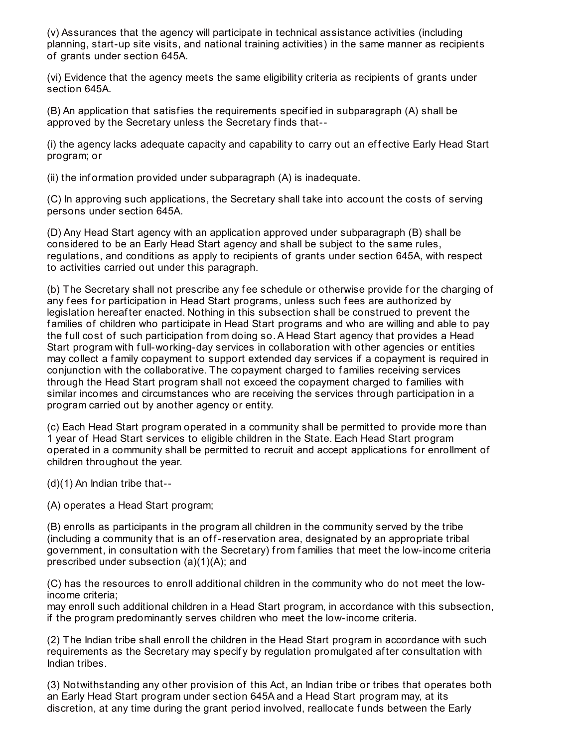(v) Assurances that the agency will participate in technical assistance activities (including planning, start-up site visits, and national training activities) in the same manner as recipients of grants under section 645A.

(vi) Evidence that the agency meets the same eligibility criteria as recipients of grants under section 645A.

(B) An application that satisf ies the requirements specif ied in subparagraph (A) shall be approved by the Secretary unless the Secretary f inds that--

(i) the agency lacks adequate capacity and capability to carry out an effective Early Head Start program; or

(ii) the inf ormation provided under subparagraph (A) is inadequate.

(C) In approving such applications, the Secretary shall take into account the costs of serving persons under section 645A.

(D) Any Head Start agency with an application approved under subparagraph (B) shall be considered to be an Early Head Start agency and shall be subject to the same rules, regulations, and conditions as apply to recipients of grants under section 645A, with respect to activities carried out under this paragraph.

(b) The Secretary shall not prescribe any fee schedule or otherwise provide for the charging of any fees for participation in Head Start programs, unless such fees are authorized by legislation hereaf ter enacted. Nothing in this subsection shall be construed to prevent the f amilies of children who participate in Head Start programs and who are willing and able to pay the full cost of such participation from doing so. A Head Start agency that provides a Head Start program with f ull-working-day services in collaboration with other agencies or entities may collect a family copayment to support extended day services if a copayment is required in conjunction with the collaborative. The copayment charged to f amilies receiving services through the Head Start program shall not exceed the copayment charged to f amilies with similar incomes and circumstances who are receiving the services through participation in a program carried out by another agency or entity.

(c) Each Head Start program operated in a community shall be permitted to provide more than 1 year of Head Start services to eligible children in the State. Each Head Start program operated in a community shall be permitted to recruit and accept applications for enrollment of children throughout the year.

(d)(1) An Indian tribe that--

(A) operates a Head Start program;

(B) enrolls as participants in the program all children in the community served by the tribe (including a community that is an off-reservation area, designated by an appropriate tribal government, in consultation with the Secretary) from f amilies that meet the low-income criteria prescribed under subsection (a)(1)(A); and

(C) has the resources to enroll additional children in the community who do not meet the lowincome criteria;

may enroll such additional children in a Head Start program, in accordance with this subsection, if the program predominantly serves children who meet the low-income criteria.

(2) The Indian tribe shall enroll the children in the Head Start program in accordance with such requirements as the Secretary may specify by regulation promulgated after consultation with Indian tribes.

(3) Notwithstanding any other provision of this Act, an Indian tribe or tribes that operates both an Early Head Start program under section 645A and a Head Start program may, at its discretion, at any time during the grant period involved, reallocate f unds between the Early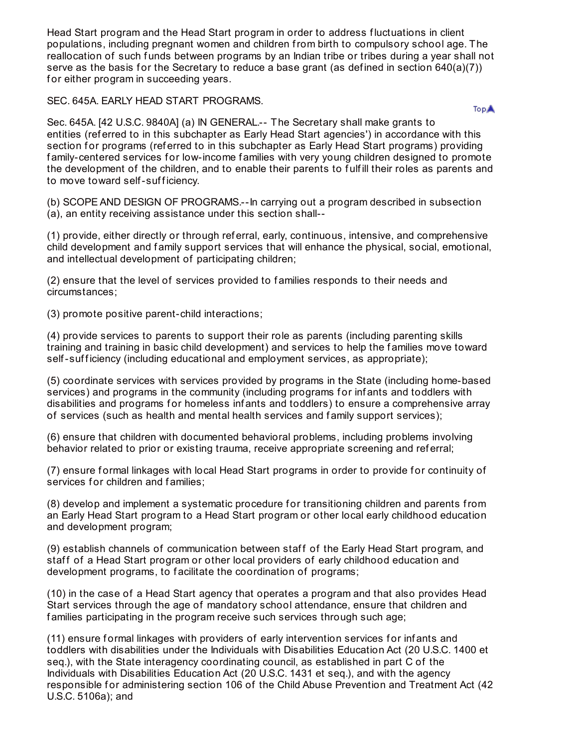Head Start program and the Head Start program in order to address f luctuations in client populations, including pregnant women and children from birth to compulsory school age. The reallocation of such funds between programs by an Indian tribe or tribes during a year shall not serve as the basis for the Secretary to reduce a base grant (as defined in section  $640(a)(7)$ ) for either program in succeeding years.

SEC. 645A. EARLY HEAD START PROGRAMS.

**TopA** 

Sec. 645A. [42 U.S.C. 9840A] (a) IN GENERAL.-- The Secretary shall make grants to entities (ref erred to in this subchapter as Early Head Start agencies') in accordance with this section for programs (referred to in this subchapter as Early Head Start programs) providing family-centered services for low-income families with very young children designed to promote the development of the children, and to enable their parents to f ulf ill their roles as parents and to move toward self-sufficiency.

(b) SCOPE AND DESIGN OF PROGRAMS.--In carrying out a program described in subsection (a), an entity receiving assistance under this section shall--

(1) provide, either directly or through ref erral, early, continuous, intensive, and comprehensive child development and f amily support services that will enhance the physical, social, emotional, and intellectual development of participating children;

(2) ensure that the level of services provided to f amilies responds to their needs and circumstances;

(3) promote positive parent-child interactions;

(4) provide services to parents to support their role as parents (including parenting skills training and training in basic child development) and services to help the f amilies move toward self-sufficiency (including educational and employment services, as appropriate);

(5) coordinate services with services provided by programs in the State (including home-based services) and programs in the community (including programs for infants and toddlers with disabilities and programs for homeless infants and toddlers) to ensure a comprehensive array of services (such as health and mental health services and f amily support services);

(6) ensure that children with documented behavioral problems, including problems involving behavior related to prior or existing trauma, receive appropriate screening and ref erral;

(7) ensure formal linkages with local Head Start programs in order to provide for continuity of services for children and families;

(8) develop and implement a systematic procedure for transitioning children and parents from an Early Head Start program to a Head Start program or other local early childhood education and development program;

(9) establish channels of communication between staf f of the Early Head Start program, and staff of a Head Start program or other local providers of early childhood education and development programs, to f acilitate the coordination of programs;

(10) in the case of a Head Start agency that operates a program and that also provides Head Start services through the age of mandatory school attendance, ensure that children and f amilies participating in the program receive such services through such age;

(11) ensure formal linkages with providers of early intervention services for infants and toddlers with disabilities under the Individuals with Disabilities Education Act (20 U.S.C. 1400 et seq.), with the State interagency coordinating council, as established in part C of the Individuals with Disabilities Education Act (20 U.S.C. 1431 et seq.), and with the agency responsible for administering section 106 of the Child Abuse Prevention and Treatment Act (42 U.S.C. 5106a); and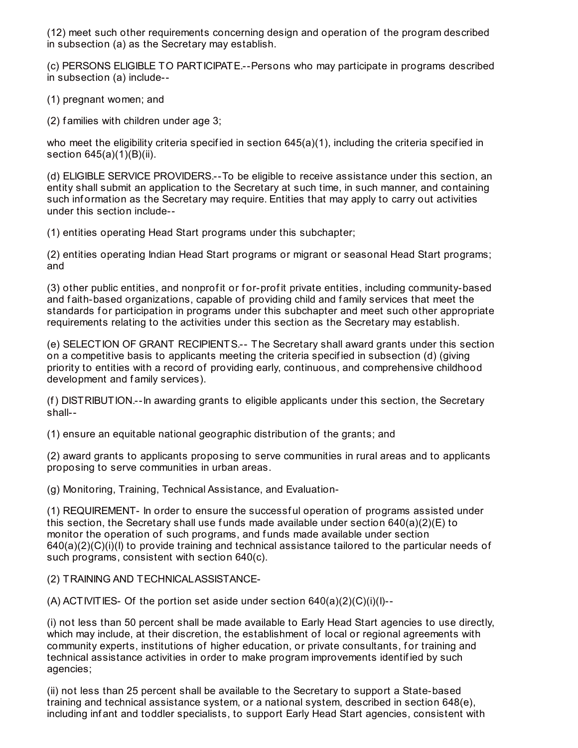(12) meet such other requirements concerning design and operation of the program described in subsection (a) as the Secretary may establish.

(c) PERSONS ELIGIBLE TO PARTICIPATE.--Persons who may participate in programs described in subsection (a) include--

(1) pregnant women; and

(2) f amilies with children under age 3;

who meet the eligibility criteria specified in section 645(a)(1), including the criteria specified in section 645(a)(1)(B)(ii).

(d) ELIGIBLE SERVICE PROVIDERS.--To be eligible to receive assistance under this section, an entity shall submit an application to the Secretary at such time, in such manner, and containing such information as the Secretary may require. Entities that may apply to carry out activities under this section include--

(1) entities operating Head Start programs under this subchapter;

(2) entities operating Indian Head Start programs or migrant or seasonal Head Start programs; and

(3) other public entities, and nonprofit or for-profit private entities, including community-based and faith-based organizations, capable of providing child and family services that meet the standards for participation in programs under this subchapter and meet such other appropriate requirements relating to the activities under this section as the Secretary may establish.

(e) SELECTION OF GRANT RECIPIENTS.-- The Secretary shall award grants under this section on a competitive basis to applicants meeting the criteria specif ied in subsection (d) (giving priority to entities with a record of providing early, continuous, and comprehensive childhood development and family services).

(f) DISTRIBUTION.--In awarding grants to eligible applicants under this section, the Secretary shall--

(1) ensure an equitable national geographic distribution of the grants; and

(2) award grants to applicants proposing to serve communities in rural areas and to applicants proposing to serve communities in urban areas.

(g) Monitoring, Training, Technical Assistance, and Evaluation-

(1) REQUIREMENT- In order to ensure the successf ul operation of programs assisted under this section, the Secretary shall use funds made available under section  $640(a)(2)(E)$  to monitor the operation of such programs, and funds made available under section  $640(a)(2)(C)(i)(I)$  to provide training and technical assistance tailored to the particular needs of such programs, consistent with section 640(c).

(2) TRAINING AND TECHNICALASSISTANCE-

(A) ACTIVITIES- Of the portion set aside under section  $640(a)(2)(C)(i)(I)$ --

(i) not less than 50 percent shall be made available to Early Head Start agencies to use directly, which may include, at their discretion, the establishment of local or regional agreements with community experts, institutions of higher education, or private consultants, for training and technical assistance activities in order to make program improvements identif ied by such agencies;

(ii) not less than 25 percent shall be available to the Secretary to support a State-based training and technical assistance system, or a national system, described in section 648(e), including inf ant and toddler specialists, to support Early Head Start agencies, consistent with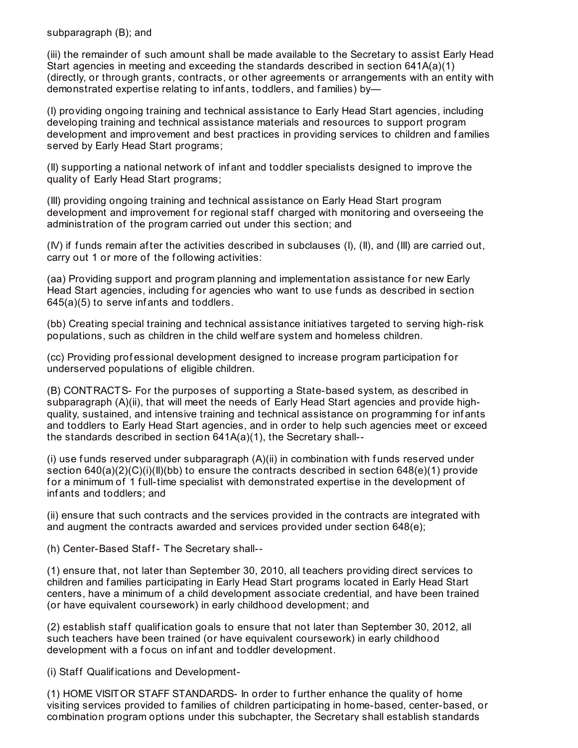#### subparagraph (B); and

(iii) the remainder of such amount shall be made available to the Secretary to assist Early Head Start agencies in meeting and exceeding the standards described in section 641A(a)(1) (directly, or through grants, contracts, or other agreements or arrangements with an entity with demonstrated expertise relating to inf ants, toddlers, and f amilies) by—

(I) providing ongoing training and technical assistance to Early Head Start agencies, including developing training and technical assistance materials and resources to support program development and improvement and best practices in providing services to children and families served by Early Head Start programs;

(II) supporting a national network of inf ant and toddler specialists designed to improve the quality of Early Head Start programs;

(III) providing ongoing training and technical assistance on Early Head Start program development and improvement for regional staff charged with monitoring and overseeing the administration of the program carried out under this section; and

(IV) if f unds remain af ter the activities described in subclauses (I), (II), and (III) are carried out, carry out 1 or more of the following activities:

(aa) Providing support and program planning and implementation assistance for new Early Head Start agencies, including for agencies who want to use funds as described in section 645(a)(5) to serve inf ants and toddlers.

(bb) Creating special training and technical assistance initiatives targeted to serving high-risk populations, such as children in the child welf are system and homeless children.

(cc) Providing prof essional development designed to increase program participation f or underserved populations of eligible children.

(B) CONTRACTS- For the purposes of supporting a State-based system, as described in subparagraph (A)(ii), that will meet the needs of Early Head Start agencies and provide highquality, sustained, and intensive training and technical assistance on programming for infants and toddlers to Early Head Start agencies, and in order to help such agencies meet or exceed the standards described in section 641A(a)(1), the Secretary shall--

 $(i)$  use funds reserved under subparagraph  $(A)(ii)$  in combination with funds reserved under section  $640(a)(2)(C)(i)(II)(bb)$  to ensure the contracts described in section  $648(e)(1)$  provide for a minimum of 1 full-time specialist with demonstrated expertise in the development of inf ants and toddlers; and

(ii) ensure that such contracts and the services provided in the contracts are integrated with and augment the contracts awarded and services provided under section 648(e);

(h) Center-Based Staff- The Secretary shall--

(1) ensure that, not later than September 30, 2010, all teachers providing direct services to children and f amilies participating in Early Head Start programs located in Early Head Start centers, have a minimum of a child development associate credential, and have been trained (or have equivalent coursework) in early childhood development; and

(2) establish staff qualification goals to ensure that not later than September 30, 2012, all such teachers have been trained (or have equivalent coursework) in early childhood development with a focus on infant and toddler development.

(i) Staff Qualifications and Development-

(1) HOME VISITOR STAFF STANDARDS- In order to f urther enhance the quality of home visiting services provided to f amilies of children participating in home-based, center-based, or combination program options under this subchapter, the Secretary shall establish standards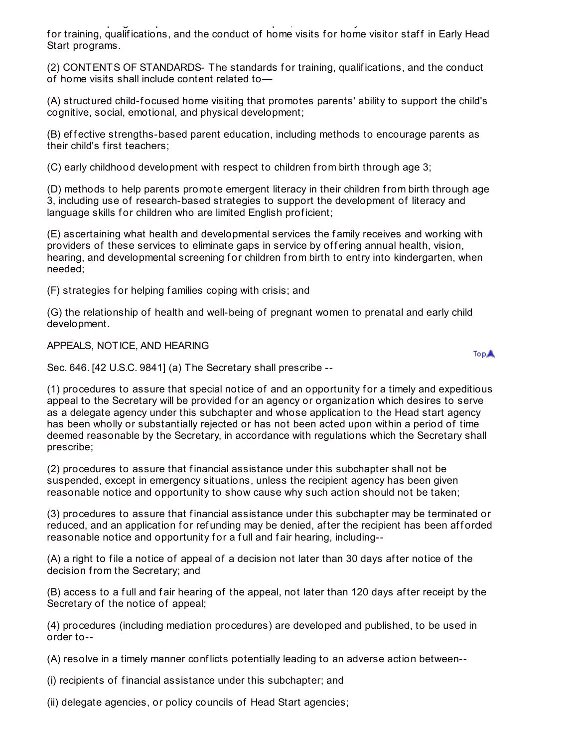combination program options under this subchapter, the Secretary shall establish standards for training, qualifications, and the conduct of home visits for home visitor staff in Early Head Start programs.

(2) CONTENTS OF STANDARDS- The standards for training, qualifications, and the conduct of home visits shall include content related to—

(A) structured child-focused home visiting that promotes parents' ability to support the child's cognitive, social, emotional, and physical development;

(B) effective strengths-based parent education, including methods to encourage parents as their child's f irst teachers;

(C) early childhood development with respect to children from birth through age 3;

(D) methods to help parents promote emergent literacy in their children from birth through age 3, including use of research-based strategies to support the development of literacy and language skills for children who are limited English proficient;

(E) ascertaining what health and developmental services the f amily receives and working with providers of these services to eliminate gaps in service by offering annual health, vision, hearing, and developmental screening for children from birth to entry into kindergarten, when needed;

(F) strategies f or helping f amilies coping with crisis; and

(G) the relationship of health and well-being of pregnant women to prenatal and early child development.

APPEALS, NOTICE, AND HEARING

Sec. 646. [42 U.S.C. 9841] (a) The Secretary shall prescribe --

(1) procedures to assure that special notice of and an opportunity for a timely and expeditious appeal to the Secretary will be provided f or an agency or organization which desires to serve as a delegate agency under this subchapter and whose application to the Head start agency has been wholly or substantially rejected or has not been acted upon within a period of time deemed reasonable by the Secretary, in accordance with regulations which the Secretary shall prescribe;

(2) procedures to assure that f inancial assistance under this subchapter shall not be suspended, except in emergency situations, unless the recipient agency has been given reasonable notice and opportunity to show cause why such action should not be taken;

(3) procedures to assure that financial assistance under this subchapter may be terminated or reduced, and an application for refunding may be denied, after the recipient has been afforded reasonable notice and opportunity for a full and fair hearing, including--

(A) a right to file a notice of appeal of a decision not later than 30 days after notice of the decision from the Secretary; and

(B) access to a full and fair hearing of the appeal, not later than 120 days after receipt by the Secretary of the notice of appeal;

(4) procedures (including mediation procedures) are developed and published, to be used in order to--

(A) resolve in a timely manner conf licts potentially leading to an adverse action between--

(i) recipients of f inancial assistance under this subchapter; and

(ii) delegate agencies, or policy councils of Head Start agencies;

**TopA**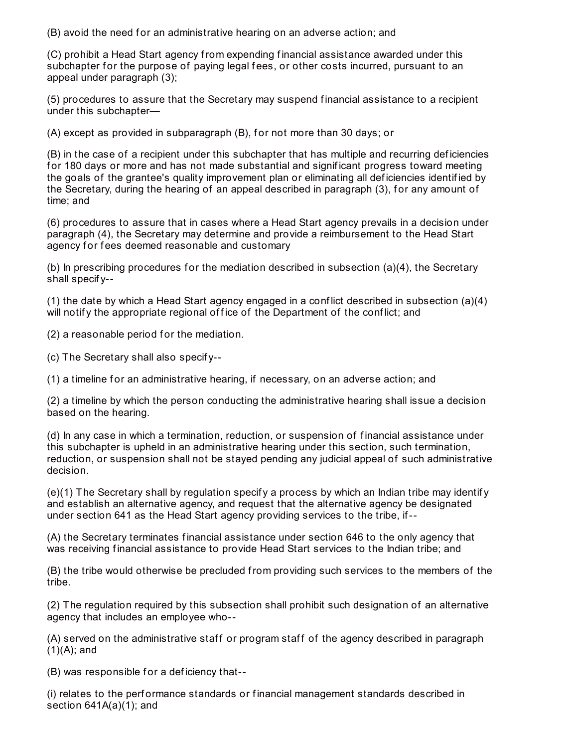(B) avoid the need f or an administrative hearing on an adverse action; and

(C) prohibit a Head Start agency from expending f inancial assistance awarded under this subchapter for the purpose of paying legal fees, or other costs incurred, pursuant to an appeal under paragraph (3);

(5) procedures to assure that the Secretary may suspend f inancial assistance to a recipient under this subchapter—

 $(A)$  except as provided in subparagraph  $(B)$ , for not more than 30 days; or

(B) in the case of a recipient under this subchapter that has multiple and recurring def iciencies f or 180 days or more and has not made substantial and signif icant progress toward meeting the goals of the grantee's quality improvement plan or eliminating all def iciencies identif ied by the Secretary, during the hearing of an appeal described in paragraph (3), for any amount of time; and

(6) procedures to assure that in cases where a Head Start agency prevails in a decision under paragraph (4), the Secretary may determine and provide a reimbursement to the Head Start agency for fees deemed reasonable and customary

(b) In prescribing procedures for the mediation described in subsection (a) $(4)$ , the Secretary shall specif y--

(1) the date by which a Head Start agency engaged in a conf lict described in subsection (a)(4) will notify the appropriate regional office of the Department of the conflict; and

(2) a reasonable period for the mediation.

(c) The Secretary shall also specif y--

 $(1)$  a timeline for an administrative hearing, if necessary, on an adverse action; and

(2) a timeline by which the person conducting the administrative hearing shall issue a decision based on the hearing.

(d) In any case in which a termination, reduction, or suspension of f inancial assistance under this subchapter is upheld in an administrative hearing under this section, such termination, reduction, or suspension shall not be stayed pending any judicial appeal of such administrative decision.

 $(e)(1)$  The Secretary shall by regulation specify a process by which an Indian tribe may identify and establish an alternative agency, and request that the alternative agency be designated under section 641 as the Head Start agency providing services to the tribe, if--

(A) the Secretary terminates f inancial assistance under section 646 to the only agency that was receiving financial assistance to provide Head Start services to the Indian tribe; and

(B) the tribe would otherwise be precluded from providing such services to the members of the tribe.

(2) The regulation required by this subsection shall prohibit such designation of an alternative agency that includes an employee who--

(A) served on the administrative staff or program staff of the agency described in paragraph  $(1)(A)$ ; and

(B) was responsible for a deficiency that--

(i) relates to the perf ormance standards or f inancial management standards described in section  $641A(a)(1)$ ; and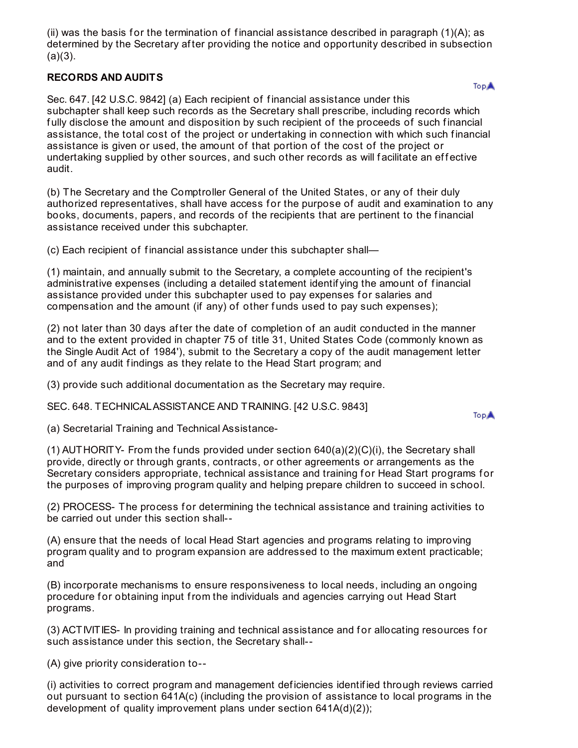(ii) was the basis for the termination of financial assistance described in paragraph (1)(A); as determined by the Secretary af ter providing the notice and opportunity described in subsection  $(a)(3)$ .

## **RECORDS AND AUDITS**

**TopA** 

Sec. 647. [42 U.S.C. 9842] (a) Each recipient of f inancial assistance under this subchapter shall keep such records as the Secretary shall prescribe, including records which fully disclose the amount and disposition by such recipient of the proceeds of such financial assistance, the total cost of the project or undertaking in connection with which such f inancial assistance is given or used, the amount of that portion of the cost of the project or undertaking supplied by other sources, and such other records as will facilitate an effective audit.

(b) The Secretary and the Comptroller General of the United States, or any of their duly authorized representatives, shall have access for the purpose of audit and examination to any books, documents, papers, and records of the recipients that are pertinent to the f inancial assistance received under this subchapter.

(c) Each recipient of f inancial assistance under this subchapter shall—

(1) maintain, and annually submit to the Secretary, a complete accounting of the recipient's administrative expenses (including a detailed statement identif ying the amount of f inancial assistance provided under this subchapter used to pay expenses f or salaries and compensation and the amount (if any) of other funds used to pay such expenses);

(2) not later than 30 days af ter the date of completion of an audit conducted in the manner and to the extent provided in chapter 75 of title 31, United States Code (commonly known as the Single Audit Act of 1984'), submit to the Secretary a copy of the audit management letter and of any audit findings as they relate to the Head Start program; and

(3) provide such additional documentation as the Secretary may require.

SEC. 648. TECHNICALASSISTANCE AND TRAINING. [42 U.S.C. 9843]

**TopA** 

(a) Secretarial Training and Technical Assistance-

(1) AUTHORITY- From the funds provided under section  $640(a)(2)(C)(i)$ , the Secretary shall provide, directly or through grants, contracts, or other agreements or arrangements as the Secretary considers appropriate, technical assistance and training for Head Start programs for the purposes of improving program quality and helping prepare children to succeed in school.

(2) PROCESS- The process f or determining the technical assistance and training activities to be carried out under this section shall--

(A) ensure that the needs of local Head Start agencies and programs relating to improving program quality and to program expansion are addressed to the maximum extent practicable; and

(B) incorporate mechanisms to ensure responsiveness to local needs, including an ongoing procedure for obtaining input from the individuals and agencies carrying out Head Start programs.

(3) ACTIVITIES- In providing training and technical assistance and f or allocating resources f or such assistance under this section, the Secretary shall--

(A) give priority consideration to--

(i) activities to correct program and management def iciencies identif ied through reviews carried out pursuant to section 641A(c) (including the provision of assistance to local programs in the development of quality improvement plans under section 641A(d)(2));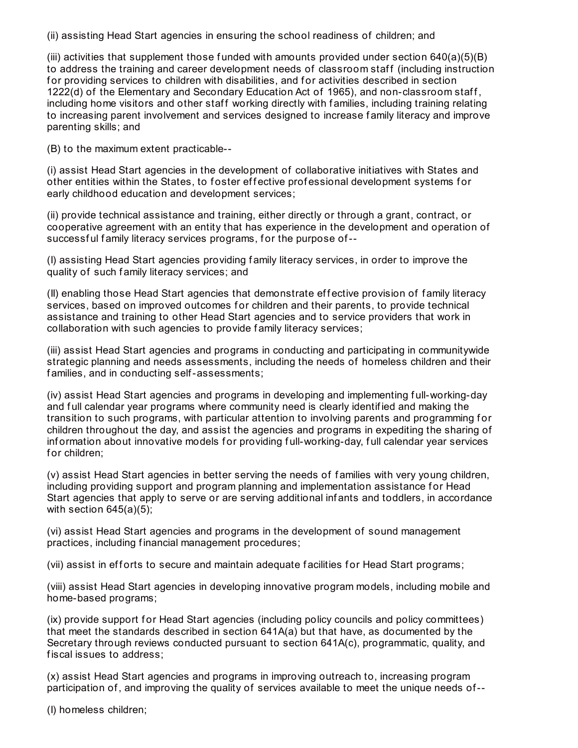(ii) assisting Head Start agencies in ensuring the school readiness of children; and

(iii) activities that supplement those funded with amounts provided under section  $640(a)(5)(B)$ to address the training and career development needs of classroom staff (including instruction for providing services to children with disabilities, and for activities described in section 1222(d) of the Elementary and Secondary Education Act of 1965), and non-classroom staf f , including home visitors and other staff working directly with families, including training relating to increasing parent involvement and services designed to increase f amily literacy and improve parenting skills; and

(B) to the maximum extent practicable--

(i) assist Head Start agencies in the development of collaborative initiatives with States and other entities within the States, to foster effective professional development systems for early childhood education and development services;

(ii) provide technical assistance and training, either directly or through a grant, contract, or cooperative agreement with an entity that has experience in the development and operation of successful family literacy services programs, for the purpose of--

(I) assisting Head Start agencies providing f amily literacy services, in order to improve the quality of such f amily literacy services; and

(II) enabling those Head Start agencies that demonstrate ef f ective provision of f amily literacy services, based on improved outcomes for children and their parents, to provide technical assistance and training to other Head Start agencies and to service providers that work in collaboration with such agencies to provide f amily literacy services;

(iii) assist Head Start agencies and programs in conducting and participating in communitywide strategic planning and needs assessments, including the needs of homeless children and their f amilies, and in conducting self-assessments;

(iv) assist Head Start agencies and programs in developing and implementing f ull-working-day and f ull calendar year programs where community need is clearly identif ied and making the transition to such programs, with particular attention to involving parents and programming for children throughout the day, and assist the agencies and programs in expediting the sharing of information about innovative models for providing full-working-day, full calendar year services for children;

(v) assist Head Start agencies in better serving the needs of f amilies with very young children, including providing support and program planning and implementation assistance for Head Start agencies that apply to serve or are serving additional inf ants and toddlers, in accordance with section 645(a)(5);

(vi) assist Head Start agencies and programs in the development of sound management practices, including financial management procedures;

(vii) assist in efforts to secure and maintain adequate facilities for Head Start programs;

(viii) assist Head Start agencies in developing innovative program models, including mobile and home-based programs;

(ix) provide support for Head Start agencies (including policy councils and policy committees) that meet the standards described in section 641A(a) but that have, as documented by the Secretary through reviews conducted pursuant to section 641A(c), programmatic, quality, and fiscal issues to address;

(x) assist Head Start agencies and programs in improving outreach to, increasing program participation of , and improving the quality of services available to meet the unique needs of--

(I) homeless children;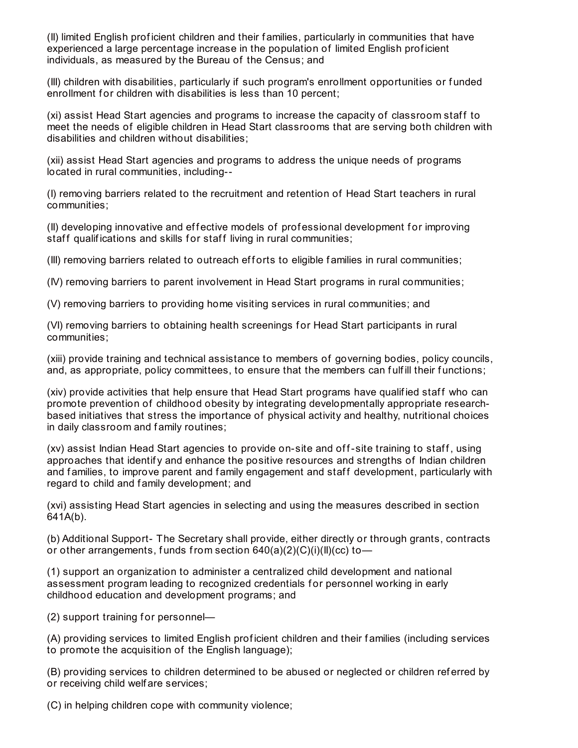(II) limited English prof icient children and their f amilies, particularly in communities that have experienced a large percentage increase in the population of limited English prof icient individuals, as measured by the Bureau of the Census; and

(III) children with disabilities, particularly if such program's enrollment opportunities or f unded enrollment for children with disabilities is less than 10 percent;

(xi) assist Head Start agencies and programs to increase the capacity of classroom staf f to meet the needs of eligible children in Head Start classrooms that are serving both children with disabilities and children without disabilities;

(xii) assist Head Start agencies and programs to address the unique needs of programs located in rural communities, including--

(I) removing barriers related to the recruitment and retention of Head Start teachers in rural communities;

(II) developing innovative and effective models of professional development for improving staff qualifications and skills for staff living in rural communities;

(III) removing barriers related to outreach efforts to eligible families in rural communities;

(IV) removing barriers to parent involvement in Head Start programs in rural communities;

(V) removing barriers to providing home visiting services in rural communities; and

(VI) removing barriers to obtaining health screenings for Head Start participants in rural communities;

(xiii) provide training and technical assistance to members of governing bodies, policy councils, and, as appropriate, policy committees, to ensure that the members can fulfill their functions;

(xiv) provide activities that help ensure that Head Start programs have qualified staff who can promote prevention of childhood obesity by integrating developmentally appropriate researchbased initiatives that stress the importance of physical activity and healthy, nutritional choices in daily classroom and family routines;

(xv) assist Indian Head Start agencies to provide on-site and off-site training to staff, using approaches that identify and enhance the positive resources and strengths of Indian children and families, to improve parent and family engagement and staff development, particularly with regard to child and f amily development; and

(xvi) assisting Head Start agencies in selecting and using the measures described in section 641A(b).

(b) Additional Support- The Secretary shall provide, either directly or through grants, contracts or other arrangements, funds from section  $640(a)(2)(C)(i)(II)(cc)$  to-

(1) support an organization to administer a centralized child development and national assessment program leading to recognized credentials f or personnel working in early childhood education and development programs; and

(2) support training for personnel-

(A) providing services to limited English prof icient children and their f amilies (including services to promote the acquisition of the English language);

(B) providing services to children determined to be abused or neglected or children ref erred by or receiving child welf are services;

(C) in helping children cope with community violence;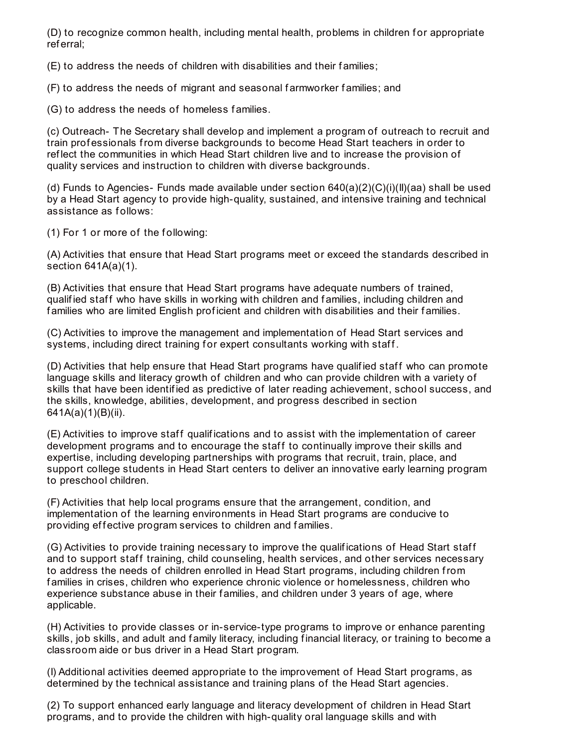(D) to recognize common health, including mental health, problems in children f or appropriate ref erral;

(E) to address the needs of children with disabilities and their f amilies;

(F) to address the needs of migrant and seasonal f armworker f amilies; and

(G) to address the needs of homeless f amilies.

(c) Outreach- The Secretary shall develop and implement a program of outreach to recruit and train prof essionals from diverse backgrounds to become Head Start teachers in order to ref lect the communities in which Head Start children live and to increase the provision of quality services and instruction to children with diverse backgrounds.

(d) Funds to Agencies- Funds made available under section 640(a)(2)(C)(i)(II)(aa) shall be used by a Head Start agency to provide high-quality, sustained, and intensive training and technical assistance as follows:

(1) For 1 or more of the following:

(A) Activities that ensure that Head Start programs meet or exceed the standards described in section 641A(a)(1).

(B) Activities that ensure that Head Start programs have adequate numbers of trained, qualified staff who have skills in working with children and families, including children and families who are limited English proficient and children with disabilities and their families.

(C) Activities to improve the management and implementation of Head Start services and systems, including direct training for expert consultants working with staff.

(D) Activities that help ensure that Head Start programs have qualified staff who can promote language skills and literacy growth of children and who can provide children with a variety of skills that have been identif ied as predictive of later reading achievement, school success, and the skills, knowledge, abilities, development, and progress described in section 641A(a)(1)(B)(ii).

(E) Activities to improve staf f qualif ications and to assist with the implementation of career development programs and to encourage the staff to continually improve their skills and expertise, including developing partnerships with programs that recruit, train, place, and support college students in Head Start centers to deliver an innovative early learning program to preschool children.

(F) Activities that help local programs ensure that the arrangement, condition, and implementation of the learning environments in Head Start programs are conducive to providing effective program services to children and families.

(G) Activities to provide training necessary to improve the qualif ications of Head Start staf f and to support staff training, child counseling, health services, and other services necessary to address the needs of children enrolled in Head Start programs, including children from f amilies in crises, children who experience chronic violence or homelessness, children who experience substance abuse in their families, and children under 3 years of age, where applicable.

(H) Activities to provide classes or in-service-type programs to improve or enhance parenting skills, job skills, and adult and family literacy, including financial literacy, or training to become a classroom aide or bus driver in a Head Start program.

(I) Additional activities deemed appropriate to the improvement of Head Start programs, as determined by the technical assistance and training plans of the Head Start agencies.

(2) To support enhanced early language and literacy development of children in Head Start programs, and to provide the children with high-quality oral language skills and with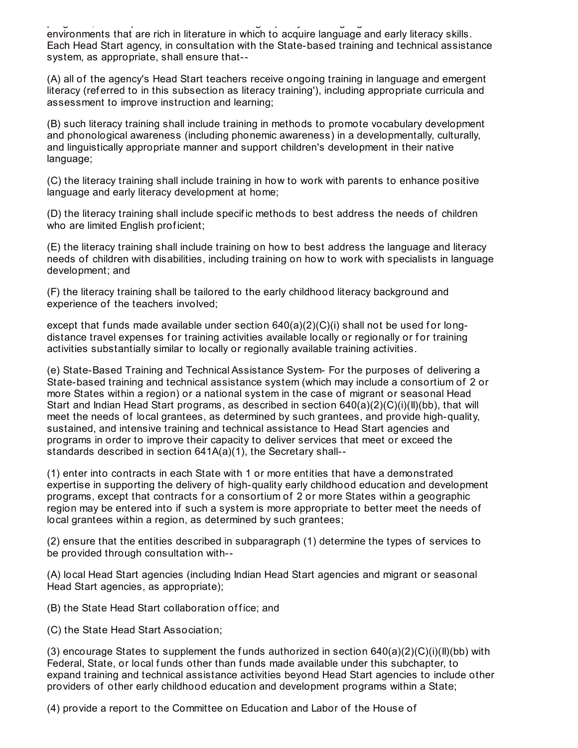programs, and to provide the children with high-quality oral language skills and with environments that are rich in literature in which to acquire language and early literacy skills. Each Head Start agency, in consultation with the State-based training and technical assistance system, as appropriate, shall ensure that--

(A) all of the agency's Head Start teachers receive ongoing training in language and emergent literacy (ref erred to in this subsection as literacy training'), including appropriate curricula and assessment to improve instruction and learning;

(B) such literacy training shall include training in methods to promote vocabulary development and phonological awareness (including phonemic awareness) in a developmentally, culturally, and linguistically appropriate manner and support children's development in their native language;

(C) the literacy training shall include training in how to work with parents to enhance positive language and early literacy development at home;

(D) the literacy training shall include specif ic methods to best address the needs of children who are limited English proficient;

(E) the literacy training shall include training on how to best address the language and literacy needs of children with disabilities, including training on how to work with specialists in language development; and

(F) the literacy training shall be tailored to the early childhood literacy background and experience of the teachers involved;

except that funds made available under section  $640(a)(2)(C)(i)$  shall not be used for longdistance travel expenses for training activities available locally or regionally or for training activities substantially similar to locally or regionally available training activities.

(e) State-Based Training and Technical Assistance System- For the purposes of delivering a State-based training and technical assistance system (which may include a consortium of 2 or more States within a region) or a national system in the case of migrant or seasonal Head Start and Indian Head Start programs, as described in section 640(a)(2)(C)(i)(II)(bb), that will meet the needs of local grantees, as determined by such grantees, and provide high-quality, sustained, and intensive training and technical assistance to Head Start agencies and programs in order to improve their capacity to deliver services that meet or exceed the standards described in section 641A(a)(1), the Secretary shall--

(1) enter into contracts in each State with 1 or more entities that have a demonstrated expertise in supporting the delivery of high-quality early childhood education and development programs, except that contracts f or a consortium of 2 or more States within a geographic region may be entered into if such a system is more appropriate to better meet the needs of local grantees within a region, as determined by such grantees;

(2) ensure that the entities described in subparagraph (1) determine the types of services to be provided through consultation with--

(A) local Head Start agencies (including Indian Head Start agencies and migrant or seasonal Head Start agencies, as appropriate);

(B) the State Head Start collaboration of fice; and

(C) the State Head Start Association;

(3) encourage States to supplement the funds authorized in section  $640(a)(2)(C)(i)(II)(bb)$  with Federal, State, or local funds other than funds made available under this subchapter, to expand training and technical assistance activities beyond Head Start agencies to include other providers of other early childhood education and development programs within a State;

(4) provide a report to the Committee on Education and Labor of the House of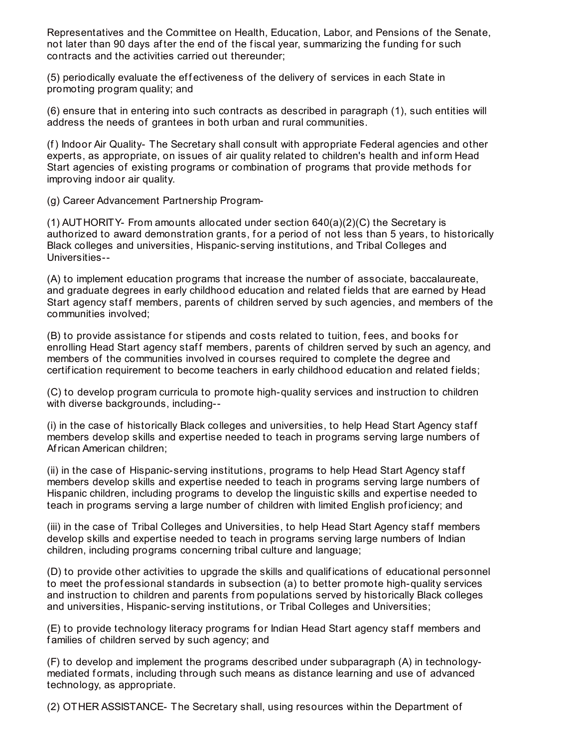Representatives and the Committee on Health, Education, Labor, and Pensions of the Senate, not later than 90 days after the end of the fiscal year, summarizing the funding for such contracts and the activities carried out thereunder;

(5) periodically evaluate the effectiveness of the delivery of services in each State in promoting program quality; and

(6) ensure that in entering into such contracts as described in paragraph (1), such entities will address the needs of grantees in both urban and rural communities.

(f) Indoor Air Quality- The Secretary shall consult with appropriate Federal agencies and other experts, as appropriate, on issues of air quality related to children's health and inform Head Start agencies of existing programs or combination of programs that provide methods for improving indoor air quality.

(g) Career Advancement Partnership Program-

(1) AUTHORITY- From amounts allocated under section 640(a)(2)(C) the Secretary is authorized to award demonstration grants, for a period of not less than 5 years, to historically Black colleges and universities, Hispanic-serving institutions, and Tribal Colleges and Universities--

(A) to implement education programs that increase the number of associate, baccalaureate, and graduate degrees in early childhood education and related f ields that are earned by Head Start agency staff members, parents of children served by such agencies, and members of the communities involved;

(B) to provide assistance for stipends and costs related to tuition, fees, and books for enrolling Head Start agency staff members, parents of children served by such an agency, and members of the communities involved in courses required to complete the degree and certification requirement to become teachers in early childhood education and related fields;

(C) to develop program curricula to promote high-quality services and instruction to children with diverse backgrounds, including--

(i) in the case of historically Black colleges and universities, to help Head Start Agency staf f members develop skills and expertise needed to teach in programs serving large numbers of African American children;

(ii) in the case of Hispanic-serving institutions, programs to help Head Start Agency staf f members develop skills and expertise needed to teach in programs serving large numbers of Hispanic children, including programs to develop the linguistic skills and expertise needed to teach in programs serving a large number of children with limited English prof iciency; and

(iii) in the case of Tribal Colleges and Universities, to help Head Start Agency staff members develop skills and expertise needed to teach in programs serving large numbers of Indian children, including programs concerning tribal culture and language;

(D) to provide other activities to upgrade the skills and qualif ications of educational personnel to meet the prof essional standards in subsection (a) to better promote high-quality services and instruction to children and parents from populations served by historically Black colleges and universities, Hispanic-serving institutions, or Tribal Colleges and Universities;

(E) to provide technology literacy programs for Indian Head Start agency staff members and families of children served by such agency; and

(F) to develop and implement the programs described under subparagraph (A) in technologymediated formats, including through such means as distance learning and use of advanced technology, as appropriate.

(2) OTHER ASSISTANCE- The Secretary shall, using resources within the Department of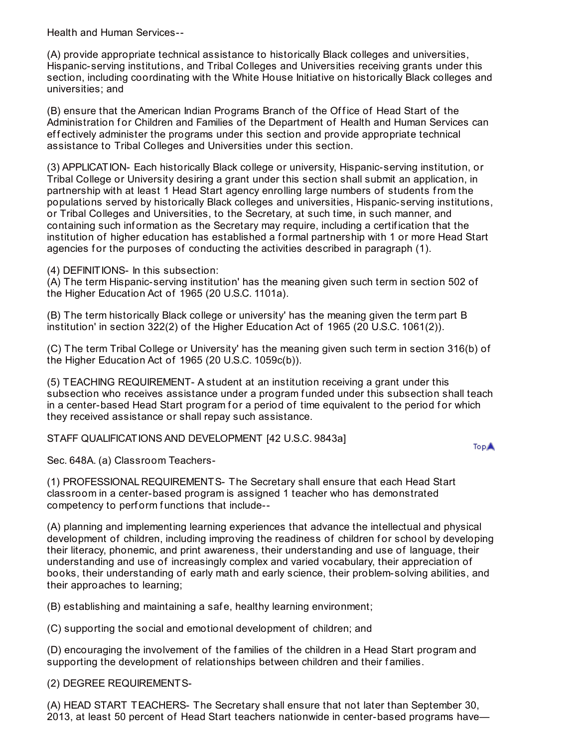Health and Human Services--

(A) provide appropriate technical assistance to historically Black colleges and universities, Hispanic-serving institutions, and Tribal Colleges and Universities receiving grants under this section, including coordinating with the White House Initiative on historically Black colleges and universities; and

(B) ensure that the American Indian Programs Branch of the Office of Head Start of the Administration for Children and Families of the Department of Health and Human Services can effectively administer the programs under this section and provide appropriate technical assistance to Tribal Colleges and Universities under this section.

(3) APPLICATION- Each historically Black college or university, Hispanic-serving institution, or Tribal College or University desiring a grant under this section shall submit an application, in partnership with at least 1 Head Start agency enrolling large numbers of students from the populations served by historically Black colleges and universities, Hispanic-serving institutions, or Tribal Colleges and Universities, to the Secretary, at such time, in such manner, and containing such inf ormation as the Secretary may require, including a certif ication that the institution of higher education has established a formal partnership with 1 or more Head Start agencies for the purposes of conducting the activities described in paragraph (1).

(4) DEFINITIONS- In this subsection:

(A) The term Hispanic-serving institution' has the meaning given such term in section 502 of the Higher Education Act of 1965 (20 U.S.C. 1101a).

(B) The term historically Black college or university' has the meaning given the term part B institution' in section 322(2) of the Higher Education Act of 1965 (20 U.S.C. 1061(2)).

(C) The term Tribal College or University' has the meaning given such term in section 316(b) of the Higher Education Act of 1965 (20 U.S.C. 1059c(b)).

(5) TEACHING REQUIREMENT- A student at an institution receiving a grant under this subsection who receives assistance under a program f unded under this subsection shall teach in a center-based Head Start program for a period of time equivalent to the period for which they received assistance or shall repay such assistance.

STAFF QUALIFICATIONS AND DEVELOPMENT [42 U.S.C. 9843a]

**TopA** 

Sec. 648A. (a) Classroom Teachers-

(1) PROFESSIONAL REQUIREMENTS- The Secretary shall ensure that each Head Start classroom in a center-based program is assigned 1 teacher who has demonstrated competency to perform functions that include--

(A) planning and implementing learning experiences that advance the intellectual and physical development of children, including improving the readiness of children for school by developing their literacy, phonemic, and print awareness, their understanding and use of language, their understanding and use of increasingly complex and varied vocabulary, their appreciation of books, their understanding of early math and early science, their problem-solving abilities, and their approaches to learning;

(B) establishing and maintaining a saf e, healthy learning environment;

(C) supporting the social and emotional development of children; and

(D) encouraging the involvement of the f amilies of the children in a Head Start program and supporting the development of relationships between children and their families.

(2) DEGREE REQUIREMENTS-

(A) HEAD START TEACHERS- The Secretary shall ensure that not later than September 30, 2013, at least 50 percent of Head Start teachers nationwide in center-based programs have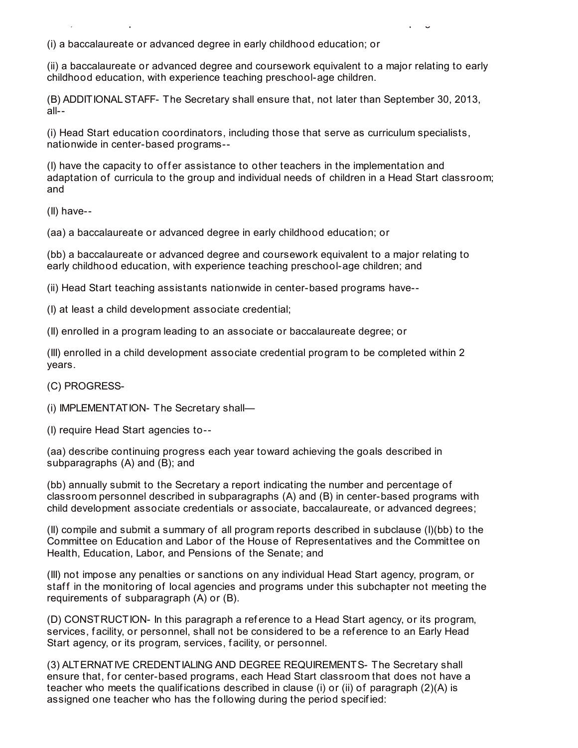(i) a baccalaureate or advanced degree in early childhood education; or

(ii) a baccalaureate or advanced degree and coursework equivalent to a major relating to early childhood education, with experience teaching preschool-age children.

2013, at least 50 percent of Head Start teachers nationwide in center-based programs have—

(B) ADDITIONALSTAFF- The Secretary shall ensure that, not later than September 30, 2013, all--

(i) Head Start education coordinators, including those that serve as curriculum specialists, nationwide in center-based programs--

(I) have the capacity to offer assistance to other teachers in the implementation and adaptation of curricula to the group and individual needs of children in a Head Start classroom; and

(II) have--

(aa) a baccalaureate or advanced degree in early childhood education; or

(bb) a baccalaureate or advanced degree and coursework equivalent to a major relating to early childhood education, with experience teaching preschool-age children; and

(ii) Head Start teaching assistants nationwide in center-based programs have--

(I) at least a child development associate credential;

(II) enrolled in a program leading to an associate or baccalaureate degree; or

(III) enrolled in a child development associate credential program to be completed within 2 years.

(C) PROGRESS-

(i) IMPLEMENTATION- The Secretary shall—

(I) require Head Start agencies to--

(aa) describe continuing progress each year toward achieving the goals described in subparagraphs (A) and (B); and

(bb) annually submit to the Secretary a report indicating the number and percentage of classroom personnel described in subparagraphs (A) and (B) in center-based programs with child development associate credentials or associate, baccalaureate, or advanced degrees;

(II) compile and submit a summary of all program reports described in subclause (I)(bb) to the Committee on Education and Labor of the House of Representatives and the Committee on Health, Education, Labor, and Pensions of the Senate; and

(III) not impose any penalties or sanctions on any individual Head Start agency, program, or staff in the monitoring of local agencies and programs under this subchapter not meeting the requirements of subparagraph (A) or (B).

(D) CONSTRUCTION- In this paragraph a ref erence to a Head Start agency, or its program, services, facility, or personnel, shall not be considered to be a reference to an Early Head Start agency, or its program, services, f acility, or personnel.

(3) ALTERNATIVE CREDENTIALING AND DEGREE REQUIREMENTS- The Secretary shall ensure that, for center-based programs, each Head Start classroom that does not have a teacher who meets the qualifications described in clause (i) or (ii) of paragraph  $(2)(A)$  is assigned one teacher who has the following during the period specified: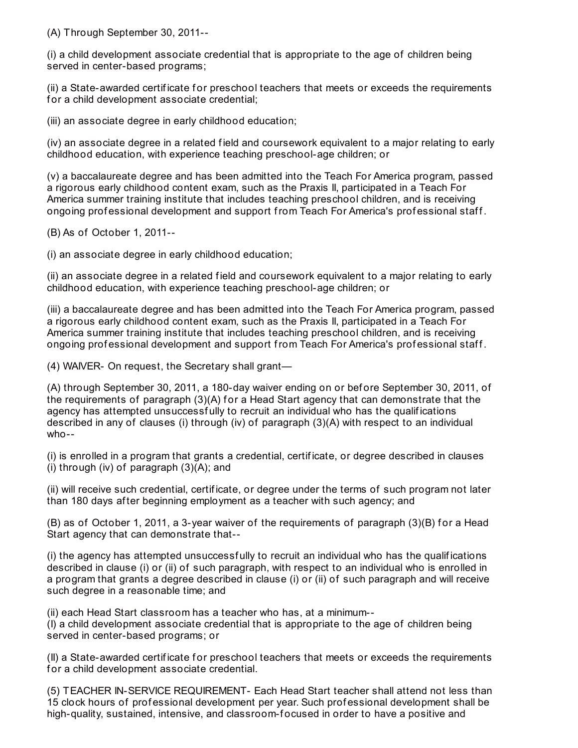(A) Through September 30, 2011--

(i) a child development associate credential that is appropriate to the age of children being served in center-based programs;

(ii) a State-awarded certificate for preschool teachers that meets or exceeds the requirements for a child development associate credential;

(iii) an associate degree in early childhood education;

(iv) an associate degree in a related field and coursework equivalent to a major relating to early childhood education, with experience teaching preschool-age children; or

(v) a baccalaureate degree and has been admitted into the Teach For America program, passed a rigorous early childhood content exam, such as the Praxis II, participated in a Teach For America summer training institute that includes teaching preschool children, and is receiving ongoing professional development and support from Teach For America's professional staff.

(B) As of October 1, 2011--

(i) an associate degree in early childhood education;

(ii) an associate degree in a related f ield and coursework equivalent to a major relating to early childhood education, with experience teaching preschool-age children; or

(iii) a baccalaureate degree and has been admitted into the Teach For America program, passed a rigorous early childhood content exam, such as the Praxis II, participated in a Teach For America summer training institute that includes teaching preschool children, and is receiving ongoing professional development and support from Teach For America's professional staff.

(4) WAIVER- On request, the Secretary shall grant—

(A) through September 30, 2011, a 180-day waiver ending on or bef ore September 30, 2011, of the requirements of paragraph  $(3)(A)$  for a Head Start agency that can demonstrate that the agency has attempted unsuccessf ully to recruit an individual who has the qualif ications described in any of clauses (i) through (iv) of paragraph (3)(A) with respect to an individual who--

(i) is enrolled in a program that grants a credential, certif icate, or degree described in clauses (i) through (iv) of paragraph (3)(A); and

(ii) will receive such credential, certif icate, or degree under the terms of such program not later than 180 days af ter beginning employment as a teacher with such agency; and

 $(B)$  as of October 1, 2011, a 3-year waiver of the requirements of paragraph  $(3)(B)$  for a Head Start agency that can demonstrate that--

(i) the agency has attempted unsuccessf ully to recruit an individual who has the qualif ications described in clause (i) or (ii) of such paragraph, with respect to an individual who is enrolled in a program that grants a degree described in clause (i) or (ii) of such paragraph and will receive such degree in a reasonable time; and

(ii) each Head Start classroom has a teacher who has, at a minimum-- (I) a child development associate credential that is appropriate to the age of children being served in center-based programs; or

(II) a State-awarded certif icate f or preschool teachers that meets or exceeds the requirements for a child development associate credential.

(5) TEACHER IN-SERVICE REQUIREMENT- Each Head Start teacher shall attend not less than 15 clock hours of prof essional development per year. Such prof essional development shall be high-quality, sustained, intensive, and classroom-focused in order to have a positive and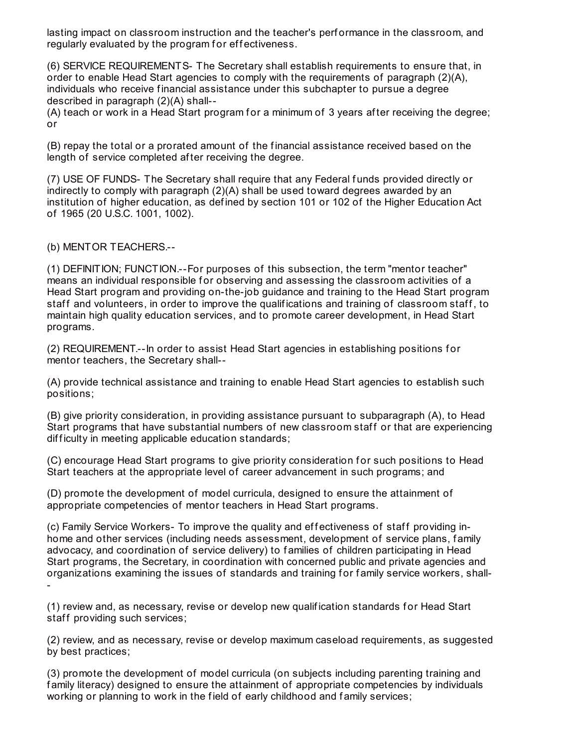lasting impact on classroom instruction and the teacher's perf ormance in the classroom, and regularly evaluated by the program for effectiveness.

(6) SERVICE REQUIREMENTS- The Secretary shall establish requirements to ensure that, in order to enable Head Start agencies to comply with the requirements of paragraph (2)(A), individuals who receive f inancial assistance under this subchapter to pursue a degree described in paragraph (2)(A) shall--

(A) teach or work in a Head Start program for a minimum of 3 years after receiving the degree; or

(B) repay the total or a prorated amount of the f inancial assistance received based on the length of service completed af ter receiving the degree.

(7) USE OF FUNDS- The Secretary shall require that any Federal f unds provided directly or indirectly to comply with paragraph (2)(A) shall be used toward degrees awarded by an institution of higher education, as defined by section 101 or 102 of the Higher Education Act of 1965 (20 U.S.C. 1001, 1002).

(b) MENTOR TEACHERS.--

(1) DEFINITION; FUNCTION.--For purposes of this subsection, the term "mentor teacher" means an individual responsible for observing and assessing the classroom activities of a Head Start program and providing on-the-job guidance and training to the Head Start program staff and volunteers, in order to improve the qualifications and training of classroom staff, to maintain high quality education services, and to promote career development, in Head Start programs.

(2) REQUIREMENT.--In order to assist Head Start agencies in establishing positions f or mentor teachers, the Secretary shall--

(A) provide technical assistance and training to enable Head Start agencies to establish such positions;

(B) give priority consideration, in providing assistance pursuant to subparagraph (A), to Head Start programs that have substantial numbers of new classroom staff or that are experiencing difficulty in meeting applicable education standards;

(C) encourage Head Start programs to give priority consideration for such positions to Head Start teachers at the appropriate level of career advancement in such programs; and

(D) promote the development of model curricula, designed to ensure the attainment of appropriate competencies of mentor teachers in Head Start programs.

(c) Family Service Workers- To improve the quality and effectiveness of staff providing inhome and other services (including needs assessment, development of service plans, family advocacy, and coordination of service delivery) to f amilies of children participating in Head Start programs, the Secretary, in coordination with concerned public and private agencies and organizations examining the issues of standards and training for family service workers, shall--

(1) review and, as necessary, revise or develop new qualif ication standards f or Head Start staff providing such services;

(2) review, and as necessary, revise or develop maximum caseload requirements, as suggested by best practices;

(3) promote the development of model curricula (on subjects including parenting training and f amily literacy) designed to ensure the attainment of appropriate competencies by individuals working or planning to work in the field of early childhood and family services;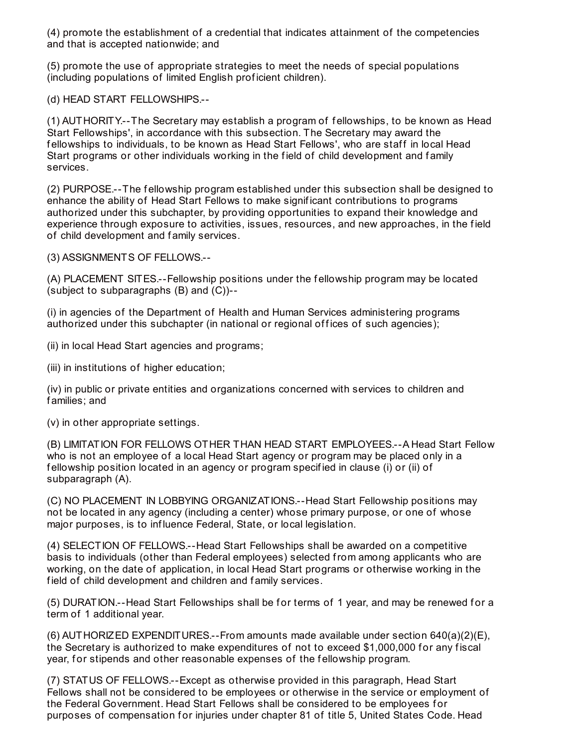(4) promote the establishment of a credential that indicates attainment of the competencies and that is accepted nationwide; and

(5) promote the use of appropriate strategies to meet the needs of special populations (including populations of limited English prof icient children).

(d) HEAD START FELLOWSHIPS.--

(1) AUTHORITY.--The Secretary may establish a program of f ellowships, to be known as Head Start Fellowships', in accordance with this subsection. The Secretary may award the fellowships to individuals, to be known as Head Start Fellows', who are staff in local Head Start programs or other individuals working in the field of child development and family services.

(2) PURPOSE.--The f ellowship program established under this subsection shall be designed to enhance the ability of Head Start Fellows to make signif icant contributions to programs authorized under this subchapter, by providing opportunities to expand their knowledge and experience through exposure to activities, issues, resources, and new approaches, in the field of child development and f amily services.

(3) ASSIGNMENTS OF FELLOWS.--

(A) PLACEMENT SITES.--Fellowship positions under the f ellowship program may be located (subject to subparagraphs (B) and (C))--

(i) in agencies of the Department of Health and Human Services administering programs authorized under this subchapter (in national or regional offices of such agencies);

(ii) in local Head Start agencies and programs;

(iii) in institutions of higher education;

(iv) in public or private entities and organizations concerned with services to children and f amilies; and

(v) in other appropriate settings.

(B) LIMITATION FOR FELLOWS OTHER THAN HEAD START EMPLOYEES.--A Head Start Fellow who is not an employee of a local Head Start agency or program may be placed only in a fellowship position located in an agency or program specified in clause (i) or (ii) of subparagraph (A).

(C) NO PLACEMENT IN LOBBYING ORGANIZATIONS.--Head Start Fellowship positions may not be located in any agency (including a center) whose primary purpose, or one of whose major purposes, is to inf luence Federal, State, or local legislation.

(4) SELECTION OF FELLOWS.--Head Start Fellowships shall be awarded on a competitive basis to individuals (other than Federal employees) selected from among applicants who are working, on the date of application, in local Head Start programs or otherwise working in the field of child development and children and family services.

(5) DURATION.--Head Start Fellowships shall be for terms of 1 year, and may be renewed for a term of 1 additional year.

(6) AUTHORIZED EXPENDITURES.--From amounts made available under section 640(a)(2)(E), the Secretary is authorized to make expenditures of not to exceed \$1,000,000 for any fiscal year, for stipends and other reasonable expenses of the fellowship program.

(7) STATUS OF FELLOWS.--Except as otherwise provided in this paragraph, Head Start Fellows shall not be considered to be employees or otherwise in the service or employment of the Federal Government. Head Start Fellows shall be considered to be employees f or purposes of compensation for injuries under chapter 81 of title 5, United States Code. Head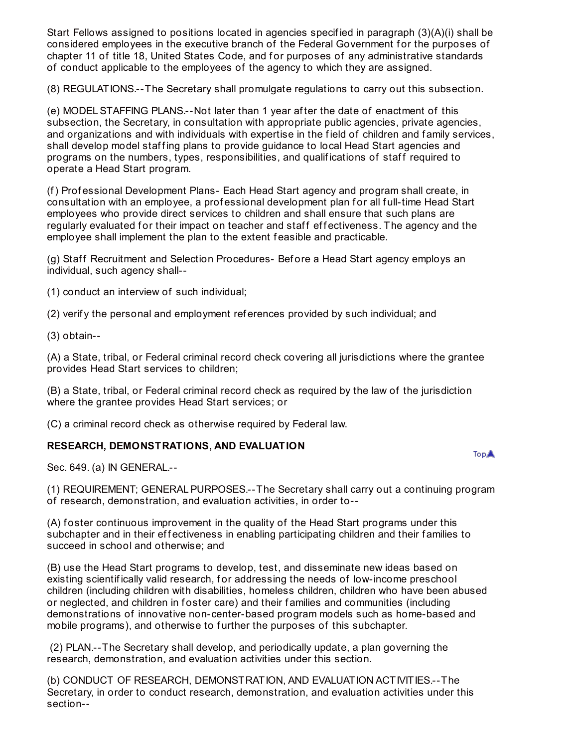Start Fellows assigned to positions located in agencies specif ied in paragraph (3)(A)(i) shall be considered employees in the executive branch of the Federal Government f or the purposes of chapter 11 of title 18, United States Code, and for purposes of any administrative standards of conduct applicable to the employees of the agency to which they are assigned.

(8) REGULATIONS.--The Secretary shall promulgate regulations to carry out this subsection.

(e) MODELSTAFFING PLANS.--Not later than 1 year af ter the date of enactment of this subsection, the Secretary, in consultation with appropriate public agencies, private agencies, and organizations and with individuals with expertise in the f ield of children and f amily services, shall develop model staffing plans to provide guidance to local Head Start agencies and programs on the numbers, types, responsibilities, and qualif ications of staf f required to operate a Head Start program.

(f) Prof essional Development Plans- Each Head Start agency and program shall create, in consultation with an employee, a professional development plan for all full-time Head Start employees who provide direct services to children and shall ensure that such plans are regularly evaluated for their impact on teacher and staff effectiveness. The agency and the employee shall implement the plan to the extent f easible and practicable.

(g) Staff Recruitment and Selection Procedures- Before a Head Start agency employs an individual, such agency shall--

(1) conduct an interview of such individual;

(2) verif y the personal and employment ref erences provided by such individual; and

(3) obtain--

(A) a State, tribal, or Federal criminal record check covering all jurisdictions where the grantee provides Head Start services to children;

(B) a State, tribal, or Federal criminal record check as required by the law of the jurisdiction where the grantee provides Head Start services; or

(C) a criminal record check as otherwise required by Federal law.

#### **RESEARCH, DEMONSTRATIONS, AND EVALUATION**

**TopA** 

Sec. 649. (a) IN GENERAL.--

(1) REQUIREMENT; GENERALPURPOSES.--The Secretary shall carry out a continuing program of research, demonstration, and evaluation activities, in order to--

(A) foster continuous improvement in the quality of the Head Start programs under this subchapter and in their effectiveness in enabling participating children and their families to succeed in school and otherwise; and

(B) use the Head Start programs to develop, test, and disseminate new ideas based on existing scientifically valid research, for addressing the needs of low-income preschool children (including children with disabilities, homeless children, children who have been abused or neglected, and children in foster care) and their families and communities (including demonstrations of innovative non-center-based program models such as home-based and mobile programs), and otherwise to further the purposes of this subchapter.

(2) PLAN.--The Secretary shall develop, and periodically update, a plan governing the research, demonstration, and evaluation activities under this section.

(b) CONDUCT OF RESEARCH, DEMONSTRATION, AND EVALUATION ACTIVITIES.--The Secretary, in order to conduct research, demonstration, and evaluation activities under this section--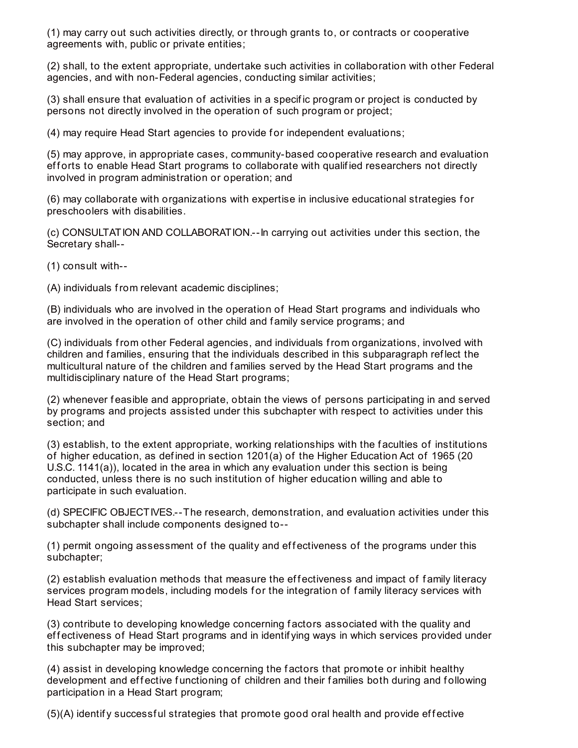(1) may carry out such activities directly, or through grants to, or contracts or cooperative agreements with, public or private entities;

(2) shall, to the extent appropriate, undertake such activities in collaboration with other Federal agencies, and with non-Federal agencies, conducting similar activities;

(3) shall ensure that evaluation of activities in a specif ic program or project is conducted by persons not directly involved in the operation of such program or project;

(4) may require Head Start agencies to provide for independent evaluations;

(5) may approve, in appropriate cases, community-based cooperative research and evaluation efforts to enable Head Start programs to collaborate with qualified researchers not directly involved in program administration or operation; and

(6) may collaborate with organizations with expertise in inclusive educational strategies f or preschoolers with disabilities.

(c) CONSULTATION AND COLLABORATION.--In carrying out activities under this section, the Secretary shall--

(1) consult with--

(A) individuals from relevant academic disciplines;

(B) individuals who are involved in the operation of Head Start programs and individuals who are involved in the operation of other child and f amily service programs; and

(C) individuals from other Federal agencies, and individuals from organizations, involved with children and f amilies, ensuring that the individuals described in this subparagraph ref lect the multicultural nature of the children and families served by the Head Start programs and the multidisciplinary nature of the Head Start programs;

(2) whenever feasible and appropriate, obtain the views of persons participating in and served by programs and projects assisted under this subchapter with respect to activities under this section; and

(3) establish, to the extent appropriate, working relationships with the f aculties of institutions of higher education, as def ined in section 1201(a) of the Higher Education Act of 1965 (20 U.S.C. 1141(a)), located in the area in which any evaluation under this section is being conducted, unless there is no such institution of higher education willing and able to participate in such evaluation.

(d) SPECIFIC OBJECTIVES.--The research, demonstration, and evaluation activities under this subchapter shall include components designed to--

(1) permit ongoing assessment of the quality and ef f ectiveness of the programs under this subchapter;

(2) establish evaluation methods that measure the effectiveness and impact of family literacy services program models, including models for the integration of family literacy services with Head Start services;

(3) contribute to developing knowledge concerning f actors associated with the quality and effectiveness of Head Start programs and in identifying ways in which services provided under this subchapter may be improved;

(4) assist in developing knowledge concerning the f actors that promote or inhibit healthy development and effective functioning of children and their families both during and following participation in a Head Start program;

(5)(A) identify successful strategies that promote good oral health and provide effective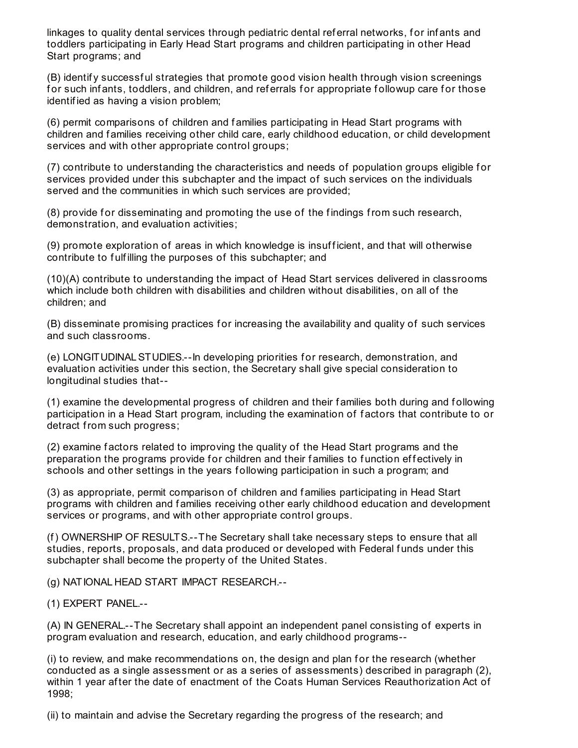linkages to quality dental services through pediatric dental referral networks, for infants and toddlers participating in Early Head Start programs and children participating in other Head Start programs; and

(B) identif y successf ul strategies that promote good vision health through vision screenings for such infants, toddlers, and children, and referrals for appropriate followup care for those identif ied as having a vision problem;

(6) permit comparisons of children and f amilies participating in Head Start programs with children and f amilies receiving other child care, early childhood education, or child development services and with other appropriate control groups;

(7) contribute to understanding the characteristics and needs of population groups eligible f or services provided under this subchapter and the impact of such services on the individuals served and the communities in which such services are provided;

(8) provide for disseminating and promoting the use of the findings from such research, demonstration, and evaluation activities;

(9) promote exploration of areas in which knowledge is insufficient, and that will otherwise contribute to f ulf illing the purposes of this subchapter; and

(10)(A) contribute to understanding the impact of Head Start services delivered in classrooms which include both children with disabilities and children without disabilities, on all of the children; and

(B) disseminate promising practices f or increasing the availability and quality of such services and such classrooms.

(e) LONGITUDINALSTUDIES.--In developing priorities f or research, demonstration, and evaluation activities under this section, the Secretary shall give special consideration to longitudinal studies that--

(1) examine the developmental progress of children and their f amilies both during and f ollowing participation in a Head Start program, including the examination of f actors that contribute to or detract from such progress;

(2) examine f actors related to improving the quality of the Head Start programs and the preparation the programs provide for children and their families to function effectively in schools and other settings in the years f ollowing participation in such a program; and

(3) as appropriate, permit comparison of children and f amilies participating in Head Start programs with children and f amilies receiving other early childhood education and development services or programs, and with other appropriate control groups.

(f) OWNERSHIP OF RESULTS.--The Secretary shall take necessary steps to ensure that all studies, reports, proposals, and data produced or developed with Federal funds under this subchapter shall become the property of the United States.

(g) NATIONAL HEAD START IMPACT RESEARCH.--

(1) EXPERT PANEL.--

(A) IN GENERAL.--The Secretary shall appoint an independent panel consisting of experts in program evaluation and research, education, and early childhood programs--

(i) to review, and make recommendations on, the design and plan for the research (whether conducted as a single assessment or as a series of assessments) described in paragraph (2), within 1 year af ter the date of enactment of the Coats Human Services Reauthorization Act of 1998;

(ii) to maintain and advise the Secretary regarding the progress of the research; and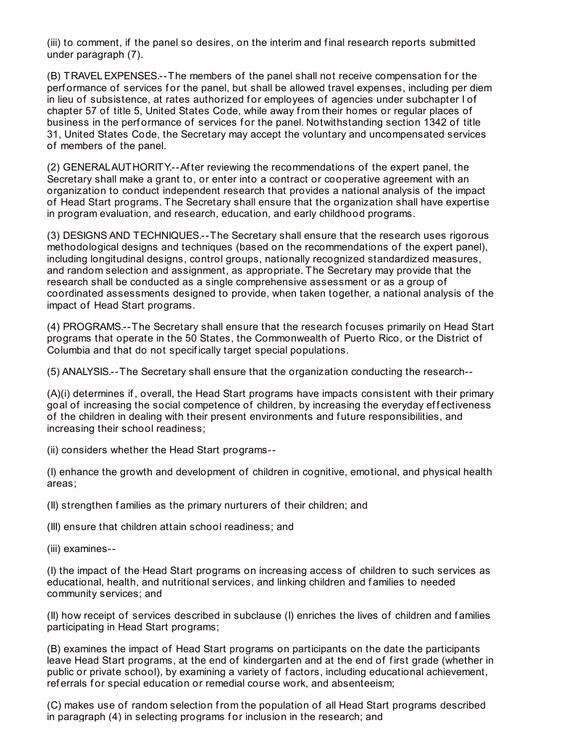(iii) to comment, if the panel so desires, on the interim and f inal research reports submitted under paragraph (7).

(B) TRAVEL EXPENSES.--The members of the panel shall not receive compensation for the performance of services for the panel, but shall be allowed travel expenses, including per diem in lieu of subsistence, at rates authorized for employees of agencies under subchapter I of chapter 57 of title 5, United States Code, while away from their homes or regular places of business in the performance of services for the panel. Notwithstanding section 1342 of title 31, United States Code, the Secretary may accept the voluntary and uncompensated services of members of the panel.

(2) GENERALAUTHORITY.--Af ter reviewing the recommendations of the expert panel, the Secretary shall make a grant to, or enter into a contract or cooperative agreement with an organization to conduct independent research that provides a national analysis of the impact of Head Start programs. The Secretary shall ensure that the organization shall have expertise in program evaluation, and research, education, and early childhood programs.

(3) DESIGNS AND TECHNIQUES.--The Secretary shall ensure that the research uses rigorous methodological designs and techniques (based on the recommendations of the expert panel), including longitudinal designs, control groups, nationally recognized standardized measures, and random selection and assignment, as appropriate. The Secretary may provide that the research shall be conducted as a single comprehensive assessment or as a group of coordinated assessments designed to provide, when taken together, a national analysis of the impact of Head Start programs.

(4) PROGRAMS .-- The Secretary shall ensure that the research focuses primarily on Head Start programs that operate in the 50 States, the Commonwealth of Puerto Rico, or the District of Columbia and that do not specif ically target special populations.

(5) ANALYSIS.--The Secretary shall ensure that the organization conducting the research--

(A)(i) determines if , overall, the Head Start programs have impacts consistent with their primary goal of increasing the social competence of children, by increasing the everyday effectiveness of the children in dealing with their present environments and f uture responsibilities, and increasing their school readiness;

(ii) considers whether the Head Start programs--

(I) enhance the growth and development of children in cognitive, emotional, and physical health areas;

(II) strengthen f amilies as the primary nurturers of their children; and

(III) ensure that children attain school readiness; and

(iii) examines--

(I) the impact of the Head Start programs on increasing access of children to such services as educational, health, and nutritional services, and linking children and families to needed community services; and

(II) how receipt of services described in subclause (I) enriches the lives of children and f amilies participating in Head Start programs;

(B) examines the impact of Head Start programs on participants on the date the participants leave Head Start programs, at the end of kindergarten and at the end of first grade (whether in public or private school), by examining a variety of f actors, including educational achievement, referrals for special education or remedial course work, and absenteeism;

(C) makes use of random selection from the population of all Head Start programs described in paragraph (4) in selecting programs for inclusion in the research; and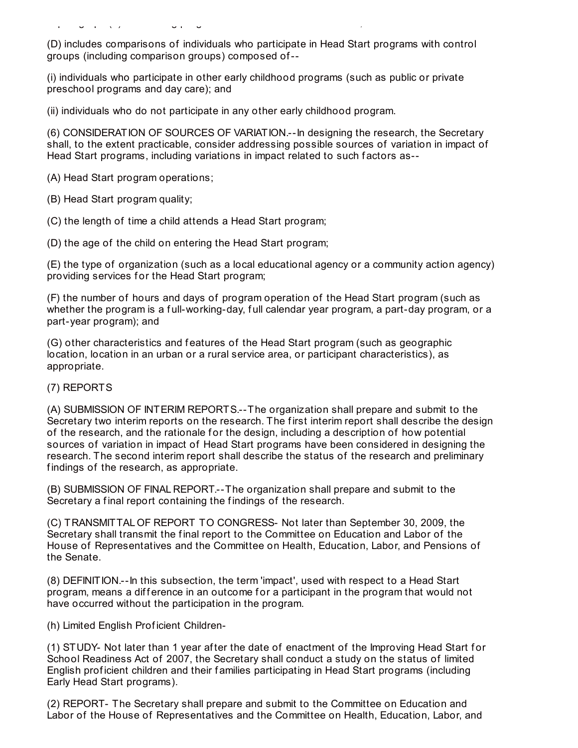(D) includes comparisons of individuals who participate in Head Start programs with control groups (including comparison groups) composed of--

(i) individuals who participate in other early childhood programs (such as public or private preschool programs and day care); and

(ii) individuals who do not participate in any other early childhood program.

in paragraph (4) in selecting programs f or inclusion in the research; and

(6) CONSIDERATION OF SOURCES OF VARIATION.--In designing the research, the Secretary shall, to the extent practicable, consider addressing possible sources of variation in impact of Head Start programs, including variations in impact related to such factors as--

(A) Head Start program operations;

(B) Head Start program quality;

(C) the length of time a child attends a Head Start program;

(D) the age of the child on entering the Head Start program;

(E) the type of organization (such as a local educational agency or a community action agency) providing services for the Head Start program;

(F) the number of hours and days of program operation of the Head Start program (such as whether the program is a full-working-day, full calendar year program, a part-day program, or a part-year program); and

(G) other characteristics and f eatures of the Head Start program (such as geographic location, location in an urban or a rural service area, or participant characteristics), as appropriate.

#### (7) REPORTS

(A) SUBMISSION OF INTERIM REPORTS.--The organization shall prepare and submit to the Secretary two interim reports on the research. The first interim report shall describe the design of the research, and the rationale for the design, including a description of how potential sources of variation in impact of Head Start programs have been considered in designing the research. The second interim report shall describe the status of the research and preliminary findings of the research, as appropriate.

(B) SUBMISSION OF FINAL REPORT.--The organization shall prepare and submit to the Secretary a final report containing the findings of the research.

(C) TRANSMITTAL OF REPORT TO CONGRESS- Not later than September 30, 2009, the Secretary shall transmit the final report to the Committee on Education and Labor of the House of Representatives and the Committee on Health, Education, Labor, and Pensions of the Senate.

(8) DEFINITION.--In this subsection, the term 'impact', used with respect to a Head Start program, means a difference in an outcome for a participant in the program that would not have occurred without the participation in the program.

(h) Limited English Prof icient Children-

(1) STUDY- Not later than 1 year af ter the date of enactment of the Improving Head Start f or School Readiness Act of 2007, the Secretary shall conduct a study on the status of limited English prof icient children and their f amilies participating in Head Start programs (including Early Head Start programs).

(2) REPORT- The Secretary shall prepare and submit to the Committee on Education and Labor of the House of Representatives and the Committee on Health, Education, Labor, and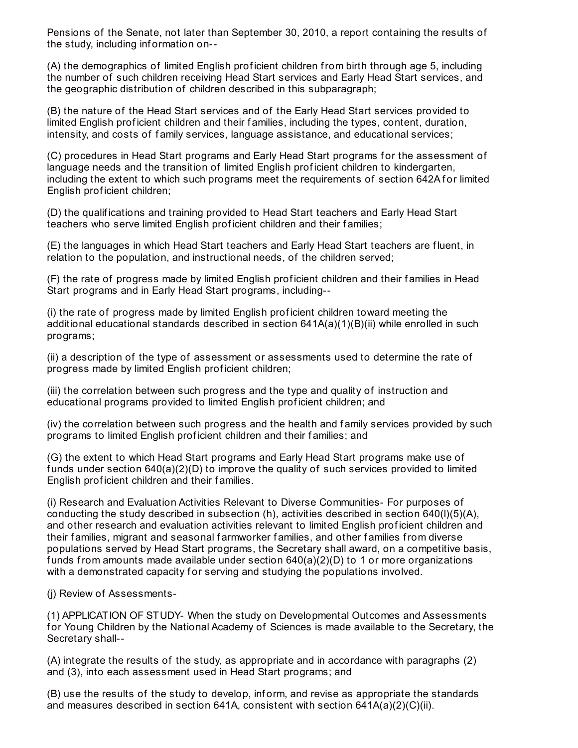Pensions of the Senate, not later than September 30, 2010, a report containing the results of the study, including inf ormation on--

(A) the demographics of limited English prof icient children from birth through age 5, including the number of such children receiving Head Start services and Early Head Start services, and the geographic distribution of children described in this subparagraph;

(B) the nature of the Head Start services and of the Early Head Start services provided to limited English prof icient children and their f amilies, including the types, content, duration, intensity, and costs of f amily services, language assistance, and educational services;

(C) procedures in Head Start programs and Early Head Start programs for the assessment of language needs and the transition of limited English prof icient children to kindergarten, including the extent to which such programs meet the requirements of section 642A for limited English prof icient children;

(D) the qualif ications and training provided to Head Start teachers and Early Head Start teachers who serve limited English proficient children and their families;

(E) the languages in which Head Start teachers and Early Head Start teachers are f luent, in relation to the population, and instructional needs, of the children served;

(F) the rate of progress made by limited English prof icient children and their f amilies in Head Start programs and in Early Head Start programs, including--

(i) the rate of progress made by limited English prof icient children toward meeting the additional educational standards described in section 641A(a)(1)(B)(ii) while enrolled in such programs;

(ii) a description of the type of assessment or assessments used to determine the rate of progress made by limited English prof icient children;

(iii) the correlation between such progress and the type and quality of instruction and educational programs provided to limited English prof icient children; and

(iv) the correlation between such progress and the health and f amily services provided by such programs to limited English prof icient children and their f amilies; and

(G) the extent to which Head Start programs and Early Head Start programs make use of f unds under section 640(a)(2)(D) to improve the quality of such services provided to limited English prof icient children and their f amilies.

(i) Research and Evaluation Activities Relevant to Diverse Communities- For purposes of conducting the study described in subsection (h), activities described in section 640(l)(5)(A), and other research and evaluation activities relevant to limited English prof icient children and their f amilies, migrant and seasonal f armworker f amilies, and other f amilies from diverse populations served by Head Start programs, the Secretary shall award, on a competitive basis, funds from amounts made available under section  $640(a)(2)(D)$  to 1 or more organizations with a demonstrated capacity for serving and studying the populations involved.

(j) Review of Assessments-

(1) APPLICATION OF STUDY- When the study on Developmental Outcomes and Assessments f or Young Children by the National Academy of Sciences is made available to the Secretary, the Secretary shall--

(A) integrate the results of the study, as appropriate and in accordance with paragraphs (2) and (3), into each assessment used in Head Start programs; and

(B) use the results of the study to develop, inf orm, and revise as appropriate the standards and measures described in section 641A, consistent with section  $641A(a)(2)(C)(ii)$ .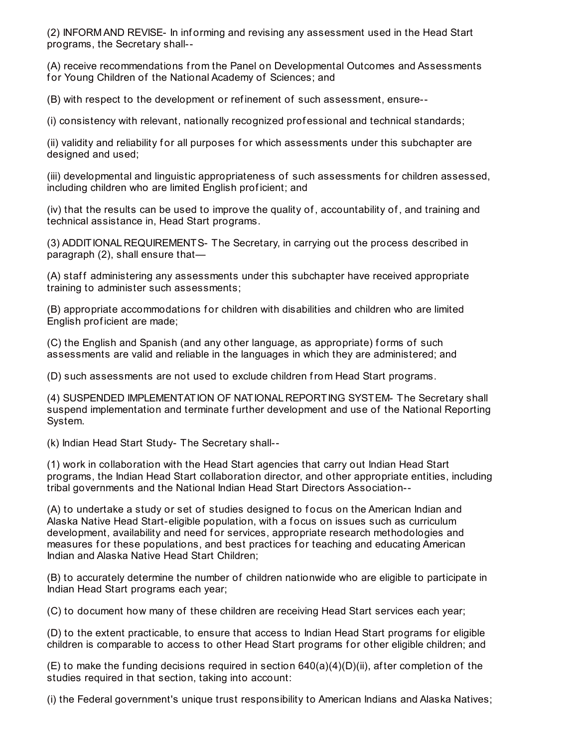(2) INFORM AND REVISE- In inf orming and revising any assessment used in the Head Start programs, the Secretary shall--

(A) receive recommendations from the Panel on Developmental Outcomes and Assessments for Young Children of the National Academy of Sciences; and

(B) with respect to the development or ref inement of such assessment, ensure--

(i) consistency with relevant, nationally recognized prof essional and technical standards;

(ii) validity and reliability for all purposes for which assessments under this subchapter are designed and used;

(iii) developmental and linguistic appropriateness of such assessments f or children assessed, including children who are limited English prof icient; and

(iv) that the results can be used to improve the quality of , accountability of , and training and technical assistance in, Head Start programs.

(3) ADDITIONAL REQUIREMENTS- The Secretary, in carrying out the process described in paragraph (2), shall ensure that—

(A) staff administering any assessments under this subchapter have received appropriate training to administer such assessments;

(B) appropriate accommodations f or children with disabilities and children who are limited English prof icient are made;

(C) the English and Spanish (and any other language, as appropriate) forms of such assessments are valid and reliable in the languages in which they are administered; and

(D) such assessments are not used to exclude children from Head Start programs.

(4) SUSPENDED IMPLEMENTATION OF NATIONAL REPORTING SYSTEM- The Secretary shall suspend implementation and terminate further development and use of the National Reporting System.

(k) Indian Head Start Study- The Secretary shall--

(1) work in collaboration with the Head Start agencies that carry out Indian Head Start programs, the Indian Head Start collaboration director, and other appropriate entities, including tribal governments and the National Indian Head Start Directors Association--

(A) to undertake a study or set of studies designed to f ocus on the American Indian and Alaska Native Head Start-eligible population, with a f ocus on issues such as curriculum development, availability and need for services, appropriate research methodologies and measures for these populations, and best practices for teaching and educating American Indian and Alaska Native Head Start Children;

(B) to accurately determine the number of children nationwide who are eligible to participate in Indian Head Start programs each year;

(C) to document how many of these children are receiving Head Start services each year;

(D) to the extent practicable, to ensure that access to Indian Head Start programs for eligible children is comparable to access to other Head Start programs for other eligible children; and

 $(E)$  to make the funding decisions required in section 640(a)(4)(D)(ii), after completion of the studies required in that section, taking into account:

(i) the Federal government's unique trust responsibility to American Indians and Alaska Natives;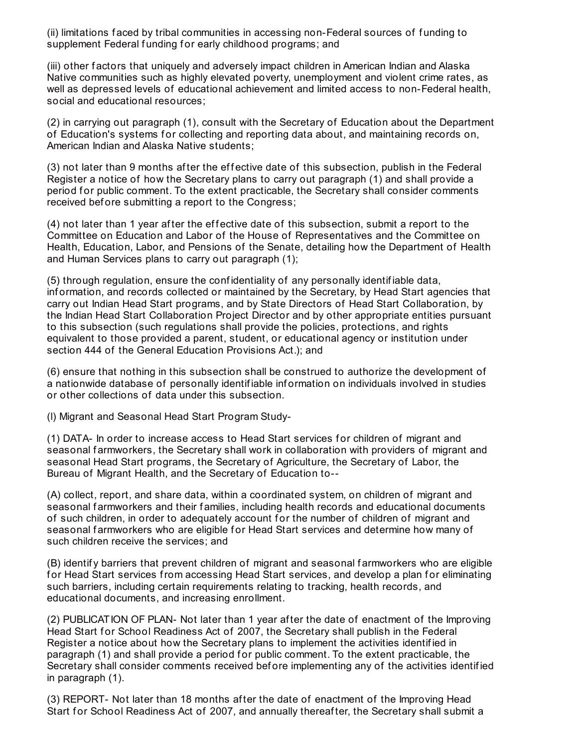(ii) limitations f aced by tribal communities in accessing non-Federal sources of f unding to supplement Federal funding for early childhood programs; and

(iii) other f actors that uniquely and adversely impact children in American Indian and Alaska Native communities such as highly elevated poverty, unemployment and violent crime rates, as well as depressed levels of educational achievement and limited access to non-Federal health, social and educational resources;

(2) in carrying out paragraph (1), consult with the Secretary of Education about the Department of Education's systems for collecting and reporting data about, and maintaining records on, American Indian and Alaska Native students;

(3) not later than 9 months after the effective date of this subsection, publish in the Federal Register a notice of how the Secretary plans to carry out paragraph (1) and shall provide a period for public comment. To the extent practicable, the Secretary shall consider comments received before submitting a report to the Congress;

(4) not later than 1 year after the effective date of this subsection, submit a report to the Committee on Education and Labor of the House of Representatives and the Committee on Health, Education, Labor, and Pensions of the Senate, detailing how the Department of Health and Human Services plans to carry out paragraph (1);

(5) through regulation, ensure the conf identiality of any personally identif iable data, inf ormation, and records collected or maintained by the Secretary, by Head Start agencies that carry out Indian Head Start programs, and by State Directors of Head Start Collaboration, by the Indian Head Start Collaboration Project Director and by other appropriate entities pursuant to this subsection (such regulations shall provide the policies, protections, and rights equivalent to those provided a parent, student, or educational agency or institution under section 444 of the General Education Provisions Act.); and

(6) ensure that nothing in this subsection shall be construed to authorize the development of a nationwide database of personally identif iable inf ormation on individuals involved in studies or other collections of data under this subsection.

(l) Migrant and Seasonal Head Start Program Study-

(1) DATA- In order to increase access to Head Start services f or children of migrant and seasonal farmworkers, the Secretary shall work in collaboration with providers of migrant and seasonal Head Start programs, the Secretary of Agriculture, the Secretary of Labor, the Bureau of Migrant Health, and the Secretary of Education to--

(A) collect, report, and share data, within a coordinated system, on children of migrant and seasonal farmworkers and their families, including health records and educational documents of such children, in order to adequately account for the number of children of migrant and seasonal farmworkers who are eligible for Head Start services and determine how many of such children receive the services; and

(B) identif y barriers that prevent children of migrant and seasonal f armworkers who are eligible for Head Start services from accessing Head Start services, and develop a plan for eliminating such barriers, including certain requirements relating to tracking, health records, and educational documents, and increasing enrollment.

(2) PUBLICATION OF PLAN- Not later than 1 year af ter the date of enactment of the Improving Head Start for School Readiness Act of 2007, the Secretary shall publish in the Federal Register a notice about how the Secretary plans to implement the activities identif ied in paragraph (1) and shall provide a period for public comment. To the extent practicable, the Secretary shall consider comments received before implementing any of the activities identified in paragraph (1).

(3) REPORT- Not later than 18 months af ter the date of enactment of the Improving Head Start for School Readiness Act of 2007, and annually thereafter, the Secretary shall submit a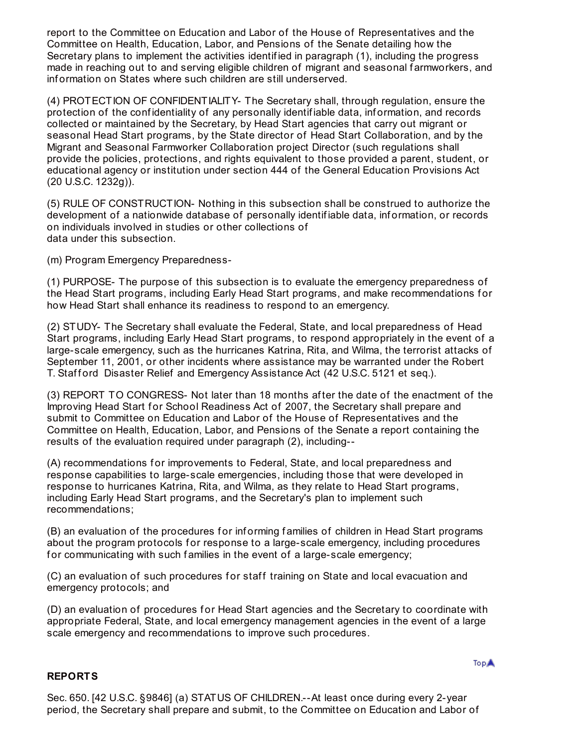report to the Committee on Education and Labor of the House of Representatives and the Committee on Health, Education, Labor, and Pensions of the Senate detailing how the Secretary plans to implement the activities identif ied in paragraph (1), including the progress made in reaching out to and serving eligible children of migrant and seasonal farmworkers, and inf ormation on States where such children are still underserved.

(4) PROTECTION OF CONFIDENTIALITY- The Secretary shall, through regulation, ensure the protection of the confidentiality of any personally identifiable data, information, and records collected or maintained by the Secretary, by Head Start agencies that carry out migrant or seasonal Head Start programs, by the State director of Head Start Collaboration, and by the Migrant and Seasonal Farmworker Collaboration project Director (such regulations shall provide the policies, protections, and rights equivalent to those provided a parent, student, or educational agency or institution under section 444 of the General Education Provisions Act (20 U.S.C. 1232g)).

(5) RULE OF CONSTRUCTION- Nothing in this subsection shall be construed to authorize the development of a nationwide database of personally identifiable data, information, or records on individuals involved in studies or other collections of data under this subsection.

(m) Program Emergency Preparedness-

(1) PURPOSE- The purpose of this subsection is to evaluate the emergency preparedness of the Head Start programs, including Early Head Start programs, and make recommendations f or how Head Start shall enhance its readiness to respond to an emergency.

(2) STUDY- The Secretary shall evaluate the Federal, State, and local preparedness of Head Start programs, including Early Head Start programs, to respond appropriately in the event of a large-scale emergency, such as the hurricanes Katrina, Rita, and Wilma, the terrorist attacks of September 11, 2001, or other incidents where assistance may be warranted under the Robert T. Stafford Disaster Relief and Emergency Assistance Act (42 U.S.C. 5121 et seq.).

(3) REPORT TO CONGRESS- Not later than 18 months af ter the date of the enactment of the Improving Head Start for School Readiness Act of 2007, the Secretary shall prepare and submit to Committee on Education and Labor of the House of Representatives and the Committee on Health, Education, Labor, and Pensions of the Senate a report containing the results of the evaluation required under paragraph (2), including--

(A) recommendations for improvements to Federal, State, and local preparedness and response capabilities to large-scale emergencies, including those that were developed in response to hurricanes Katrina, Rita, and Wilma, as they relate to Head Start programs, including Early Head Start programs, and the Secretary's plan to implement such recommendations;

(B) an evaluation of the procedures for informing families of children in Head Start programs about the program protocols for response to a large-scale emergency, including procedures for communicating with such families in the event of a large-scale emergency;

(C) an evaluation of such procedures for staff training on State and local evacuation and emergency protocols; and

(D) an evaluation of procedures for Head Start agencies and the Secretary to coordinate with appropriate Federal, State, and local emergency management agencies in the event of a large scale emergency and recommendations to improve such procedures.

#### **REPORTS**

Sec. 650. [42 U.S.C. §9846] (a) STATUS OF CHILDREN.--At least once during every 2-year period, the Secretary shall prepare and submit, to the Committee on Education and Labor of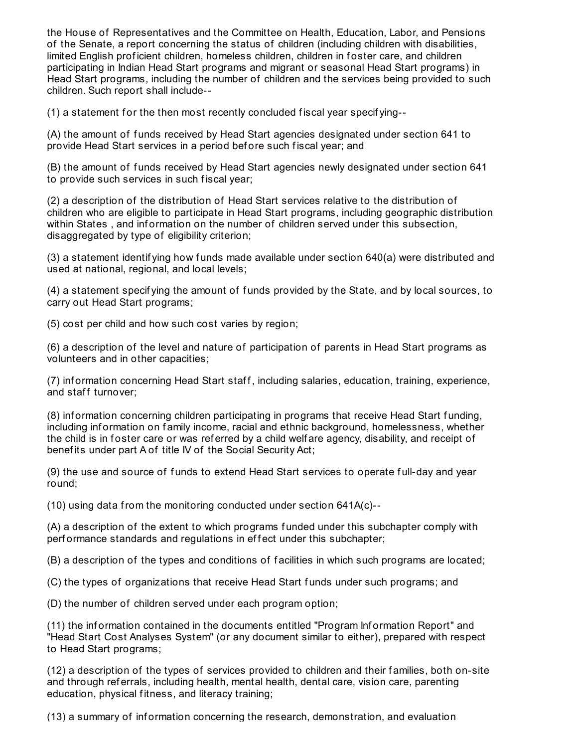the House of Representatives and the Committee on Health, Education, Labor, and Pensions of the Senate, a report concerning the status of children (including children with disabilities, limited English proficient children, homeless children, children in foster care, and children participating in Indian Head Start programs and migrant or seasonal Head Start programs) in Head Start programs, including the number of children and the services being provided to such children. Such report shall include--

(1) a statement f or the then most recently concluded f iscal year specif ying--

(A) the amount of f unds received by Head Start agencies designated under section 641 to provide Head Start services in a period before such fiscal year; and

(B) the amount of f unds received by Head Start agencies newly designated under section 641 to provide such services in such fiscal year;

(2) a description of the distribution of Head Start services relative to the distribution of children who are eligible to participate in Head Start programs, including geographic distribution within States, and information on the number of children served under this subsection, disaggregated by type of eligibility criterion;

(3) a statement identif ying how f unds made available under section 640(a) were distributed and used at national, regional, and local levels;

(4) a statement specif ying the amount of f unds provided by the State, and by local sources, to carry out Head Start programs;

(5) cost per child and how such cost varies by region;

(6) a description of the level and nature of participation of parents in Head Start programs as volunteers and in other capacities;

(7) information concerning Head Start staff, including salaries, education, training, experience, and staff turnover;

(8) inf ormation concerning children participating in programs that receive Head Start f unding, including inf ormation on f amily income, racial and ethnic background, homelessness, whether the child is in foster care or was referred by a child welfare agency, disability, and receipt of benef its under part A of title IV of the Social Security Act;

(9) the use and source of f unds to extend Head Start services to operate f ull-day and year round;

(10) using data from the monitoring conducted under section 641A(c)--

(A) a description of the extent to which programs f unded under this subchapter comply with performance standards and regulations in effect under this subchapter;

(B) a description of the types and conditions of f acilities in which such programs are located;

(C) the types of organizations that receive Head Start f unds under such programs; and

(D) the number of children served under each program option;

(11) the inf ormation contained in the documents entitled "Program Inf ormation Report" and "Head Start Cost Analyses System" (or any document similar to either), prepared with respect to Head Start programs;

(12) a description of the types of services provided to children and their f amilies, both on-site and through ref errals, including health, mental health, dental care, vision care, parenting education, physical fitness, and literacy training;

(13) a summary of inf ormation concerning the research, demonstration, and evaluation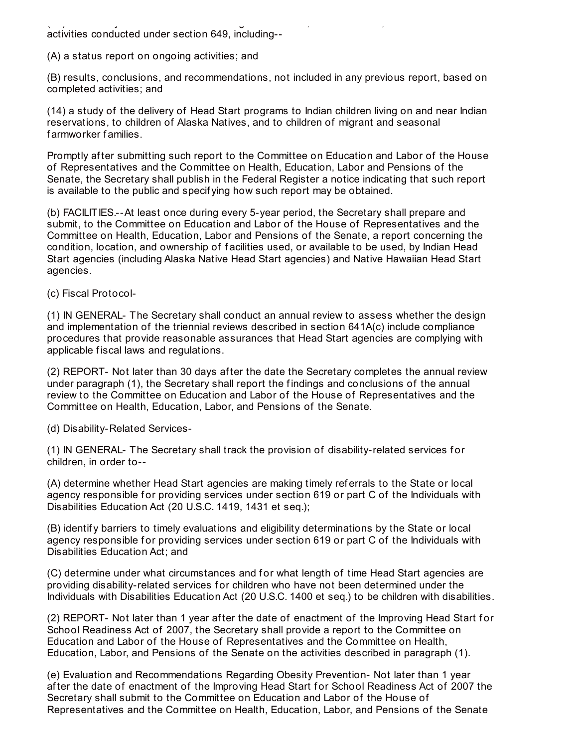(13) a summary of inf ormation concerning the research, demonstration, and evaluation, and evaluation, and evaluation, and evaluation, and evaluation, and evaluation, and evaluation, and evaluation, and evaluation, and ev activities conducted under section 649, including--

(A) a status report on ongoing activities; and

(B) results, conclusions, and recommendations, not included in any previous report, based on completed activities; and

(14) a study of the delivery of Head Start programs to Indian children living on and near Indian reservations, to children of Alaska Natives, and to children of migrant and seasonal f armworker f amilies.

Promptly after submitting such report to the Committee on Education and Labor of the House of Representatives and the Committee on Health, Education, Labor and Pensions of the Senate, the Secretary shall publish in the Federal Register a notice indicating that such report is available to the public and specif ying how such report may be obtained.

(b) FACILITIES.--At least once during every 5-year period, the Secretary shall prepare and submit, to the Committee on Education and Labor of the House of Representatives and the Committee on Health, Education, Labor and Pensions of the Senate, a report concerning the condition, location, and ownership of f acilities used, or available to be used, by Indian Head Start agencies (including Alaska Native Head Start agencies) and Native Hawaiian Head Start agencies.

(c) Fiscal Protocol-

(1) IN GENERAL- The Secretary shall conduct an annual review to assess whether the design and implementation of the triennial reviews described in section 641A(c) include compliance procedures that provide reasonable assurances that Head Start agencies are complying with applicable f iscal laws and regulations.

(2) REPORT- Not later than 30 days af ter the date the Secretary completes the annual review under paragraph (1), the Secretary shall report the f indings and conclusions of the annual review to the Committee on Education and Labor of the House of Representatives and the Committee on Health, Education, Labor, and Pensions of the Senate.

(d) Disability-Related Services-

(1) IN GENERAL- The Secretary shall track the provision of disability-related services f or children, in order to--

(A) determine whether Head Start agencies are making timely ref errals to the State or local agency responsible for providing services under section 619 or part C of the Individuals with Disabilities Education Act (20 U.S.C. 1419, 1431 et seq.);

(B) identif y barriers to timely evaluations and eligibility determinations by the State or local agency responsible for providing services under section 619 or part C of the Individuals with Disabilities Education Act; and

(C) determine under what circumstances and f or what length of time Head Start agencies are providing disability-related services for children who have not been determined under the Individuals with Disabilities Education Act (20 U.S.C. 1400 et seq.) to be children with disabilities.

(2) REPORT- Not later than 1 year after the date of enactment of the Improving Head Start for School Readiness Act of 2007, the Secretary shall provide a report to the Committee on Education and Labor of the House of Representatives and the Committee on Health, Education, Labor, and Pensions of the Senate on the activities described in paragraph (1).

(e) Evaluation and Recommendations Regarding Obesity Prevention- Not later than 1 year after the date of enactment of the Improving Head Start for School Readiness Act of 2007 the Secretary shall submit to the Committee on Education and Labor of the House of Representatives and the Committee on Health, Education, Labor, and Pensions of the Senate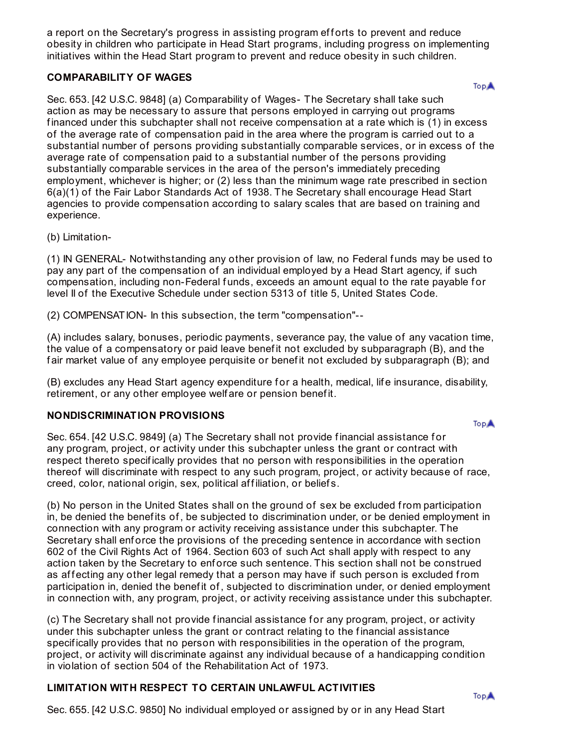a report on the Secretary's progress in assisting program efforts to prevent and reduce obesity in children who participate in Head Start programs, including progress on implementing initiatives within the Head Start program to prevent and reduce obesity in such children.

# **COMPARABILITY OF WAGES**

Sec. 653. [42 U.S.C. 9848] (a) Comparability of Wages- The Secretary shall take such action as may be necessary to assure that persons employed in carrying out programs f inanced under this subchapter shall not receive compensation at a rate which is (1) in excess of the average rate of compensation paid in the area where the program is carried out to a substantial number of persons providing substantially comparable services, or in excess of the average rate of compensation paid to a substantial number of the persons providing substantially comparable services in the area of the person's immediately preceding employment, whichever is higher; or (2) less than the minimum wage rate prescribed in section 6(a)(1) of the Fair Labor Standards Act of 1938. The Secretary shall encourage Head Start agencies to provide compensation according to salary scales that are based on training and experience.

(b) Limitation-

(1) IN GENERAL- Notwithstanding any other provision of law, no Federal f unds may be used to pay any part of the compensation of an individual employed by a Head Start agency, if such compensation, including non-Federal f unds, exceeds an amount equal to the rate payable f or level II of the Executive Schedule under section 5313 of title 5, United States Code.

(2) COMPENSATION- In this subsection, the term "compensation"--

(A) includes salary, bonuses, periodic payments, severance pay, the value of any vacation time, the value of a compensatory or paid leave benefit not excluded by subparagraph (B), and the fair market value of any employee perquisite or benefit not excluded by subparagraph (B); and

(B) excludes any Head Start agency expenditure f or a health, medical, lif e insurance, disability, retirement, or any other employee welf are or pension benef it.

# **NONDISCRIMINATION PROVISIONS**

**TopA** 

**TopA** 

Sec. 654. [42 U.S.C. 9849] (a) The Secretary shall not provide financial assistance for any program, project, or activity under this subchapter unless the grant or contract with respect thereto specif ically provides that no person with responsibilities in the operation thereof will discriminate with respect to any such program, project, or activity because of race, creed, color, national origin, sex, political affiliation, or beliefs.

(b) No person in the United States shall on the ground of sex be excluded from participation in, be denied the benef its of , be subjected to discrimination under, or be denied employment in connection with any program or activity receiving assistance under this subchapter. The Secretary shall enforce the provisions of the preceding sentence in accordance with section 602 of the Civil Rights Act of 1964. Section 603 of such Act shall apply with respect to any action taken by the Secretary to enf orce such sentence. This section shall not be construed as affecting any other legal remedy that a person may have if such person is excluded from participation in, denied the benefit of, subjected to discrimination under, or denied employment in connection with, any program, project, or activity receiving assistance under this subchapter.

(c) The Secretary shall not provide f inancial assistance f or any program, project, or activity under this subchapter unless the grant or contract relating to the financial assistance specif ically provides that no person with responsibilities in the operation of the program, project, or activity will discriminate against any individual because of a handicapping condition in violation of section 504 of the Rehabilitation Act of 1973.

# **LIMITATION WITH RESPECT TO CERTAIN UNLAWFUL ACTIVITIES**

Sec. 655. [42 U.S.C. 9850] No individual employed or assigned by or in any Head Start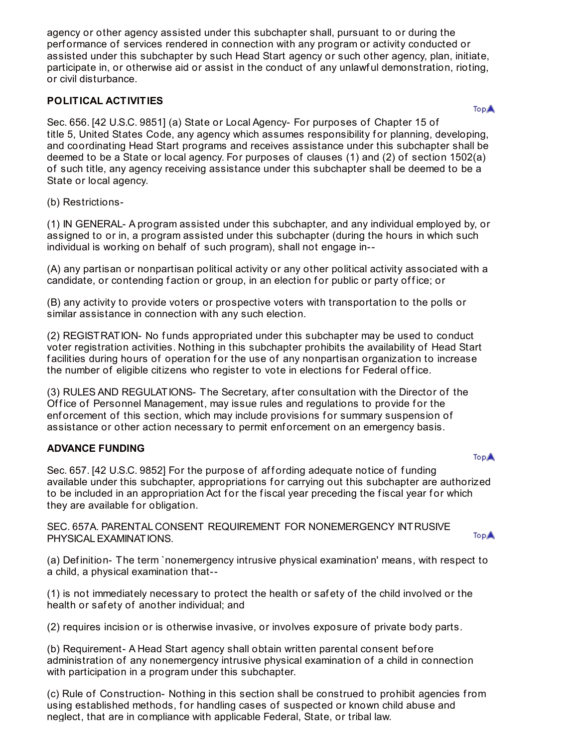agency or other agency assisted under this subchapter shall, pursuant to or during the perf ormance of services rendered in connection with any program or activity conducted or assisted under this subchapter by such Head Start agency or such other agency, plan, initiate, participate in, or otherwise aid or assist in the conduct of any unlawful demonstration, rioting, or civil disturbance.

# **POLITICAL ACTIVITIES**

**TopA** 

Sec. 656. [42 U.S.C. 9851] (a) State or Local Agency- For purposes of Chapter 15 of title 5, United States Code, any agency which assumes responsibility for planning, developing, and coordinating Head Start programs and receives assistance under this subchapter shall be deemed to be a State or local agency. For purposes of clauses (1) and (2) of section 1502(a) of such title, any agency receiving assistance under this subchapter shall be deemed to be a State or local agency.

### (b) Restrictions-

(1) IN GENERAL- A program assisted under this subchapter, and any individual employed by, or assigned to or in, a program assisted under this subchapter (during the hours in which such individual is working on behalf of such program), shall not engage in--

(A) any partisan or nonpartisan political activity or any other political activity associated with a candidate, or contending faction or group, in an election for public or party office; or

(B) any activity to provide voters or prospective voters with transportation to the polls or similar assistance in connection with any such election.

(2) REGISTRATION- No f unds appropriated under this subchapter may be used to conduct voter registration activities. Nothing in this subchapter prohibits the availability of Head Start facilities during hours of operation for the use of any nonpartisan organization to increase the number of eligible citizens who register to vote in elections for Federal office.

(3) RULES AND REGULATIONS- The Secretary, af ter consultation with the Director of the Office of Personnel Management, may issue rules and regulations to provide for the enforcement of this section, which may include provisions for summary suspension of assistance or other action necessary to permit enf orcement on an emergency basis.

# **ADVANCE FUNDING**

**TopA** 

Sec. 657. [42 U.S.C. 9852] For the purpose of affording adequate notice of funding available under this subchapter, appropriations for carrying out this subchapter are authorized to be included in an appropriation Act for the fiscal year preceding the fiscal year for which they are available for obligation.

SEC. 657A. PARENTAL CONSENT REQUIREMENT FOR NONEMERGENCY INTRUSIVE PHYSICALEXAMINATIONS.

**TopA** 

(a) Definition- The term `nonemergency intrusive physical examination' means, with respect to a child, a physical examination that--

(1) is not immediately necessary to protect the health or saf ety of the child involved or the health or safety of another individual; and

(2) requires incision or is otherwise invasive, or involves exposure of private body parts.

(b) Requirement- A Head Start agency shall obtain written parental consent bef ore administration of any nonemergency intrusive physical examination of a child in connection with participation in a program under this subchapter.

(c) Rule of Construction- Nothing in this section shall be construed to prohibit agencies from using established methods, for handling cases of suspected or known child abuse and neglect, that are in compliance with applicable Federal, State, or tribal law.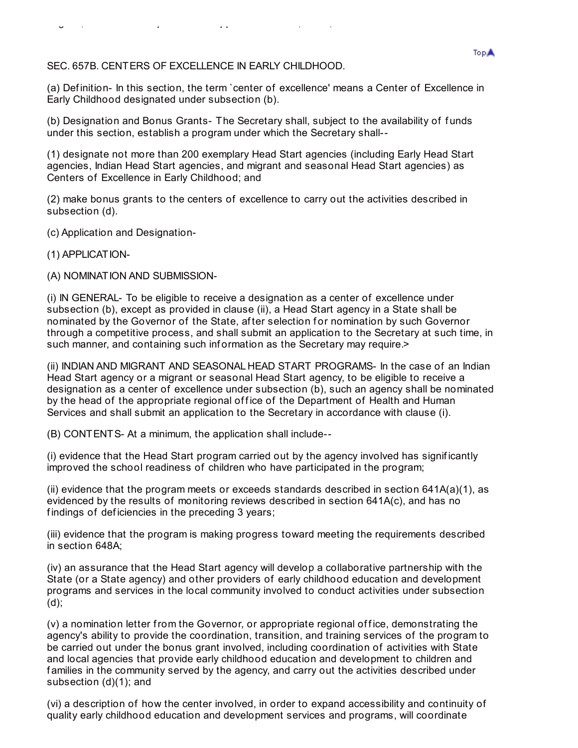SEC. 657B. CENTERS OF EXCELLENCE IN EARLY CHILDHOOD.

neglect, that are in compliance with applicable Federal, State, or tribal law.

(a) Def inition- In this section, the term `center of excellence' means a Center of Excellence in Early Childhood designated under subsection (b).

(b) Designation and Bonus Grants- The Secretary shall, subject to the availability of funds under this section, establish a program under which the Secretary shall--

(1) designate not more than 200 exemplary Head Start agencies (including Early Head Start agencies, Indian Head Start agencies, and migrant and seasonal Head Start agencies) as Centers of Excellence in Early Childhood; and

(2) make bonus grants to the centers of excellence to carry out the activities described in subsection (d).

(c) Application and Designation-

(1) APPLICATION-

(A) NOMINATION AND SUBMISSION-

(i) IN GENERAL- To be eligible to receive a designation as a center of excellence under subsection (b), except as provided in clause (ii), a Head Start agency in a State shall be nominated by the Governor of the State, after selection for nomination by such Governor through a competitive process, and shall submit an application to the Secretary at such time, in such manner, and containing such information as the Secretary may require.

(ii) INDIAN AND MIGRANT AND SEASONAL HEAD START PROGRAMS- In the case of an Indian Head Start agency or a migrant or seasonal Head Start agency, to be eligible to receive a designation as a center of excellence under subsection (b), such an agency shall be nominated by the head of the appropriate regional office of the Department of Health and Human Services and shall submit an application to the Secretary in accordance with clause (i).

(B) CONTENTS- At a minimum, the application shall include--

(i) evidence that the Head Start program carried out by the agency involved has signif icantly improved the school readiness of children who have participated in the program;

(ii) evidence that the program meets or exceeds standards described in section  $641A(a)(1)$ , as evidenced by the results of monitoring reviews described in section 641A(c), and has no findings of deficiencies in the preceding 3 years;

(iii) evidence that the program is making progress toward meeting the requirements described in section 648A;

(iv) an assurance that the Head Start agency will develop a collaborative partnership with the State (or a State agency) and other providers of early childhood education and development programs and services in the local community involved to conduct activities under subsection (d);

 $(v)$  a nomination letter from the Governor, or appropriate regional office, demonstrating the agency's ability to provide the coordination, transition, and training services of the program to be carried out under the bonus grant involved, including coordination of activities with State and local agencies that provide early childhood education and development to children and f amilies in the community served by the agency, and carry out the activities described under subsection (d)(1); and

(vi) a description of how the center involved, in order to expand accessibility and continuity of quality early childhood education and development services and programs, will coordinate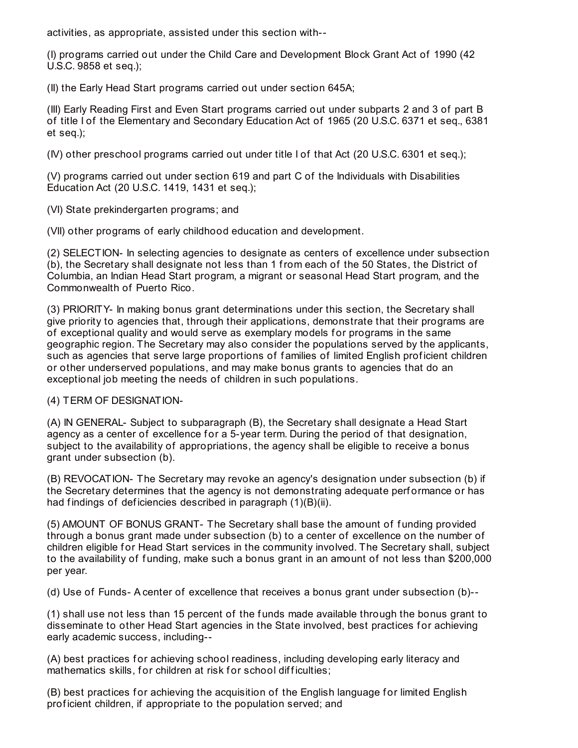activities, as appropriate, assisted under this section with--

(I) programs carried out under the Child Care and Development Block Grant Act of 1990 (42 U.S.C. 9858 et seq.);

(II) the Early Head Start programs carried out under section 645A;

(III) Early Reading First and Even Start programs carried out under subparts 2 and 3 of part B of title I of the Elementary and Secondary Education Act of 1965 (20 U.S.C. 6371 et seq., 6381 et seq.);

(IV) other preschool programs carried out under title I of that Act (20 U.S.C. 6301 et seq.);

(V) programs carried out under section 619 and part C of the Individuals with Disabilities Education Act (20 U.S.C. 1419, 1431 et seq.);

(VI) State prekindergarten programs; and

(VII) other programs of early childhood education and development.

(2) SELECTION- In selecting agencies to designate as centers of excellence under subsection (b), the Secretary shall designate not less than 1 from each of the 50 States, the District of Columbia, an Indian Head Start program, a migrant or seasonal Head Start program, and the Commonwealth of Puerto Rico.

(3) PRIORITY- In making bonus grant determinations under this section, the Secretary shall give priority to agencies that, through their applications, demonstrate that their programs are of exceptional quality and would serve as exemplary models for programs in the same geographic region. The Secretary may also consider the populations served by the applicants, such as agencies that serve large proportions of families of limited English proficient children or other underserved populations, and may make bonus grants to agencies that do an exceptional job meeting the needs of children in such populations.

(4) TERM OF DESIGNATION-

(A) IN GENERAL- Subject to subparagraph (B), the Secretary shall designate a Head Start agency as a center of excellence for a 5-year term. During the period of that designation, subject to the availability of appropriations, the agency shall be eligible to receive a bonus grant under subsection (b).

(B) REVOCATION- The Secretary may revoke an agency's designation under subsection (b) if the Secretary determines that the agency is not demonstrating adequate perf ormance or has had findings of deficiencies described in paragraph (1)(B)(ii).

(5) AMOUNT OF BONUS GRANT- The Secretary shall base the amount of f unding provided through a bonus grant made under subsection (b) to a center of excellence on the number of children eligible for Head Start services in the community involved. The Secretary shall, subject to the availability of funding, make such a bonus grant in an amount of not less than \$200,000 per year.

(d) Use of Funds- A center of excellence that receives a bonus grant under subsection (b)--

(1) shall use not less than 15 percent of the f unds made available through the bonus grant to disseminate to other Head Start agencies in the State involved, best practices for achieving early academic success, including--

(A) best practices for achieving school readiness, including developing early literacy and mathematics skills, for children at risk for school difficulties;

(B) best practices for achieving the acquisition of the English language for limited English prof icient children, if appropriate to the population served; and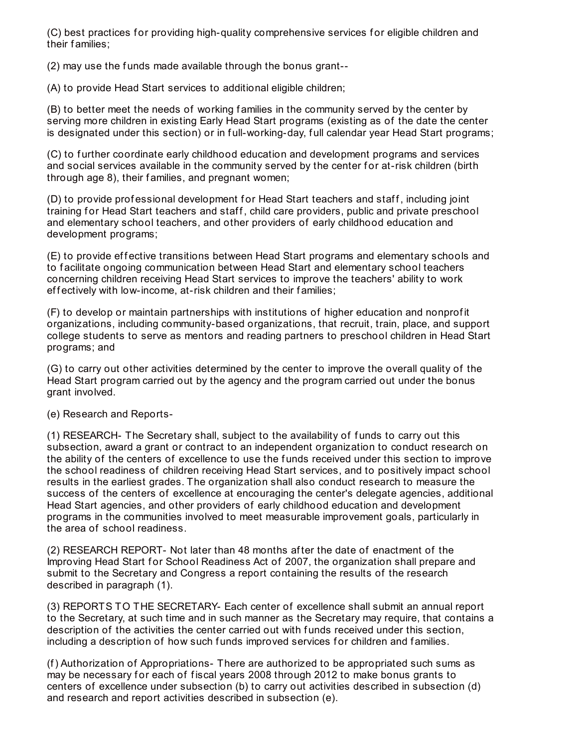(C) best practices for providing high-quality comprehensive services for eligible children and their f amilies;

(2) may use the funds made available through the bonus grant--

(A) to provide Head Start services to additional eligible children;

(B) to better meet the needs of working f amilies in the community served by the center by serving more children in existing Early Head Start programs (existing as of the date the center is designated under this section) or in full-working-day, full calendar year Head Start programs;

(C) to f urther coordinate early childhood education and development programs and services and social services available in the community served by the center for at-risk children (birth through age 8), their f amilies, and pregnant women;

(D) to provide professional development for Head Start teachers and staff, including joint training for Head Start teachers and staff, child care providers, public and private preschool and elementary school teachers, and other providers of early childhood education and development programs;

(E) to provide effective transitions between Head Start programs and elementary schools and to f acilitate ongoing communication between Head Start and elementary school teachers concerning children receiving Head Start services to improve the teachers' ability to work effectively with low-income, at-risk children and their families;

(F) to develop or maintain partnerships with institutions of higher education and nonprof it organizations, including community-based organizations, that recruit, train, place, and support college students to serve as mentors and reading partners to preschool children in Head Start programs; and

(G) to carry out other activities determined by the center to improve the overall quality of the Head Start program carried out by the agency and the program carried out under the bonus grant involved.

(e) Research and Reports-

(1) RESEARCH- The Secretary shall, subject to the availability of f unds to carry out this subsection, award a grant or contract to an independent organization to conduct research on the ability of the centers of excellence to use the f unds received under this section to improve the school readiness of children receiving Head Start services, and to positively impact school results in the earliest grades. The organization shall also conduct research to measure the success of the centers of excellence at encouraging the center's delegate agencies, additional Head Start agencies, and other providers of early childhood education and development programs in the communities involved to meet measurable improvement goals, particularly in the area of school readiness.

(2) RESEARCH REPORT- Not later than 48 months af ter the date of enactment of the Improving Head Start for School Readiness Act of 2007, the organization shall prepare and submit to the Secretary and Congress a report containing the results of the research described in paragraph (1).

(3) REPORTS TO THE SECRETARY- Each center of excellence shall submit an annual report to the Secretary, at such time and in such manner as the Secretary may require, that contains a description of the activities the center carried out with funds received under this section, including a description of how such funds improved services for children and families.

(f) Authorization of Appropriations- There are authorized to be appropriated such sums as may be necessary for each of fiscal years 2008 through 2012 to make bonus grants to centers of excellence under subsection (b) to carry out activities described in subsection (d) and research and report activities described in subsection (e).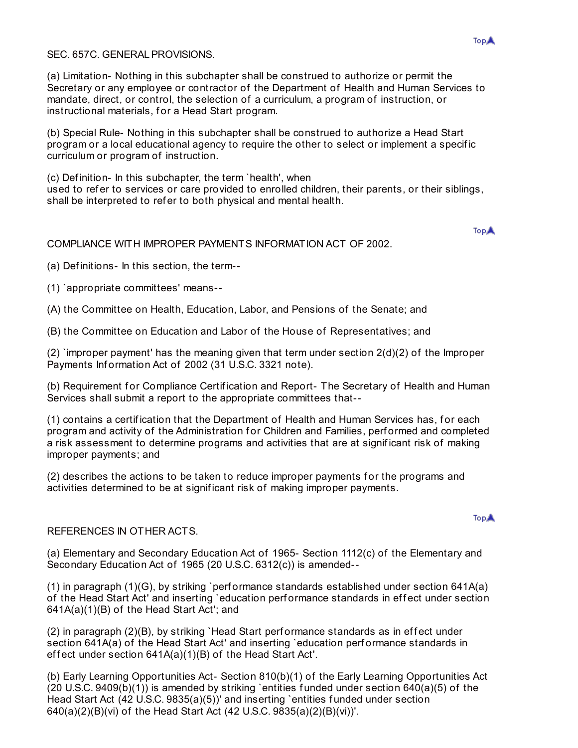### SEC. 657C. GENERAL PROVISIONS.

(a) Limitation- Nothing in this subchapter shall be construed to authorize or permit the Secretary or any employee or contractor of the Department of Health and Human Services to mandate, direct, or control, the selection of a curriculum, a program of instruction, or instructional materials, for a Head Start program.

(b) Special Rule- Nothing in this subchapter shall be construed to authorize a Head Start program or a local educational agency to require the other to select or implement a specif ic curriculum or program of instruction.

(c) Def inition- In this subchapter, the term `health', when used to refer to services or care provided to enrolled children, their parents, or their siblings, shall be interpreted to refer to both physical and mental health.

**TopA** 

#### COMPLIANCE WITH IMPROPER PAYMENTS INFORMATION ACT OF 2002.

(a) Def initions- In this section, the term--

(1) `appropriate committees' means--

(A) the Committee on Health, Education, Labor, and Pensions of the Senate; and

(B) the Committee on Education and Labor of the House of Representatives; and

(2) `improper payment' has the meaning given that term under section 2(d)(2) of the Improper Payments Information Act of 2002 (31 U.S.C. 3321 note).

(b) Requirement f or Compliance Certif ication and Report- The Secretary of Health and Human Services shall submit a report to the appropriate committees that--

(1) contains a certification that the Department of Health and Human Services has, for each program and activity of the Administration for Children and Families, performed and completed a risk assessment to determine programs and activities that are at signif icant risk of making improper payments; and

(2) describes the actions to be taken to reduce improper payments for the programs and activities determined to be at signif icant risk of making improper payments.

#### REFERENCES IN OTHER ACTS.

(a) Elementary and Secondary Education Act of 1965- Section 1112(c) of the Elementary and Secondary Education Act of 1965 (20 U.S.C. 6312(c)) is amended--

(1) in paragraph (1)(G), by striking `perf ormance standards established under section 641A(a) of the Head Start Act' and inserting `education performance standards in effect under section 641A(a)(1)(B) of the Head Start Act'; and

 $(2)$  in paragraph  $(2)(B)$ , by striking `Head Start performance standards as in effect under section 641A(a) of the Head Start Act' and inserting `education performance standards in effect under section  $641A(a)(1)(B)$  of the Head Start Act'.

(b) Early Learning Opportunities Act- Section 810(b)(1) of the Early Learning Opportunities Act (20 U.S.C. 9409(b)(1)) is amended by striking `entities f unded under section 640(a)(5) of the Head Start Act (42 U.S.C. 9835(a)(5))' and inserting `entities f unded under section 640(a)(2)(B)(vi) of the Head Start Act (42 U.S.C. 9835(a)(2)(B)(vi))'.

#### **TopA**

#### **TopA**